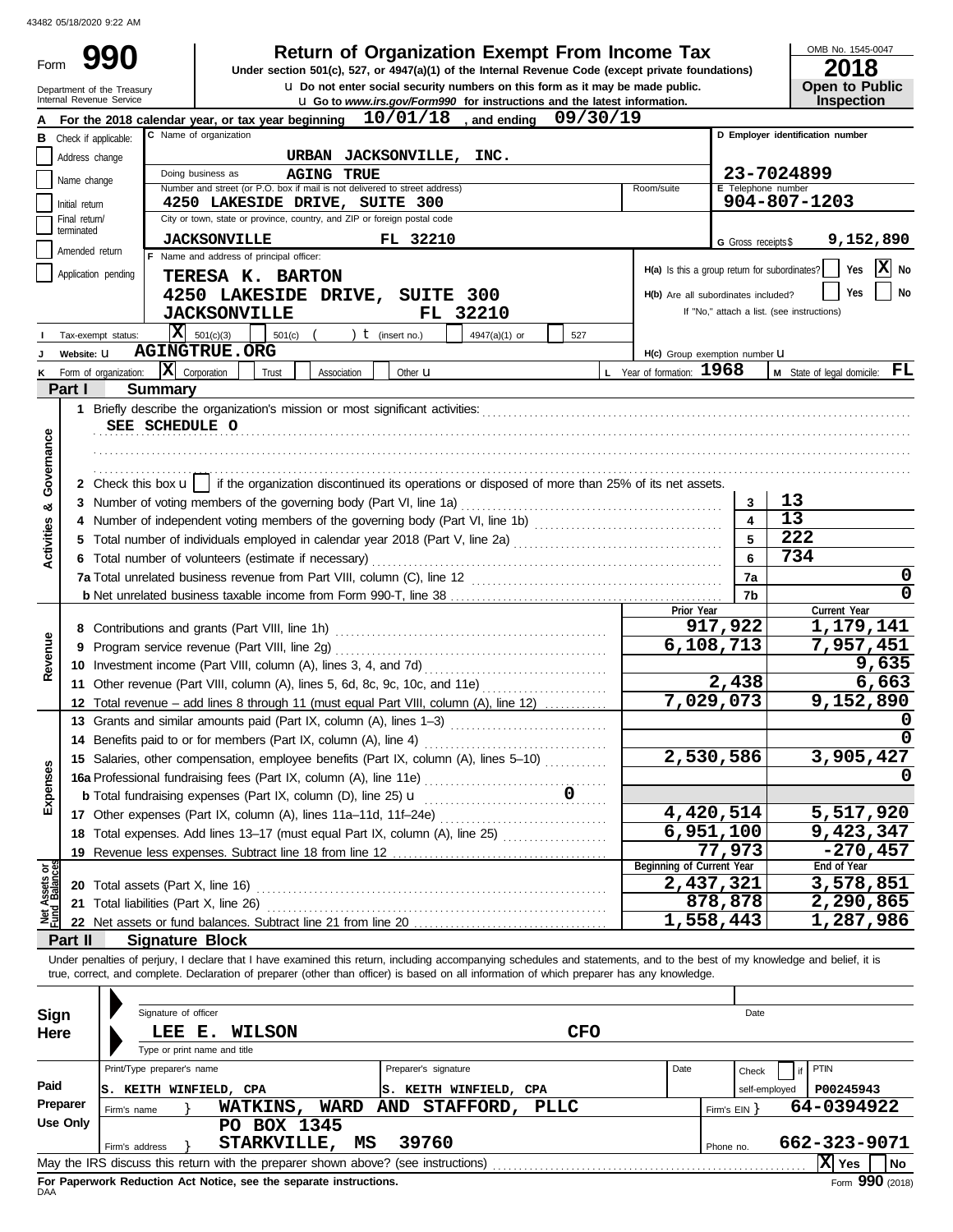| Form                           |                                 |                                                        | <b>Return of Organization Exempt From Income Tax</b><br>Under section 501(c), 527, or 4947(a)(1) of the Internal Revenue Code (except private foundations)                                                                                                                                                               |                         | OMB No. 1545-0047<br>2018                  |
|--------------------------------|---------------------------------|--------------------------------------------------------|--------------------------------------------------------------------------------------------------------------------------------------------------------------------------------------------------------------------------------------------------------------------------------------------------------------------------|-------------------------|--------------------------------------------|
|                                |                                 | Department of the Treasury<br>Internal Revenue Service | u Do not enter social security numbers on this form as it may be made public.<br><b>u</b> Go to www.irs.gov/Form990 for instructions and the latest information.                                                                                                                                                         |                         | <b>Open to Public</b><br>Inspection        |
|                                |                                 |                                                        | $10/01/18$ , and ending<br>09/30/19<br>For the 2018 calendar year, or tax year beginning                                                                                                                                                                                                                                 |                         |                                            |
|                                |                                 | <b>B</b> Check if applicable:                          | C Name of organization                                                                                                                                                                                                                                                                                                   |                         | D Employer identification number           |
|                                | Address change                  |                                                        | URBAN JACKSONVILLE,<br>INC.                                                                                                                                                                                                                                                                                              |                         |                                            |
|                                | Name change                     |                                                        | Doing business as<br><b>AGING TRUE</b>                                                                                                                                                                                                                                                                                   |                         | 23-7024899                                 |
|                                |                                 |                                                        | Number and street (or P.O. box if mail is not delivered to street address)<br>Room/suite<br>4250 LAKESIDE DRIVE, SUITE 300                                                                                                                                                                                               | E Telephone number      | 904-807-1203                               |
|                                | Initial return<br>Final return/ |                                                        | City or town, state or province, country, and ZIP or foreign postal code                                                                                                                                                                                                                                                 |                         |                                            |
|                                | terminated                      |                                                        | FL 32210<br><b>JACKSONVILLE</b>                                                                                                                                                                                                                                                                                          | G Gross receipts \$     | 9,152,890                                  |
|                                | Amended return                  |                                                        | F Name and address of principal officer:                                                                                                                                                                                                                                                                                 |                         |                                            |
|                                |                                 | Application pending                                    | H(a) Is this a group return for subordinates?<br>TERESA K. BARTON                                                                                                                                                                                                                                                        |                         | x<br>Yes<br>No                             |
|                                |                                 |                                                        | 4250 LAKESIDE DRIVE, SUITE 300<br>H(b) Are all subordinates included?                                                                                                                                                                                                                                                    |                         | No<br>Yes                                  |
|                                |                                 |                                                        | <b>JACKSONVILLE</b><br>FL 32210                                                                                                                                                                                                                                                                                          |                         | If "No," attach a list. (see instructions) |
|                                |                                 | Tax-exempt status:                                     | $\overline{\mathbf{X}}$ 501(c)(3)<br>) $t$ (insert no.)<br>501(c)<br>4947(a)(1) or<br>527                                                                                                                                                                                                                                |                         |                                            |
|                                | Website: U                      |                                                        | <b>AGINGTRUE.ORG</b><br>H(c) Group exemption number LI                                                                                                                                                                                                                                                                   |                         |                                            |
|                                |                                 | Form of organization:                                  | $ \mathbf{X} $ Corporation<br>L Year of formation: 1968<br>Trust<br>Association<br>Other $\mathbf u$                                                                                                                                                                                                                     |                         | FL<br>M State of legal domicile:           |
|                                | Part I                          |                                                        | <b>Summary</b>                                                                                                                                                                                                                                                                                                           |                         |                                            |
|                                |                                 |                                                        |                                                                                                                                                                                                                                                                                                                          |                         |                                            |
|                                |                                 |                                                        | SEE SCHEDULE O                                                                                                                                                                                                                                                                                                           |                         |                                            |
| Governance                     |                                 |                                                        |                                                                                                                                                                                                                                                                                                                          |                         |                                            |
|                                |                                 |                                                        |                                                                                                                                                                                                                                                                                                                          |                         |                                            |
|                                |                                 |                                                        | 2 Check this box $\mathbf{u}$   if the organization discontinued its operations or disposed of more than 25% of its net assets.                                                                                                                                                                                          |                         |                                            |
| ×                              |                                 |                                                        | 3 Number of voting members of the governing body (Part VI, line 1a)                                                                                                                                                                                                                                                      | 3                       | 13                                         |
|                                |                                 |                                                        | 4 Number of independent voting members of the governing body (Part VI, line 1b) [11] [11] Number of independent voting members of the governing body (Part VI, line 1b)                                                                                                                                                  | $\overline{\mathbf{4}}$ | 13                                         |
| <b>Activities</b>              |                                 |                                                        |                                                                                                                                                                                                                                                                                                                          | 5                       | 222                                        |
|                                |                                 |                                                        | 6 Total number of volunteers (estimate if necessary)                                                                                                                                                                                                                                                                     | 6                       | 734                                        |
|                                |                                 |                                                        |                                                                                                                                                                                                                                                                                                                          | 7a                      | 0                                          |
|                                |                                 |                                                        |                                                                                                                                                                                                                                                                                                                          | 7b                      | O                                          |
|                                |                                 |                                                        | Prior Year                                                                                                                                                                                                                                                                                                               |                         | Current Year                               |
|                                |                                 |                                                        | 6,108,713                                                                                                                                                                                                                                                                                                                | 917,922                 | 1,179,141                                  |
| Revenue                        |                                 |                                                        |                                                                                                                                                                                                                                                                                                                          |                         | 7,957,451<br>9,635                         |
|                                |                                 |                                                        |                                                                                                                                                                                                                                                                                                                          | 2,438                   | 6,663                                      |
|                                |                                 |                                                        | 11 Other revenue (Part VIII, column (A), lines 5, 6d, 8c, 9c, 10c, and 11e)<br>7,029,073                                                                                                                                                                                                                                 |                         | 9,152,890                                  |
|                                |                                 |                                                        | 12 Total revenue - add lines 8 through 11 (must equal Part VIII, column (A), line 12)<br>13 Grants and similar amounts paid (Part IX, column (A), lines 1-3)                                                                                                                                                             |                         | <sup>0</sup>                               |
|                                |                                 |                                                        |                                                                                                                                                                                                                                                                                                                          |                         | 0                                          |
|                                |                                 |                                                        | 2,530,586<br>15 Salaries, other compensation, employee benefits (Part IX, column (A), lines 5-10)                                                                                                                                                                                                                        |                         | 3,905,427                                  |
| Expenses                       |                                 |                                                        |                                                                                                                                                                                                                                                                                                                          |                         |                                            |
|                                |                                 |                                                        |                                                                                                                                                                                                                                                                                                                          |                         |                                            |
|                                |                                 |                                                        | 4,420,514<br>17 Other expenses (Part IX, column (A), lines 11a-11d, 11f-24e)                                                                                                                                                                                                                                             |                         | 5,517,920                                  |
|                                |                                 |                                                        | 6,951,100<br>18 Total expenses. Add lines 13-17 (must equal Part IX, column (A), line 25) [[[[[[[[[[[[[[[[[[[[[[[[[[[[[[[[                                                                                                                                                                                               |                         | 9,423,347                                  |
|                                |                                 |                                                        |                                                                                                                                                                                                                                                                                                                          | 77,973                  | $-270, 457$                                |
|                                |                                 |                                                        | Beginning of Current Year                                                                                                                                                                                                                                                                                                |                         | End of Year                                |
| Net Assets or<br>Fund Balances |                                 |                                                        | 2,437,321                                                                                                                                                                                                                                                                                                                |                         | 3,578,851                                  |
|                                |                                 |                                                        | 21 Total liabilities (Part X, line 26)                                                                                                                                                                                                                                                                                   | 878,878                 | 2,290,865                                  |
|                                |                                 |                                                        | 1,558,443                                                                                                                                                                                                                                                                                                                |                         | 1,287,986                                  |
|                                | Part II                         |                                                        | <b>Signature Block</b>                                                                                                                                                                                                                                                                                                   |                         |                                            |
|                                |                                 |                                                        | Under penalties of perjury, I declare that I have examined this return, including accompanying schedules and statements, and to the best of my knowledge and belief, it is<br>true, correct, and complete. Declaration of preparer (other than officer) is based on all information of which preparer has any knowledge. |                         |                                            |
|                                |                                 |                                                        |                                                                                                                                                                                                                                                                                                                          |                         |                                            |
| Sign                           |                                 |                                                        | Signature of officer                                                                                                                                                                                                                                                                                                     | Date                    |                                            |
|                                |                                 |                                                        | <b>CFO</b>                                                                                                                                                                                                                                                                                                               |                         |                                            |
| Here                           |                                 |                                                        | LEE E.<br><b>WILSON</b><br>Type or print name and title                                                                                                                                                                                                                                                                  |                         |                                            |
|                                |                                 |                                                        | Print/Type preparer's name<br>Preparer's signature<br>Date                                                                                                                                                                                                                                                               |                         | PTIN                                       |
| Paid                           |                                 |                                                        |                                                                                                                                                                                                                                                                                                                          | Check                   |                                            |
|                                | Preparer                        |                                                        | S. KEITH WINFIELD, CPA<br>S. KEITH WINFIELD, CPA<br><b>WATKINS,</b><br>WARD<br>AND STAFFORD,<br><b>PLLC</b>                                                                                                                                                                                                              | self-employed           | P00245943<br>64-0394922                    |
|                                | <b>Use Only</b>                 | Firm's name                                            | PO BOX 1345                                                                                                                                                                                                                                                                                                              | Firm's $EIN$ }          |                                            |
|                                |                                 |                                                        | 39760<br>STARKVILLE,<br>MS                                                                                                                                                                                                                                                                                               |                         | 662-323-9071                               |
|                                |                                 | Firm's address                                         |                                                                                                                                                                                                                                                                                                                          | Phone no.               | X Yes<br>No                                |

| Sign     |                            | Signature of officer         |                                                                                   |                                 |      | Date                       |                   |        |  |  |  |
|----------|----------------------------|------------------------------|-----------------------------------------------------------------------------------|---------------------------------|------|----------------------------|-------------------|--------|--|--|--|
| Here     |                            | LEE E.                       | <b>WILSON</b>                                                                     | <b>CFO</b>                      |      |                            |                   |        |  |  |  |
|          |                            | Type or print name and title |                                                                                   |                                 |      |                            |                   |        |  |  |  |
|          | Print/Type preparer's name |                              |                                                                                   | Preparer's signature            | Date | Check                      | <b>PTIN</b>       |        |  |  |  |
| Paid     | Is.                        |                              | KEITH WINFIELD, CPA                                                               | KEITH WINFIELD, CPA<br>IS.      |      | self-employed              | P00245943         |        |  |  |  |
| Preparer | Firm's name                |                              | <b>WATKINS,</b><br>WARD                                                           | STAFFORD,<br>PLLC<br><b>AND</b> |      | 64-0394922<br>Firm's $EIN$ |                   |        |  |  |  |
| Use Only |                            |                              | BOX 1345<br>PO.                                                                   |                                 |      |                            |                   |        |  |  |  |
|          | Firm's address             |                              | <b>STARKVILLE,</b><br>MS                                                          | 39760                           |      | Phone no.                  | 662-323-9071      |        |  |  |  |
|          |                            |                              | May the IRS discuss this return with the preparer shown above? (see instructions) |                                 |      |                            | ΙXΙ<br><b>Yes</b> | l No   |  |  |  |
|          |                            |                              |                                                                                   |                                 |      |                            |                   | $\sim$ |  |  |  |

For Paperwork Reduction Act Notice, see the separate instructions.<br><sub>DAA</sub>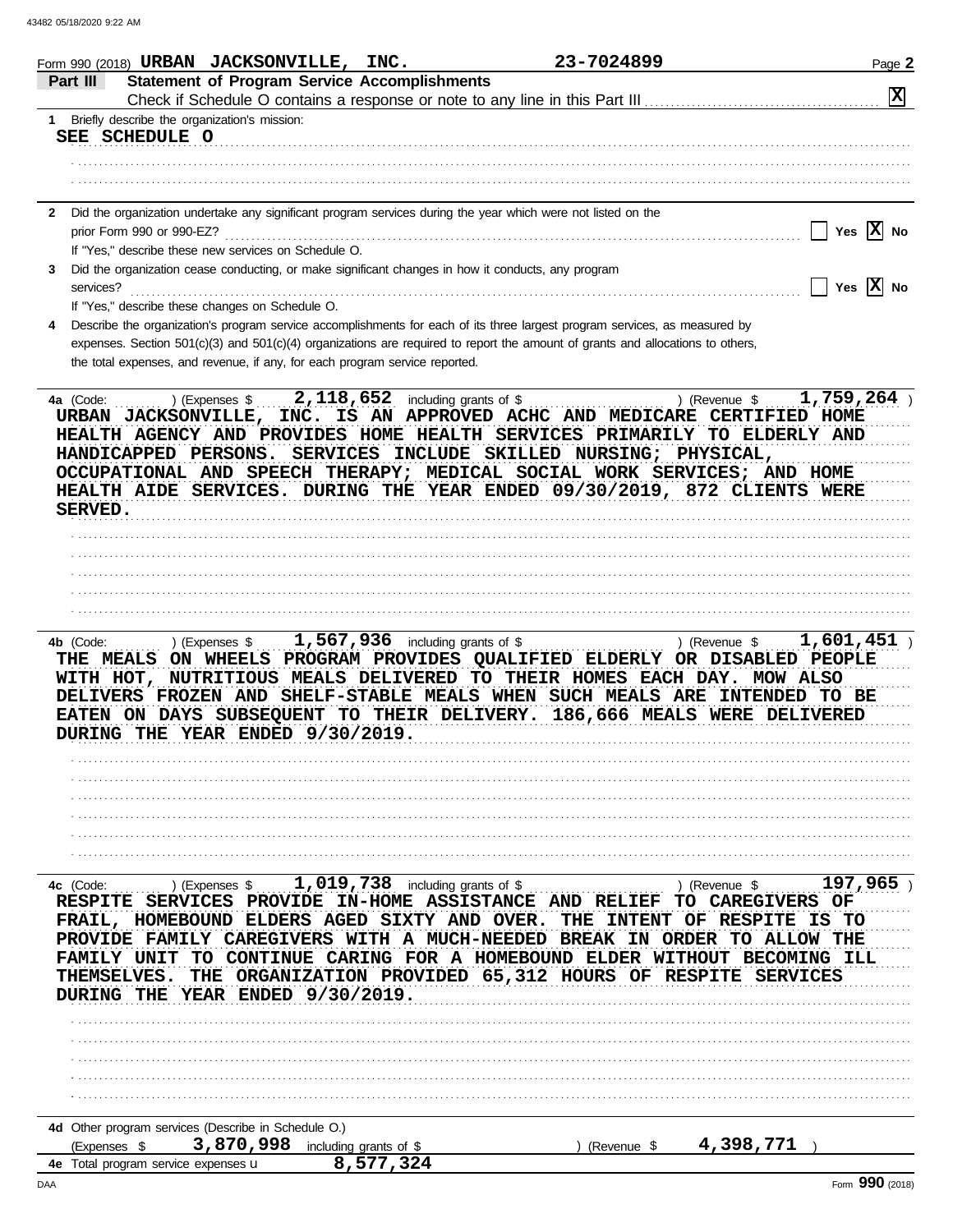|                                                                        | Form 990 (2018) URBAN JACKSONVILLE, INC.                                                                                                                                                                                                                                                                                                         |                                  |                                                                                                                                                | 23-7024899                                                      |                                                                                                     | Page 2                                                                        |
|------------------------------------------------------------------------|--------------------------------------------------------------------------------------------------------------------------------------------------------------------------------------------------------------------------------------------------------------------------------------------------------------------------------------------------|----------------------------------|------------------------------------------------------------------------------------------------------------------------------------------------|-----------------------------------------------------------------|-----------------------------------------------------------------------------------------------------|-------------------------------------------------------------------------------|
| Part III                                                               | <b>Statement of Program Service Accomplishments</b>                                                                                                                                                                                                                                                                                              |                                  |                                                                                                                                                |                                                                 |                                                                                                     | $\mathbf{x}$                                                                  |
| 1.                                                                     | Briefly describe the organization's mission:                                                                                                                                                                                                                                                                                                     |                                  |                                                                                                                                                |                                                                 |                                                                                                     |                                                                               |
|                                                                        | SEE SCHEDULE O                                                                                                                                                                                                                                                                                                                                   |                                  |                                                                                                                                                |                                                                 |                                                                                                     |                                                                               |
|                                                                        |                                                                                                                                                                                                                                                                                                                                                  |                                  |                                                                                                                                                |                                                                 |                                                                                                     |                                                                               |
|                                                                        |                                                                                                                                                                                                                                                                                                                                                  |                                  |                                                                                                                                                |                                                                 |                                                                                                     |                                                                               |
|                                                                        | 2 Did the organization undertake any significant program services during the year which were not listed on the                                                                                                                                                                                                                                   |                                  |                                                                                                                                                |                                                                 |                                                                                                     |                                                                               |
|                                                                        | prior Form 990 or 990-EZ?                                                                                                                                                                                                                                                                                                                        |                                  |                                                                                                                                                |                                                                 |                                                                                                     | Yes $ X $ No                                                                  |
|                                                                        | If "Yes," describe these new services on Schedule O.                                                                                                                                                                                                                                                                                             |                                  |                                                                                                                                                |                                                                 |                                                                                                     |                                                                               |
| 3<br>services?                                                         | Did the organization cease conducting, or make significant changes in how it conducts, any program                                                                                                                                                                                                                                               |                                  |                                                                                                                                                |                                                                 |                                                                                                     | Yes $\overline{X}$ No                                                         |
|                                                                        | If "Yes," describe these changes on Schedule O.                                                                                                                                                                                                                                                                                                  |                                  |                                                                                                                                                |                                                                 |                                                                                                     |                                                                               |
|                                                                        | Describe the organization's program service accomplishments for each of its three largest program services, as measured by                                                                                                                                                                                                                       |                                  |                                                                                                                                                |                                                                 |                                                                                                     |                                                                               |
|                                                                        | expenses. Section 501(c)(3) and 501(c)(4) organizations are required to report the amount of grants and allocations to others,<br>the total expenses, and revenue, if any, for each program service reported.                                                                                                                                    |                                  |                                                                                                                                                |                                                                 |                                                                                                     |                                                                               |
| 4a (Code:<br>SERVED.                                                   | URBAN JACKSONVILLE, INC. IS AN APPROVED ACHC AND MEDICARE CERTIFIED HOME<br>HEALTH AGENCY AND PROVIDES HOME HEALTH SERVICES PRIMARILY TO ELDERLY AND<br>HANDICAPPED PERSONS.<br>OCCUPATIONAL AND SPEECH THERAPY; MEDICAL SOCIAL WORK SERVICES; AND HOME<br>HEALTH AIDE SERVICES. DURING THE YEAR ENDED 09/30/2019, 872 CLIENTS WERE              |                                  |                                                                                                                                                | SERVICES INCLUDE SKILLED NURSING; PHYSICAL,                     | ) (Revenue \$                                                                                       | $1,759,264$ )                                                                 |
|                                                                        |                                                                                                                                                                                                                                                                                                                                                  |                                  |                                                                                                                                                |                                                                 |                                                                                                     |                                                                               |
|                                                                        |                                                                                                                                                                                                                                                                                                                                                  |                                  |                                                                                                                                                |                                                                 |                                                                                                     |                                                                               |
|                                                                        |                                                                                                                                                                                                                                                                                                                                                  |                                  |                                                                                                                                                |                                                                 |                                                                                                     |                                                                               |
|                                                                        |                                                                                                                                                                                                                                                                                                                                                  |                                  |                                                                                                                                                |                                                                 |                                                                                                     |                                                                               |
|                                                                        |                                                                                                                                                                                                                                                                                                                                                  |                                  |                                                                                                                                                |                                                                 |                                                                                                     |                                                                               |
|                                                                        | THE MEALS ON WHEELS PROGRAM PROVIDES QUALIFIED ELDERLY OR DISABLED PEOPLE<br>WITH HOT, NUTRITIOUS MEALS DELIVERED TO THEIR HOMES EACH DAY. MOW ALSO<br>DELIVERS FROZEN AND SHELF-STABLE MEALS WHEN SUCH MEALS ARE INTENDED TO BE<br>EATEN ON DAYS SUBSEQUENT TO THEIR DELIVERY. 186,666 MEALS WERE DELIVERED<br>DURING THE YEAR ENDED 9/30/2019. |                                  |                                                                                                                                                |                                                                 |                                                                                                     |                                                                               |
|                                                                        |                                                                                                                                                                                                                                                                                                                                                  |                                  |                                                                                                                                                |                                                                 |                                                                                                     |                                                                               |
|                                                                        |                                                                                                                                                                                                                                                                                                                                                  |                                  |                                                                                                                                                |                                                                 |                                                                                                     |                                                                               |
|                                                                        |                                                                                                                                                                                                                                                                                                                                                  |                                  |                                                                                                                                                |                                                                 |                                                                                                     |                                                                               |
| 4c (Code:<br><b>RESPITE</b><br><b>THEMSELVES.</b><br><b>DURING THE</b> | ) (Expenses $$$<br><b>SERVICES</b><br>FRAIL, HOMEBOUND<br><b>ELDERS AGED</b><br>PROVIDE FAMILY CAREGIVERS<br><b>FAMILY UNIT</b><br>TO<br>THE<br>YEAR ENDED $9/30/2019$ .                                                                                                                                                                         | 1,019,738 including grants of \$ | PROVIDE IN-HOME ASSISTANCE AND RELIEF<br><b>SIXTY AND OVER.</b><br>CONTINUE CARING FOR A HOMEBOUND ELDER<br>ORGANIZATION PROVIDED 65,312 HOURS | THE<br><b>INTENT</b><br>WITH A MUCH-NEEDED BREAK IN ORDER<br>OF | ) (Revenue \$<br>TO.<br><b>CAREGIVERS</b><br><b>RESPITE</b><br>OF<br>TO ALLOW<br>WITHOUT<br>RESPITE | 197,965<br>OF<br>IS.<br>- TO<br>THE<br><b>BECOMING ILL</b><br><b>SERVICES</b> |
| (Expenses \$                                                           | 4d Other program services (Describe in Schedule O.)<br>3,870,998                                                                                                                                                                                                                                                                                 | including grants of \$           |                                                                                                                                                | (Revenue \$                                                     | 4,398,771                                                                                           |                                                                               |
|                                                                        | 4e Total program service expenses u                                                                                                                                                                                                                                                                                                              | 8,577,324                        |                                                                                                                                                |                                                                 |                                                                                                     |                                                                               |
| DAA                                                                    |                                                                                                                                                                                                                                                                                                                                                  |                                  |                                                                                                                                                |                                                                 |                                                                                                     | Form 990 (2018)                                                               |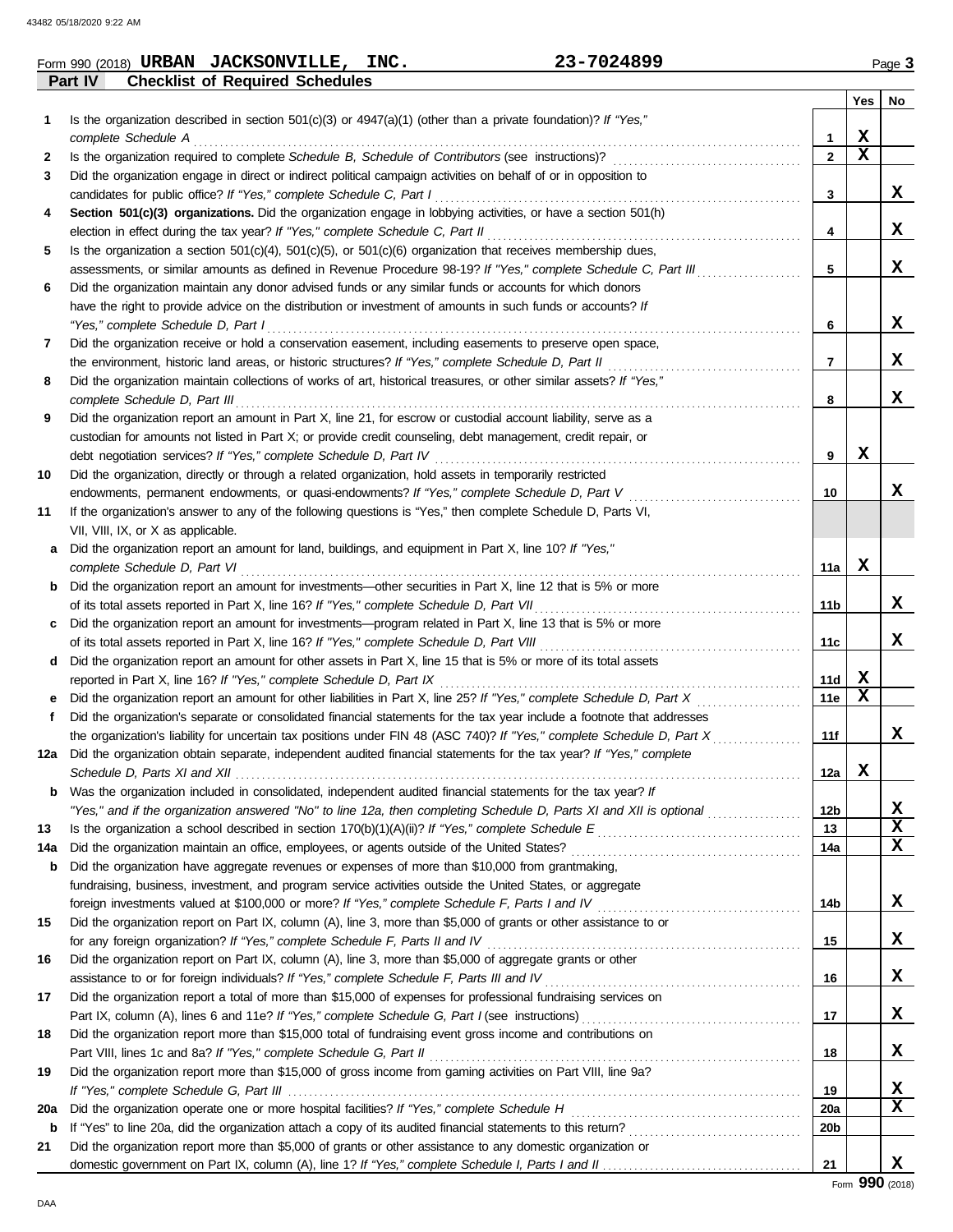**Part IV Checklist of Required Schedules**

| <b>JACKSONVILLE,</b><br>URBAN<br>Form 990 (2018) | INC. | 7024899 | $P$ ade. |
|--------------------------------------------------|------|---------|----------|
|--------------------------------------------------|------|---------|----------|

|          |                                                                                                                                                                                                                                        |              | Yes | No     |
|----------|----------------------------------------------------------------------------------------------------------------------------------------------------------------------------------------------------------------------------------------|--------------|-----|--------|
| 1        | Is the organization described in section $501(c)(3)$ or $4947(a)(1)$ (other than a private foundation)? If "Yes,"                                                                                                                      |              |     |        |
|          | complete Schedule A                                                                                                                                                                                                                    | 1            | x   |        |
| 2        | Is the organization required to complete Schedule B, Schedule of Contributors (see instructions)?                                                                                                                                      | $\mathbf{2}$ | х   |        |
| 3        | Did the organization engage in direct or indirect political campaign activities on behalf of or in opposition to                                                                                                                       |              |     |        |
|          | candidates for public office? If "Yes," complete Schedule C, Part I                                                                                                                                                                    | 3            |     | X      |
| 4        | Section 501(c)(3) organizations. Did the organization engage in lobbying activities, or have a section 501(h)                                                                                                                          |              |     |        |
|          | election in effect during the tax year? If "Yes," complete Schedule C, Part II                                                                                                                                                         | 4            |     | X      |
| 5        | Is the organization a section $501(c)(4)$ , $501(c)(5)$ , or $501(c)(6)$ organization that receives membership dues,<br>assessments, or similar amounts as defined in Revenue Procedure 98-19? If "Yes," complete Schedule C, Part III | 5            |     | x      |
| 6        | Did the organization maintain any donor advised funds or any similar funds or accounts for which donors                                                                                                                                |              |     |        |
|          | have the right to provide advice on the distribution or investment of amounts in such funds or accounts? If                                                                                                                            |              |     |        |
|          | "Yes," complete Schedule D, Part I                                                                                                                                                                                                     | 6            |     | x      |
| 7        | Did the organization receive or hold a conservation easement, including easements to preserve open space,                                                                                                                              |              |     |        |
|          | the environment, historic land areas, or historic structures? If "Yes," complete Schedule D, Part II                                                                                                                                   | 7            |     | x      |
| 8        | Did the organization maintain collections of works of art, historical treasures, or other similar assets? If "Yes,"                                                                                                                    |              |     |        |
|          | complete Schedule D, Part III                                                                                                                                                                                                          | 8            |     | x      |
| 9        | Did the organization report an amount in Part X, line 21, for escrow or custodial account liability, serve as a                                                                                                                        |              |     |        |
|          | custodian for amounts not listed in Part X; or provide credit counseling, debt management, credit repair, or                                                                                                                           |              |     |        |
|          | debt negotiation services? If "Yes," complete Schedule D, Part IV                                                                                                                                                                      | 9            | x   |        |
| 10       | Did the organization, directly or through a related organization, hold assets in temporarily restricted                                                                                                                                |              |     |        |
|          | endowments, permanent endowments, or quasi-endowments? If "Yes," complete Schedule D, Part V                                                                                                                                           | 10           |     | x      |
| 11       | If the organization's answer to any of the following questions is "Yes," then complete Schedule D, Parts VI,                                                                                                                           |              |     |        |
|          | VII, VIII, IX, or X as applicable.                                                                                                                                                                                                     |              |     |        |
| a        | Did the organization report an amount for land, buildings, and equipment in Part X, line 10? If "Yes,"                                                                                                                                 |              |     |        |
|          | complete Schedule D, Part VI                                                                                                                                                                                                           | 11a          | x   |        |
| b        | Did the organization report an amount for investments—other securities in Part X, line 12 that is 5% or more                                                                                                                           |              |     |        |
|          | of its total assets reported in Part X, line 16? If "Yes," complete Schedule D, Part VII                                                                                                                                               | 11b          |     | x      |
| c        | Did the organization report an amount for investments—program related in Part X, line 13 that is 5% or more                                                                                                                            |              |     |        |
|          | of its total assets reported in Part X, line 16? If "Yes," complete Schedule D, Part VIII                                                                                                                                              | 11c          |     | x      |
| d        | Did the organization report an amount for other assets in Part X, line 15 that is 5% or more of its total assets                                                                                                                       |              |     |        |
|          | reported in Part X, line 16? If "Yes," complete Schedule D, Part IX                                                                                                                                                                    | 11d          | X   |        |
| е        | Did the organization report an amount for other liabilities in Part X, line 25? If "Yes," complete Schedule D, Part X                                                                                                                  | 11e          | х   |        |
| f        | Did the organization's separate or consolidated financial statements for the tax year include a footnote that addresses                                                                                                                |              |     |        |
|          | the organization's liability for uncertain tax positions under FIN 48 (ASC 740)? If "Yes," complete Schedule D, Part X                                                                                                                 | 11f          |     | x      |
| 12a      | Did the organization obtain separate, independent audited financial statements for the tax year? If "Yes," complete                                                                                                                    |              |     |        |
|          | Schedule D, Parts XI and XII                                                                                                                                                                                                           | 12a          | x   |        |
|          | Was the organization included in consolidated, independent audited financial statements for the tax year? If                                                                                                                           |              |     |        |
|          | "Yes," and if the organization answered "No" to line 12a, then completing Schedule D, Parts XI and XII is optional                                                                                                                     | 12b          |     | X<br>x |
| 13       |                                                                                                                                                                                                                                        | 13           |     | x      |
| 14a<br>b | Did the organization have aggregate revenues or expenses of more than \$10,000 from grantmaking,                                                                                                                                       | 14a          |     |        |
|          | fundraising, business, investment, and program service activities outside the United States, or aggregate                                                                                                                              |              |     |        |
|          |                                                                                                                                                                                                                                        | 14b          |     | X.     |
| 15       | Did the organization report on Part IX, column (A), line 3, more than \$5,000 of grants or other assistance to or                                                                                                                      |              |     |        |
|          |                                                                                                                                                                                                                                        | 15           |     | X.     |
| 16       | Did the organization report on Part IX, column (A), line 3, more than \$5,000 of aggregate grants or other                                                                                                                             |              |     |        |
|          | assistance to or for foreign individuals? If "Yes," complete Schedule F, Parts III and IV [[[[[[[[[[[[[[[[[[[                                                                                                                          | 16           |     | X.     |
| 17       | Did the organization report a total of more than \$15,000 of expenses for professional fundraising services on                                                                                                                         |              |     |        |
|          |                                                                                                                                                                                                                                        | 17           |     | X.     |
| 18       | Did the organization report more than \$15,000 total of fundraising event gross income and contributions on                                                                                                                            |              |     |        |
|          |                                                                                                                                                                                                                                        | 18           |     | X.     |
| 19       | Did the organization report more than \$15,000 of gross income from gaming activities on Part VIII, line 9a?                                                                                                                           |              |     |        |
|          |                                                                                                                                                                                                                                        | 19           |     | x      |
| 20a      |                                                                                                                                                                                                                                        | <b>20a</b>   |     | x      |
| b        |                                                                                                                                                                                                                                        | 20b          |     |        |
| 21       | Did the organization report more than \$5,000 of grants or other assistance to any domestic organization or                                                                                                                            |              |     |        |
|          |                                                                                                                                                                                                                                        | 21           |     | x      |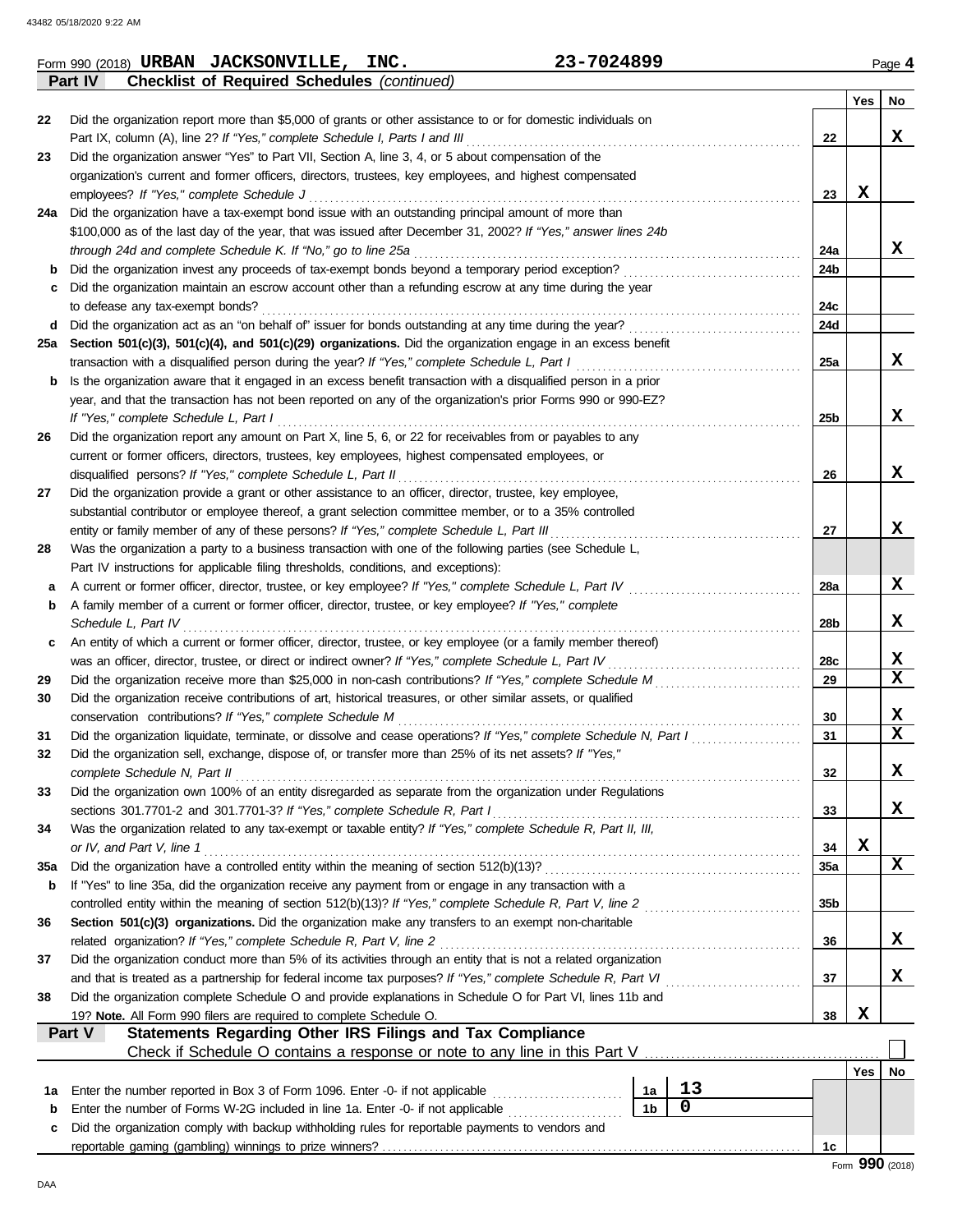|     | Part IV<br><b>Checklist of Required Schedules (continued)</b>                                                                                                               |     |                         |
|-----|-----------------------------------------------------------------------------------------------------------------------------------------------------------------------------|-----|-------------------------|
|     |                                                                                                                                                                             | Yes | No                      |
| 22  | Did the organization report more than \$5,000 of grants or other assistance to or for domestic individuals on                                                               |     |                         |
|     | Part IX, column (A), line 2? If "Yes," complete Schedule I, Parts I and III<br>22                                                                                           |     | x                       |
| 23  | Did the organization answer "Yes" to Part VII, Section A, line 3, 4, or 5 about compensation of the                                                                         |     |                         |
|     | organization's current and former officers, directors, trustees, key employees, and highest compensated                                                                     |     |                         |
|     | employees? If "Yes," complete Schedule J<br>23                                                                                                                              | x   |                         |
| 24a | Did the organization have a tax-exempt bond issue with an outstanding principal amount of more than                                                                         |     |                         |
|     | \$100,000 as of the last day of the year, that was issued after December 31, 2002? If "Yes," answer lines 24b                                                               |     |                         |
|     | through 24d and complete Schedule K. If "No," go to line 25a<br>24a                                                                                                         |     | x                       |
| b   | Did the organization invest any proceeds of tax-exempt bonds beyond a temporary period exception?<br>24b                                                                    |     |                         |
| c   | Did the organization maintain an escrow account other than a refunding escrow at any time during the year<br>24c<br>to defease any tax-exempt bonds?                        |     |                         |
| d   | 24d                                                                                                                                                                         |     |                         |
| 25a | Section 501(c)(3), 501(c)(4), and 501(c)(29) organizations. Did the organization engage in an excess benefit                                                                |     |                         |
|     | transaction with a disqualified person during the year? If "Yes," complete Schedule L, Part I<br>25a                                                                        |     | X                       |
| b   | Is the organization aware that it engaged in an excess benefit transaction with a disqualified person in a prior                                                            |     |                         |
|     | year, and that the transaction has not been reported on any of the organization's prior Forms 990 or 990-EZ?                                                                |     |                         |
|     | If "Yes," complete Schedule L, Part I<br>25 <sub>b</sub>                                                                                                                    |     | x                       |
| 26  | Did the organization report any amount on Part X, line 5, 6, or 22 for receivables from or payables to any                                                                  |     |                         |
|     | current or former officers, directors, trustees, key employees, highest compensated employees, or                                                                           |     |                         |
|     | disqualified persons? If "Yes," complete Schedule L, Part II<br>26                                                                                                          |     | x                       |
| 27  | Did the organization provide a grant or other assistance to an officer, director, trustee, key employee,                                                                    |     |                         |
|     | substantial contributor or employee thereof, a grant selection committee member, or to a 35% controlled                                                                     |     |                         |
|     | entity or family member of any of these persons? If "Yes," complete Schedule L, Part III<br>27                                                                              |     | x                       |
| 28  | Was the organization a party to a business transaction with one of the following parties (see Schedule L,                                                                   |     |                         |
|     | Part IV instructions for applicable filing thresholds, conditions, and exceptions):                                                                                         |     |                         |
| а   | A current or former officer, director, trustee, or key employee? If "Yes," complete Schedule L, Part IV<br>28a                                                              |     | X                       |
| b   | A family member of a current or former officer, director, trustee, or key employee? If "Yes," complete                                                                      |     |                         |
|     | Schedule L, Part IV<br>28 <sub>b</sub>                                                                                                                                      |     | x                       |
| c   | An entity of which a current or former officer, director, trustee, or key employee (or a family member thereof)                                                             |     |                         |
|     | was an officer, director, trustee, or direct or indirect owner? If "Yes," complete Schedule L, Part IV<br>28c                                                               |     | X                       |
| 29  | 29                                                                                                                                                                          |     | $\overline{\mathbf{x}}$ |
| 30  | Did the organization receive contributions of art, historical treasures, or other similar assets, or qualified                                                              |     |                         |
|     | conservation contributions? If "Yes," complete Schedule M<br>30                                                                                                             |     | X                       |
| 31  | Did the organization liquidate, terminate, or dissolve and cease operations? If "Yes," complete Schedule N, Part I<br>31                                                    |     | $\overline{\mathbf{x}}$ |
| 32  | Did the organization sell, exchange, dispose of, or transfer more than 25% of its net assets? If "Yes,"                                                                     |     |                         |
|     | 32<br>complete Schedule N, Part II                                                                                                                                          |     | х                       |
| 33  | Did the organization own 100% of an entity disregarded as separate from the organization under Regulations                                                                  |     |                         |
|     | sections 301.7701-2 and 301.7701-3? If "Yes," complete Schedule R, Part I<br>33                                                                                             |     | x                       |
| 34  | Was the organization related to any tax-exempt or taxable entity? If "Yes," complete Schedule R, Part II, III,                                                              |     |                         |
|     | or IV, and Part V, line 1<br>34                                                                                                                                             | X   |                         |
| 35a | 35a                                                                                                                                                                         |     | X                       |
| b   | If "Yes" to line 35a, did the organization receive any payment from or engage in any transaction with a                                                                     |     |                         |
|     | controlled entity within the meaning of section 512(b)(13)? If "Yes," complete Schedule R, Part V, line 2<br>35 <sub>b</sub>                                                |     |                         |
| 36  | Section 501(c)(3) organizations. Did the organization make any transfers to an exempt non-charitable<br>related organization? If "Yes," complete Schedule R, Part V, line 2 |     | X                       |
|     | 36<br>Did the organization conduct more than 5% of its activities through an entity that is not a related organization                                                      |     |                         |
| 37  | 37                                                                                                                                                                          |     | x                       |
| 38  | Did the organization complete Schedule O and provide explanations in Schedule O for Part VI, lines 11b and                                                                  |     |                         |
|     | 19? Note. All Form 990 filers are required to complete Schedule O.<br>38                                                                                                    | X   |                         |
|     | Part V<br>Statements Regarding Other IRS Filings and Tax Compliance                                                                                                         |     |                         |
|     |                                                                                                                                                                             |     |                         |
|     |                                                                                                                                                                             | Yes | No                      |
| 1a  | 13<br>Enter the number reported in Box 3 of Form 1096. Enter -0- if not applicable <i>mumment</i> in the number<br>1a                                                       |     |                         |
| b   | $\mathbf 0$<br>1 <sub>b</sub><br>Enter the number of Forms W-2G included in line 1a. Enter -0- if not applicable                                                            |     |                         |
| c   | Did the organization comply with backup withholding rules for reportable payments to vendors and                                                                            |     |                         |
|     | 1c                                                                                                                                                                          |     |                         |
|     |                                                                                                                                                                             |     | Form 990 (2018)         |

**URBAN JACKSONVILLE, INC. 23-7024899**

DAA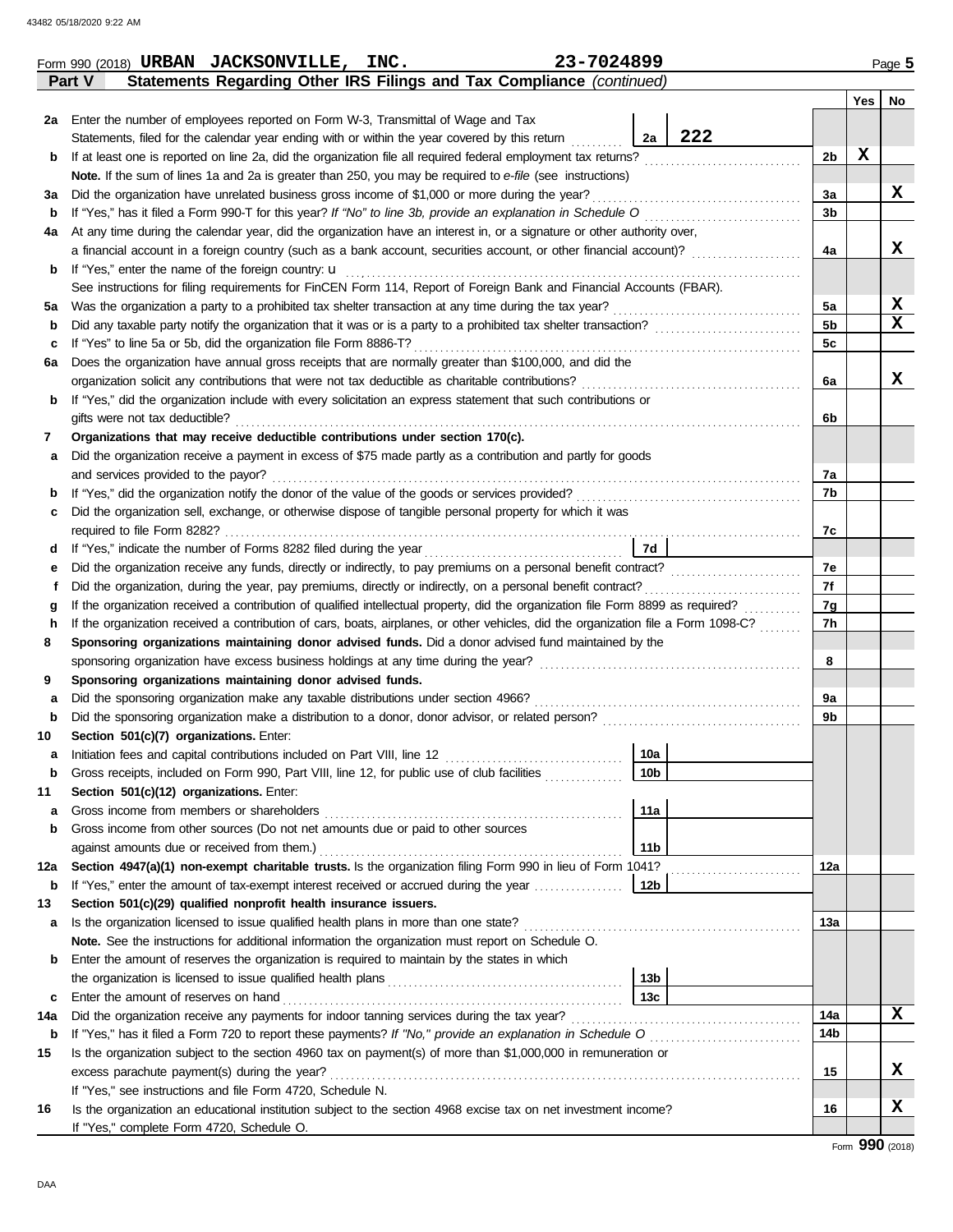|     | Statements Regarding Other IRS Filings and Tax Compliance (continued)<br>Part V                                                                                                                                                                                             |                 |     |          |     |                 |  |  |  |  |
|-----|-----------------------------------------------------------------------------------------------------------------------------------------------------------------------------------------------------------------------------------------------------------------------------|-----------------|-----|----------|-----|-----------------|--|--|--|--|
|     |                                                                                                                                                                                                                                                                             |                 |     |          | Yes | No              |  |  |  |  |
| 2a  | Enter the number of employees reported on Form W-3, Transmittal of Wage and Tax                                                                                                                                                                                             |                 |     |          |     |                 |  |  |  |  |
|     | Statements, filed for the calendar year ending with or within the year covered by this return                                                                                                                                                                               | 2a              | 222 |          |     |                 |  |  |  |  |
| b   | If at least one is reported on line 2a, did the organization file all required federal employment tax returns?                                                                                                                                                              |                 |     | 2b       | X   |                 |  |  |  |  |
|     | Note. If the sum of lines 1a and 2a is greater than 250, you may be required to e-file (see instructions)                                                                                                                                                                   |                 |     |          |     |                 |  |  |  |  |
| За  | Did the organization have unrelated business gross income of \$1,000 or more during the year?                                                                                                                                                                               |                 |     | За       |     | X               |  |  |  |  |
| b   |                                                                                                                                                                                                                                                                             |                 |     | 3b       |     |                 |  |  |  |  |
| 4a  | At any time during the calendar year, did the organization have an interest in, or a signature or other authority over,                                                                                                                                                     |                 |     |          |     |                 |  |  |  |  |
|     | a financial account in a foreign country (such as a bank account, securities account, or other financial account)?                                                                                                                                                          |                 |     | 4a       |     | x               |  |  |  |  |
| b   | If "Yes," enter the name of the foreign country: $\mathbf u$                                                                                                                                                                                                                |                 |     |          |     |                 |  |  |  |  |
|     | See instructions for filing requirements for FinCEN Form 114, Report of Foreign Bank and Financial Accounts (FBAR).                                                                                                                                                         |                 |     | 5a       |     | X               |  |  |  |  |
| 5а  |                                                                                                                                                                                                                                                                             |                 |     |          |     |                 |  |  |  |  |
| b   |                                                                                                                                                                                                                                                                             |                 |     |          |     |                 |  |  |  |  |
| c   | If "Yes" to line 5a or 5b, did the organization file Form 8886-T?                                                                                                                                                                                                           |                 |     | 5c       |     |                 |  |  |  |  |
| 6а  | Does the organization have annual gross receipts that are normally greater than \$100,000, and did the                                                                                                                                                                      |                 |     |          |     |                 |  |  |  |  |
|     | organization solicit any contributions that were not tax deductible as charitable contributions?                                                                                                                                                                            |                 |     | 6a       |     | x               |  |  |  |  |
| b   | If "Yes," did the organization include with every solicitation an express statement that such contributions or                                                                                                                                                              |                 |     |          |     |                 |  |  |  |  |
|     | gifts were not tax deductible?                                                                                                                                                                                                                                              |                 |     | 6b       |     |                 |  |  |  |  |
| 7   | Organizations that may receive deductible contributions under section 170(c).                                                                                                                                                                                               |                 |     |          |     |                 |  |  |  |  |
| а   | Did the organization receive a payment in excess of \$75 made partly as a contribution and partly for goods                                                                                                                                                                 |                 |     |          |     |                 |  |  |  |  |
|     | and services provided to the payor?                                                                                                                                                                                                                                         |                 |     | 7a       |     |                 |  |  |  |  |
| b   |                                                                                                                                                                                                                                                                             |                 |     | 7b       |     |                 |  |  |  |  |
| c   | Did the organization sell, exchange, or otherwise dispose of tangible personal property for which it was                                                                                                                                                                    |                 |     |          |     |                 |  |  |  |  |
|     |                                                                                                                                                                                                                                                                             |                 |     | 7c       |     |                 |  |  |  |  |
| d   |                                                                                                                                                                                                                                                                             | 7d              |     |          |     |                 |  |  |  |  |
| е   |                                                                                                                                                                                                                                                                             |                 |     | 7e       |     |                 |  |  |  |  |
| f   | Did the organization, during the year, pay premiums, directly or indirectly, on a personal benefit contract?                                                                                                                                                                |                 |     | 7f<br>7g |     |                 |  |  |  |  |
| g   | If the organization received a contribution of qualified intellectual property, did the organization file Form 8899 as required?<br>If the organization received a contribution of cars, boats, airplanes, or other vehicles, did the organization file a Form 1098-C?<br>h |                 |     |          |     |                 |  |  |  |  |
|     |                                                                                                                                                                                                                                                                             |                 |     | 7h       |     |                 |  |  |  |  |
| 8   | Sponsoring organizations maintaining donor advised funds. Did a donor advised fund maintained by the                                                                                                                                                                        |                 |     | 8        |     |                 |  |  |  |  |
|     |                                                                                                                                                                                                                                                                             |                 |     |          |     |                 |  |  |  |  |
| 9   | Sponsoring organizations maintaining donor advised funds.<br>Did the sponsoring organization make any taxable distributions under section 4966?                                                                                                                             |                 |     | 9а       |     |                 |  |  |  |  |
| a   |                                                                                                                                                                                                                                                                             |                 |     | 9b       |     |                 |  |  |  |  |
| b   | Section 501(c)(7) organizations. Enter:                                                                                                                                                                                                                                     |                 |     |          |     |                 |  |  |  |  |
| 10  |                                                                                                                                                                                                                                                                             | 10a             |     |          |     |                 |  |  |  |  |
|     | Gross receipts, included on Form 990, Part VIII, line 12, for public use of club facilities                                                                                                                                                                                 | 10 <sub>b</sub> |     |          |     |                 |  |  |  |  |
| 11  | Section 501(c)(12) organizations. Enter:                                                                                                                                                                                                                                    |                 |     |          |     |                 |  |  |  |  |
| a   | Gross income from members or shareholders                                                                                                                                                                                                                                   | 11a             |     |          |     |                 |  |  |  |  |
| b   | Gross income from other sources (Do not net amounts due or paid to other sources                                                                                                                                                                                            |                 |     |          |     |                 |  |  |  |  |
|     |                                                                                                                                                                                                                                                                             | 11b             |     |          |     |                 |  |  |  |  |
| 12a | Section 4947(a)(1) non-exempt charitable trusts. Is the organization filing Form 990 in lieu of Form 1041?                                                                                                                                                                  |                 |     | 12a      |     |                 |  |  |  |  |
| b   | If "Yes," enter the amount of tax-exempt interest received or accrued during the year                                                                                                                                                                                       | 12b             |     |          |     |                 |  |  |  |  |
| 13  | Section 501(c)(29) qualified nonprofit health insurance issuers.                                                                                                                                                                                                            |                 |     |          |     |                 |  |  |  |  |
| a   | Is the organization licensed to issue qualified health plans in more than one state?                                                                                                                                                                                        |                 |     | 13a      |     |                 |  |  |  |  |
|     | Note. See the instructions for additional information the organization must report on Schedule O.                                                                                                                                                                           |                 |     |          |     |                 |  |  |  |  |
| b   | Enter the amount of reserves the organization is required to maintain by the states in which                                                                                                                                                                                |                 |     |          |     |                 |  |  |  |  |
|     |                                                                                                                                                                                                                                                                             | 13b             |     |          |     |                 |  |  |  |  |
| c   | Enter the amount of reserves on hand                                                                                                                                                                                                                                        | 13с             |     |          |     |                 |  |  |  |  |
| 14a | Did the organization receive any payments for indoor tanning services during the tax year?                                                                                                                                                                                  |                 |     | 14a      |     | X               |  |  |  |  |
| b   |                                                                                                                                                                                                                                                                             |                 |     | 14b      |     |                 |  |  |  |  |
| 15  | Is the organization subject to the section 4960 tax on payment(s) of more than \$1,000,000 in remuneration or                                                                                                                                                               |                 |     |          |     |                 |  |  |  |  |
|     | excess parachute payment(s) during the year?                                                                                                                                                                                                                                |                 |     | 15       |     | X.              |  |  |  |  |
|     | If "Yes," see instructions and file Form 4720, Schedule N.                                                                                                                                                                                                                  |                 |     |          |     |                 |  |  |  |  |
| 16  | Is the organization an educational institution subject to the section 4968 excise tax on net investment income?                                                                                                                                                             |                 |     | 16       |     | X               |  |  |  |  |
|     | If "Yes," complete Form 4720, Schedule O.                                                                                                                                                                                                                                   |                 |     |          |     |                 |  |  |  |  |
|     |                                                                                                                                                                                                                                                                             |                 |     |          |     | $000 \text{ m}$ |  |  |  |  |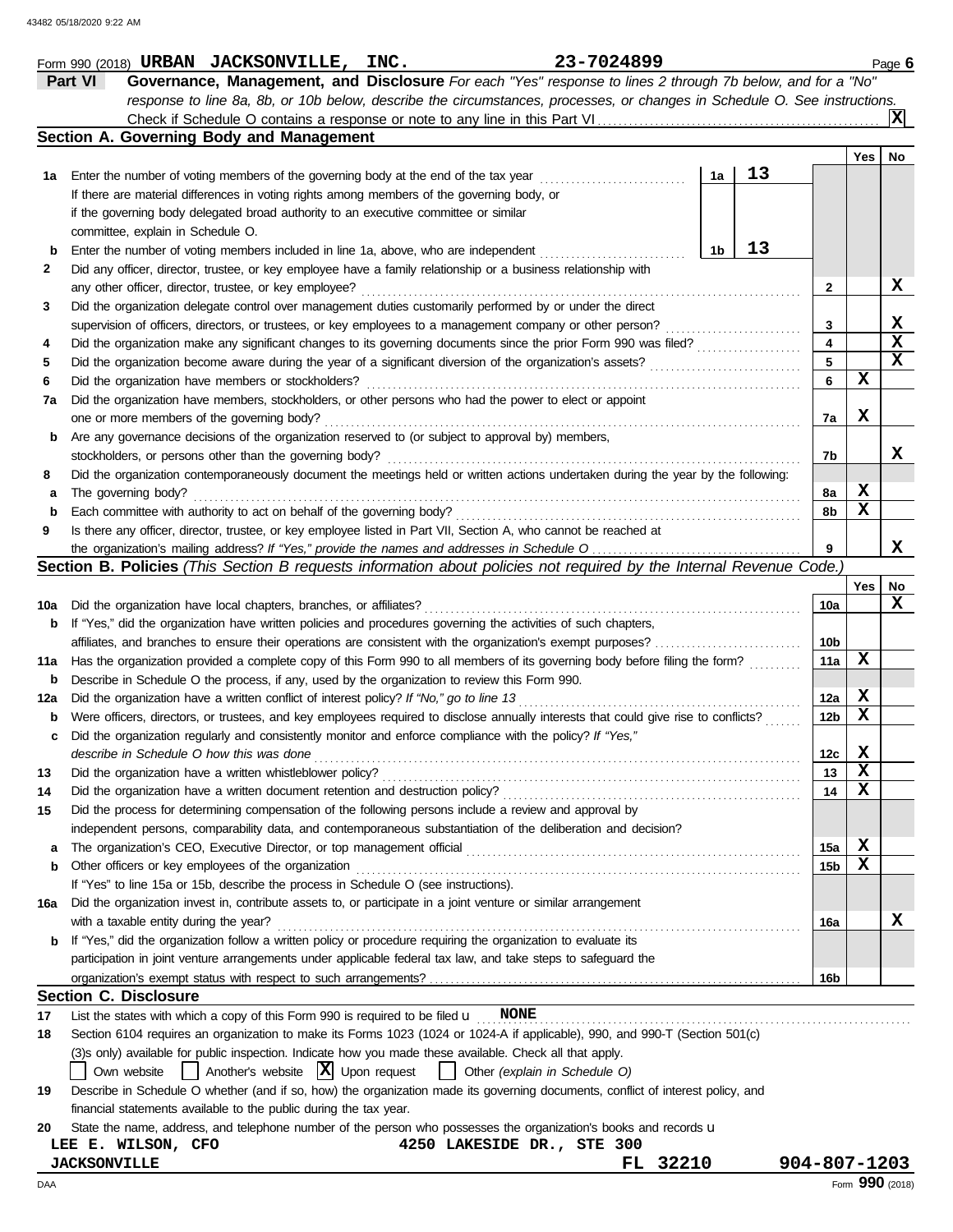|     | 23-7024899<br>Form 990 (2018) URBAN JACKSONVILLE, INC.                                                                              |    |                 |     | Page 6          |
|-----|-------------------------------------------------------------------------------------------------------------------------------------|----|-----------------|-----|-----------------|
|     | Governance, Management, and Disclosure For each "Yes" response to lines 2 through 7b below, and for a "No"<br>Part VI               |    |                 |     |                 |
|     | response to line 8a, 8b, or 10b below, describe the circumstances, processes, or changes in Schedule O. See instructions.           |    |                 |     |                 |
|     |                                                                                                                                     |    |                 |     | ΙXΙ             |
|     | Section A. Governing Body and Management                                                                                            |    |                 |     |                 |
|     |                                                                                                                                     |    |                 | Yes | No              |
| 1a  | Enter the number of voting members of the governing body at the end of the tax year<br>1a                                           | 13 |                 |     |                 |
|     | If there are material differences in voting rights among members of the governing body, or                                          |    |                 |     |                 |
|     | if the governing body delegated broad authority to an executive committee or similar                                                |    |                 |     |                 |
|     | committee, explain in Schedule O.                                                                                                   |    |                 |     |                 |
| b   | 1b<br>Enter the number of voting members included in line 1a, above, who are independent                                            | 13 |                 |     |                 |
| 2   | Did any officer, director, trustee, or key employee have a family relationship or a business relationship with                      |    |                 |     |                 |
|     | any other officer, director, trustee, or key employee?                                                                              |    | $\mathbf{2}$    |     | X               |
| 3   | Did the organization delegate control over management duties customarily performed by or under the direct                           |    |                 |     |                 |
|     | supervision of officers, directors, or trustees, or key employees to a management company or other person?                          |    | 3               |     | X               |
| 4   | Did the organization make any significant changes to its governing documents since the prior Form 990 was filed?                    |    | 4               |     | $\mathbf x$     |
| 5   | Did the organization become aware during the year of a significant diversion of the organization's assets?                          |    | 5               |     | X               |
| 6   | Did the organization have members or stockholders?                                                                                  |    | 6               | X   |                 |
| 7a  | Did the organization have members, stockholders, or other persons who had the power to elect or appoint                             |    |                 |     |                 |
|     | one or more members of the governing body?                                                                                          |    | 7a              | X   |                 |
| b   | Are any governance decisions of the organization reserved to (or subject to approval by) members,                                   |    |                 |     |                 |
|     | stockholders, or persons other than the governing body?                                                                             |    | 7b              |     | x               |
| 8   | Did the organization contemporaneously document the meetings held or written actions undertaken during the year by the following:   |    |                 |     |                 |
| а   | The governing body?                                                                                                                 |    | 8a              | X   |                 |
| b   | Each committee with authority to act on behalf of the governing body?                                                               |    | 8b              | X   |                 |
| 9   | Is there any officer, director, trustee, or key employee listed in Part VII, Section A, who cannot be reached at                    |    |                 |     |                 |
|     |                                                                                                                                     |    | 9               |     | x               |
|     | <b>Section B. Policies</b> (This Section B requests information about policies not required by the Internal Revenue Code.)          |    |                 |     |                 |
|     |                                                                                                                                     |    |                 | Yes | No              |
| 10a | Did the organization have local chapters, branches, or affiliates?                                                                  |    | 10a             |     | x               |
| b   | If "Yes," did the organization have written policies and procedures governing the activities of such chapters,                      |    |                 |     |                 |
|     | affiliates, and branches to ensure their operations are consistent with the organization's exempt purposes?                         |    | 10b             |     |                 |
| 11a | Has the organization provided a complete copy of this Form 990 to all members of its governing body before filing the form?         |    | 11a             | x   |                 |
| b   | Describe in Schedule O the process, if any, used by the organization to review this Form 990.                                       |    |                 |     |                 |
| 12a | Did the organization have a written conflict of interest policy? If "No," go to line 13                                             |    | 12a             | X   |                 |
| b   | Were officers, directors, or trustees, and key employees required to disclose annually interests that could give rise to conflicts? |    | 12 <sub>b</sub> | X   |                 |
| c   | Did the organization regularly and consistently monitor and enforce compliance with the policy? If "Yes,"                           |    |                 |     |                 |
|     | describe in Schedule O how this was done                                                                                            |    | 12c             | X   |                 |
| 13  | Did the organization have a written whistleblower policy?                                                                           |    | 13              | X   |                 |
| 14  | Did the organization have a written document retention and destruction policy?                                                      |    | 14              | X   |                 |
| 15  | Did the process for determining compensation of the following persons include a review and approval by                              |    |                 |     |                 |
|     | independent persons, comparability data, and contemporaneous substantiation of the deliberation and decision?                       |    |                 |     |                 |
| a   |                                                                                                                                     |    | 15a             | X   |                 |
| b   | Other officers or key employees of the organization                                                                                 |    | 15 <sub>b</sub> | X   |                 |
|     | If "Yes" to line 15a or 15b, describe the process in Schedule O (see instructions).                                                 |    |                 |     |                 |
| 16a | Did the organization invest in, contribute assets to, or participate in a joint venture or similar arrangement                      |    |                 |     |                 |
|     | with a taxable entity during the year?                                                                                              |    | 16a             |     | x               |
|     | If "Yes," did the organization follow a written policy or procedure requiring the organization to evaluate its                      |    |                 |     |                 |
|     | participation in joint venture arrangements under applicable federal tax law, and take steps to safeguard the                       |    |                 |     |                 |
|     |                                                                                                                                     |    | 16 <sub>b</sub> |     |                 |
|     | <b>Section C. Disclosure</b>                                                                                                        |    |                 |     |                 |
| 17  | List the states with which a copy of this Form 990 is required to be filed $\mathbf{u}$ MONE                                        |    |                 |     |                 |
| 18  | Section 6104 requires an organization to make its Forms 1023 (1024 or 1024-A if applicable), 990, and 990-T (Section 501(c)         |    |                 |     |                 |
|     | (3)s only) available for public inspection. Indicate how you made these available. Check all that apply.                            |    |                 |     |                 |
|     | Another's website $ \mathbf{X} $ Upon request<br>Own website<br>Other (explain in Schedule O)                                       |    |                 |     |                 |
| 19  | Describe in Schedule O whether (and if so, how) the organization made its governing documents, conflict of interest policy, and     |    |                 |     |                 |
|     | financial statements available to the public during the tax year.                                                                   |    |                 |     |                 |
| 20  | State the name, address, and telephone number of the person who possesses the organization's books and records u                    |    |                 |     |                 |
|     | 4250 LAKESIDE DR., STE 300<br>LEE E. WILSON, CFO                                                                                    |    |                 |     |                 |
|     | 32210<br><b>JACKSONVILLE</b><br>FL.                                                                                                 |    | 904-807-1203    |     |                 |
| DAA |                                                                                                                                     |    |                 |     | Form 990 (2018) |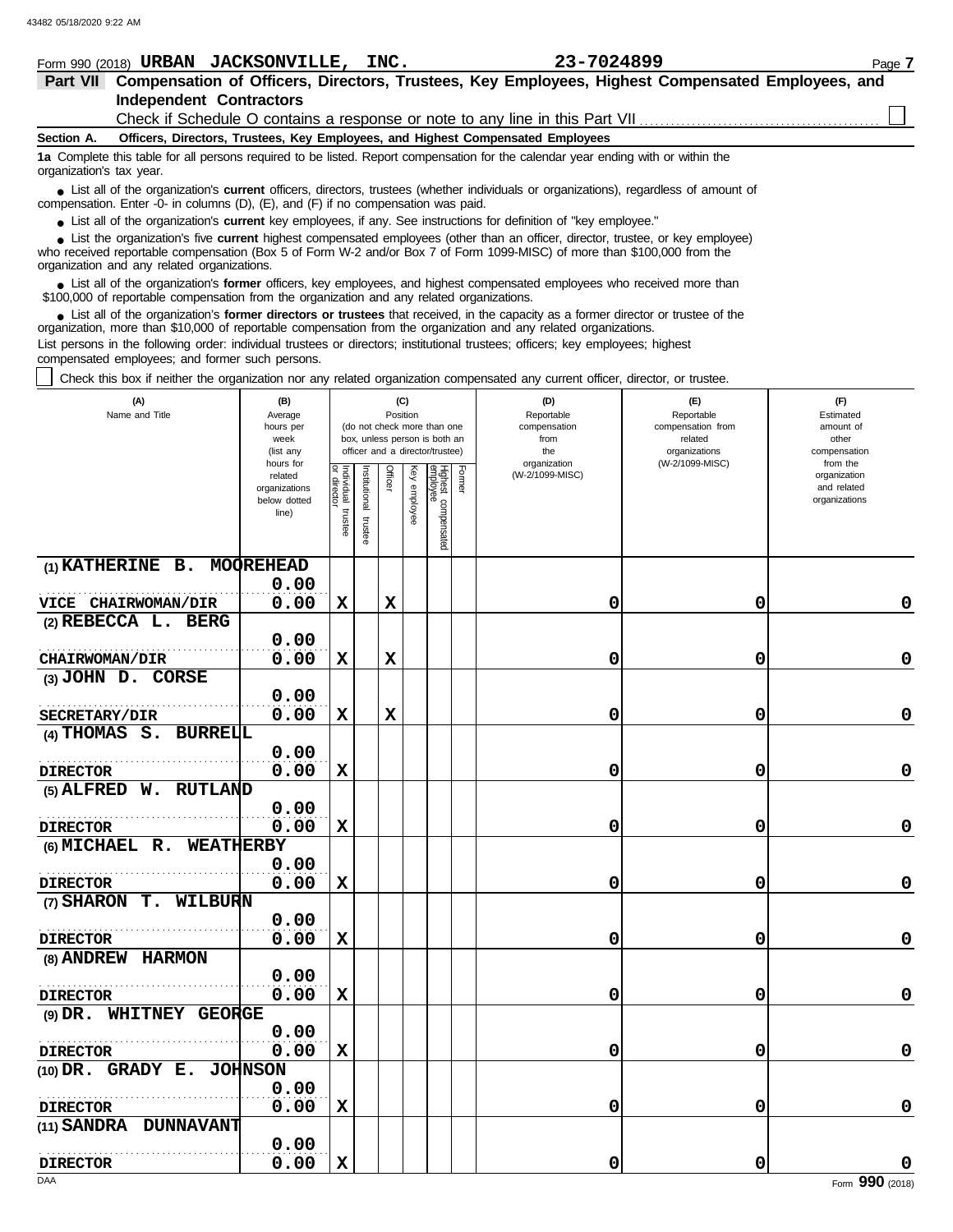|                          |                                                                                                                                                                                                                                                             | Form 990 (2018) URBAN JACKSONVILLE, INC. |  | 23-7024899                                                                                                                        | Page 7 |  |  |  |  |
|--------------------------|-------------------------------------------------------------------------------------------------------------------------------------------------------------------------------------------------------------------------------------------------------------|------------------------------------------|--|-----------------------------------------------------------------------------------------------------------------------------------|--------|--|--|--|--|
| <b>Part VII</b>          |                                                                                                                                                                                                                                                             |                                          |  | Compensation of Officers, Directors, Trustees, Key Employees, Highest Compensated Employees, and                                  |        |  |  |  |  |
|                          |                                                                                                                                                                                                                                                             | <b>Independent Contractors</b>           |  |                                                                                                                                   |        |  |  |  |  |
|                          |                                                                                                                                                                                                                                                             |                                          |  | Check if Schedule O contains a response or note to any line in this Part VII                                                      |        |  |  |  |  |
| Section A.               |                                                                                                                                                                                                                                                             |                                          |  | Officers, Directors, Trustees, Key Employees, and Highest Compensated Employees                                                   |        |  |  |  |  |
| organization's tax year. |                                                                                                                                                                                                                                                             |                                          |  | 1a Complete this table for all persons required to be listed. Report compensation for the calendar year ending with or within the |        |  |  |  |  |
|                          | • List all of the organization's current officers, directors, trustees (whether individuals or organizations), regardless of amount of<br>compensation. Enter -0- in columns (D), (E), and (F) if no compensation was paid.                                 |                                          |  |                                                                                                                                   |        |  |  |  |  |
|                          |                                                                                                                                                                                                                                                             |                                          |  | • List all of the organization's current key employees, if any. See instructions for definition of "key employee."                |        |  |  |  |  |
|                          | • List the organization's five current highest compensated employees (other than an officer, director, trustee, or key employee)<br>who received reportable compensation (Boy 5 of Form W 2 and/or Boy 7 of Form 1000 MISC) of mero than \$100,000 from the |                                          |  |                                                                                                                                   |        |  |  |  |  |

who received reportable compensation (Box 5 of Form W-2 and/or Box 7 of Form 1099-MISC) of more than \$100,000 from the organization and any related organizations.

List all of the organization's **former** officers, key employees, and highest compensated employees who received more than • List all of the organization's former officers, key employees, and highest compensate \$100,000 of reportable compensation from the organization and any related organizations.

List all of the organization's **former directors or trustees** that received, in the capacity as a former director or trustee of the **•** organization, more than \$10,000 of reportable compensation from the organization and any related organizations. List persons in the following order: individual trustees or directors; institutional trustees; officers; key employees; highest

compensated employees; and former such persons.

Check this box if neither the organization nor any related organization compensated any current officer, director, or trustee.

| (A)<br>Name and Title                      | (B)<br>Average<br>hours per<br>week<br>(list any               |                                      |                         | Position    | (C)             | (do not check more than one<br>box, unless person is both an<br>officer and a director/trustee) |        | (D)<br>Reportable<br>compensation<br>from<br>the<br>organization | (E)<br>Reportable<br>compensation from<br>related<br>organizations<br>(W-2/1099-MISC) | (F)<br>Estimated<br>amount of<br>other<br>compensation<br>from the |
|--------------------------------------------|----------------------------------------------------------------|--------------------------------------|-------------------------|-------------|-----------------|-------------------------------------------------------------------------------------------------|--------|------------------------------------------------------------------|---------------------------------------------------------------------------------------|--------------------------------------------------------------------|
|                                            | hours for<br>related<br>organizations<br>below dotted<br>line) | Individual<br>or director<br>trustee | nstitutional<br>trustee | Officer     | Ķey<br>employee | -lighest compensated<br>employee                                                                | Former | (W-2/1099-MISC)                                                  |                                                                                       | organization<br>and related<br>organizations                       |
| (1) KATHERINE B. MOOREHEAD                 |                                                                |                                      |                         |             |                 |                                                                                                 |        |                                                                  |                                                                                       |                                                                    |
|                                            | 0.00                                                           |                                      |                         |             |                 |                                                                                                 |        |                                                                  |                                                                                       |                                                                    |
| VICE CHAIRWOMAN/DIR                        | 0.00                                                           | $\mathbf x$                          |                         | $\mathbf x$ |                 |                                                                                                 |        | 0                                                                | 0                                                                                     | 0                                                                  |
| (2) REBECCA L. BERG                        |                                                                |                                      |                         |             |                 |                                                                                                 |        |                                                                  |                                                                                       |                                                                    |
|                                            | 0.00                                                           |                                      |                         |             |                 |                                                                                                 |        |                                                                  |                                                                                       |                                                                    |
| <b>CHAIRWOMAN/DIR</b><br>(3) JOHN D. CORSE | 0.00                                                           | $\mathbf x$                          |                         | $\mathbf x$ |                 |                                                                                                 |        | 0                                                                | 0                                                                                     | 0                                                                  |
|                                            | 0.00                                                           |                                      |                         |             |                 |                                                                                                 |        |                                                                  |                                                                                       |                                                                    |
| SECRETARY/DIR                              | 0.00                                                           | $\mathbf x$                          |                         | $\mathbf x$ |                 |                                                                                                 |        | 0                                                                | 0                                                                                     | 0                                                                  |
| (4) THOMAS S. BURRELL                      |                                                                |                                      |                         |             |                 |                                                                                                 |        |                                                                  |                                                                                       |                                                                    |
|                                            | 0.00                                                           |                                      |                         |             |                 |                                                                                                 |        |                                                                  |                                                                                       |                                                                    |
| <b>DIRECTOR</b>                            | 0.00                                                           | $\mathbf x$                          |                         |             |                 |                                                                                                 |        | 0                                                                | 0                                                                                     | 0                                                                  |
| (5) ALFRED W. RUTLAND                      |                                                                |                                      |                         |             |                 |                                                                                                 |        |                                                                  |                                                                                       |                                                                    |
|                                            | 0.00                                                           |                                      |                         |             |                 |                                                                                                 |        |                                                                  |                                                                                       |                                                                    |
| <b>DIRECTOR</b>                            | 0.00                                                           | X                                    |                         |             |                 |                                                                                                 |        | 0                                                                | 0                                                                                     | 0                                                                  |
| (6) MICHAEL R. WEATHERBY                   |                                                                |                                      |                         |             |                 |                                                                                                 |        |                                                                  |                                                                                       |                                                                    |
|                                            | 0.00                                                           |                                      |                         |             |                 |                                                                                                 |        |                                                                  |                                                                                       |                                                                    |
| <b>DIRECTOR</b>                            | 0.00                                                           | $\mathbf x$                          |                         |             |                 |                                                                                                 |        | 0                                                                | 0                                                                                     | 0                                                                  |
| (7) SHARON T. WILBURN                      |                                                                |                                      |                         |             |                 |                                                                                                 |        |                                                                  |                                                                                       |                                                                    |
|                                            | 0.00                                                           |                                      |                         |             |                 |                                                                                                 |        |                                                                  |                                                                                       |                                                                    |
| <b>DIRECTOR</b>                            | 0.00                                                           | х                                    |                         |             |                 |                                                                                                 |        | 0                                                                | 0                                                                                     | 0                                                                  |
| (8) ANDREW HARMON                          |                                                                |                                      |                         |             |                 |                                                                                                 |        |                                                                  |                                                                                       |                                                                    |
|                                            | 0.00                                                           |                                      |                         |             |                 |                                                                                                 |        |                                                                  |                                                                                       | 0                                                                  |
| <b>DIRECTOR</b><br>(9) DR. WHITNEY GEORGE  | 0.00                                                           | X                                    |                         |             |                 |                                                                                                 |        | 0                                                                | 0                                                                                     |                                                                    |
|                                            | 0.00                                                           |                                      |                         |             |                 |                                                                                                 |        |                                                                  |                                                                                       |                                                                    |
| <b>DIRECTOR</b>                            | 0.00                                                           | $\mathbf x$                          |                         |             |                 |                                                                                                 |        | 0                                                                | 0                                                                                     | 0                                                                  |
| (10) DR. GRADY E. JOHNSON                  |                                                                |                                      |                         |             |                 |                                                                                                 |        |                                                                  |                                                                                       |                                                                    |
|                                            | 0.00                                                           |                                      |                         |             |                 |                                                                                                 |        |                                                                  |                                                                                       |                                                                    |
| <b>DIRECTOR</b>                            | 0.00                                                           | X                                    |                         |             |                 |                                                                                                 |        | 0                                                                | 0                                                                                     | 0                                                                  |
| (11) SANDRA DUNNAVANT                      |                                                                |                                      |                         |             |                 |                                                                                                 |        |                                                                  |                                                                                       |                                                                    |
|                                            | 0.00                                                           |                                      |                         |             |                 |                                                                                                 |        |                                                                  |                                                                                       |                                                                    |
| <b>DIRECTOR</b>                            | 0.00                                                           | X                                    |                         |             |                 |                                                                                                 |        | 0                                                                | 0                                                                                     |                                                                    |
| DAA                                        |                                                                |                                      |                         |             |                 |                                                                                                 |        |                                                                  |                                                                                       | Form 990 (2018)                                                    |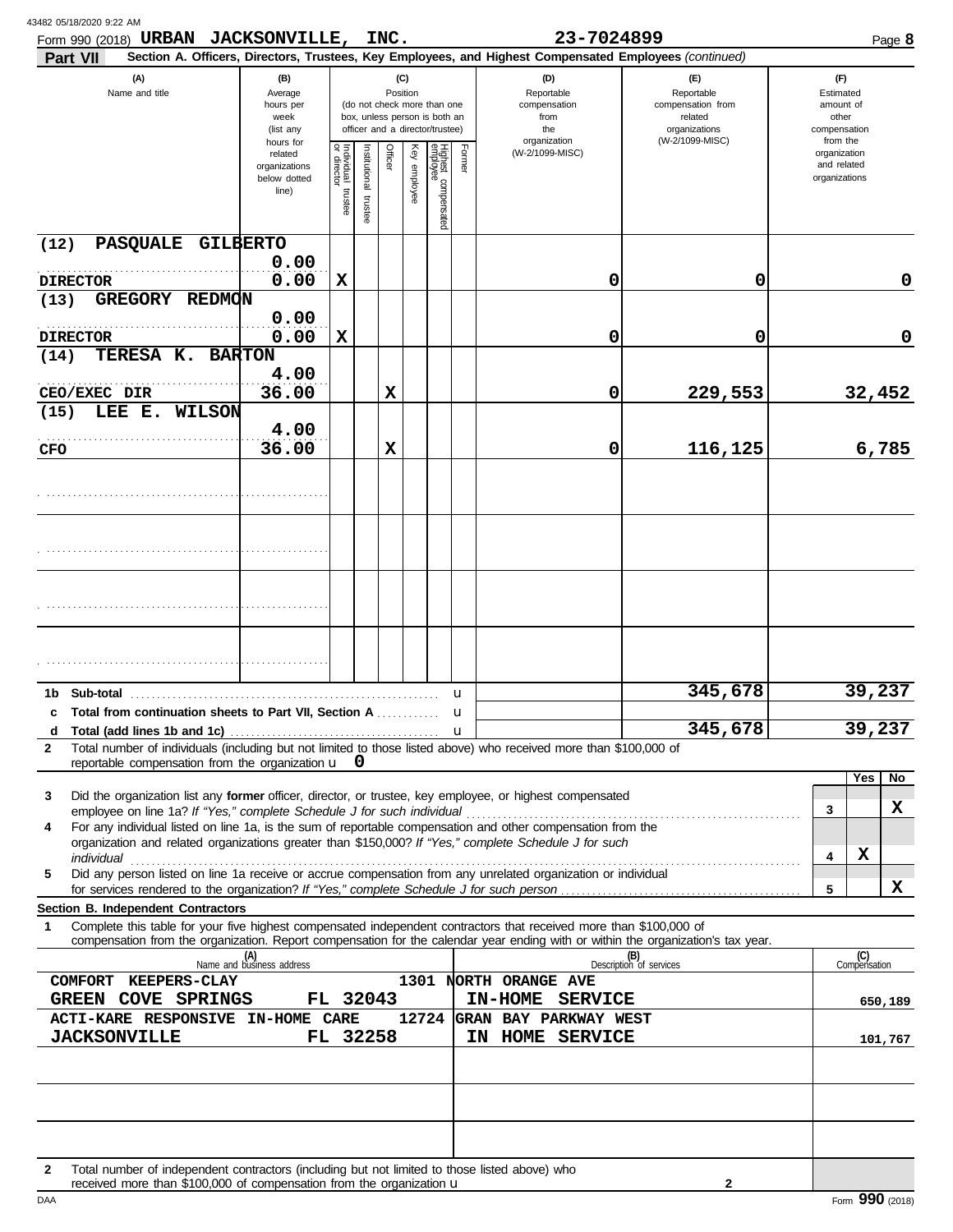| Form 990 (2018) URBAN JACKSONVILLE, INC.                                                                                                                                                                                                                    |                                                                |                                                                                                                                                                                                                              |                          |         |              |                                 |        | 23-7024899                                                       |                                                                                       |   | Page 8                                                             |
|-------------------------------------------------------------------------------------------------------------------------------------------------------------------------------------------------------------------------------------------------------------|----------------------------------------------------------------|------------------------------------------------------------------------------------------------------------------------------------------------------------------------------------------------------------------------------|--------------------------|---------|--------------|---------------------------------|--------|------------------------------------------------------------------|---------------------------------------------------------------------------------------|---|--------------------------------------------------------------------|
| Part VII<br>(A)<br>Name and title                                                                                                                                                                                                                           | (B)<br>Average<br>hours per<br>week<br>(list any               | Section A. Officers, Directors, Trustees, Key Employees, and Highest Compensated Employees (continued)<br>(C)<br>Position<br>(do not check more than one<br>box, unless person is both an<br>officer and a director/trustee) |                          |         |              |                                 |        | (D)<br>Reportable<br>compensation<br>from<br>the<br>organization | (E)<br>Reportable<br>compensation from<br>related<br>organizations<br>(W-2/1099-MISC) |   | (F)<br>Estimated<br>amount of<br>other<br>compensation<br>from the |
|                                                                                                                                                                                                                                                             | hours for<br>related<br>organizations<br>below dotted<br>line) | Individual<br>or director<br>trustee                                                                                                                                                                                         | Institutional<br>trustee | Officer | Key employee | Highest compensated<br>employee | Former | (W-2/1099-MISC)                                                  |                                                                                       |   | organization<br>and related<br>organizations                       |
| PASQUALE GILBERTO<br>(12)                                                                                                                                                                                                                                   |                                                                |                                                                                                                                                                                                                              |                          |         |              |                                 |        |                                                                  |                                                                                       |   |                                                                    |
| <b>DIRECTOR</b>                                                                                                                                                                                                                                             | 0.00<br>0.00                                                   | X                                                                                                                                                                                                                            |                          |         |              |                                 |        | 0                                                                | 0                                                                                     |   | 0                                                                  |
| GREGORY REDMON<br>(13)                                                                                                                                                                                                                                      | 0.00                                                           |                                                                                                                                                                                                                              |                          |         |              |                                 |        |                                                                  |                                                                                       |   |                                                                    |
| <b>DIRECTOR</b>                                                                                                                                                                                                                                             | 0.00                                                           | X                                                                                                                                                                                                                            |                          |         |              |                                 |        | 0                                                                | 0                                                                                     |   | 0                                                                  |
| TERESA K. BARTON<br>(14)                                                                                                                                                                                                                                    | 4.00                                                           |                                                                                                                                                                                                                              |                          |         |              |                                 |        |                                                                  |                                                                                       |   |                                                                    |
| CEO/EXEC DIR                                                                                                                                                                                                                                                | 36.00                                                          |                                                                                                                                                                                                                              |                          | X       |              |                                 |        | 0                                                                | 229,553                                                                               |   | 32,452                                                             |
| LEE E. WILSON<br>(15)                                                                                                                                                                                                                                       | 4.00                                                           |                                                                                                                                                                                                                              |                          |         |              |                                 |        |                                                                  |                                                                                       |   |                                                                    |
| CFO                                                                                                                                                                                                                                                         | 36.00                                                          |                                                                                                                                                                                                                              |                          | X       |              |                                 |        | 0                                                                | 116,125                                                                               |   | 6,785                                                              |
|                                                                                                                                                                                                                                                             |                                                                |                                                                                                                                                                                                                              |                          |         |              |                                 |        |                                                                  |                                                                                       |   |                                                                    |
|                                                                                                                                                                                                                                                             |                                                                |                                                                                                                                                                                                                              |                          |         |              |                                 |        |                                                                  |                                                                                       |   |                                                                    |
|                                                                                                                                                                                                                                                             |                                                                |                                                                                                                                                                                                                              |                          |         |              |                                 |        |                                                                  |                                                                                       |   |                                                                    |
|                                                                                                                                                                                                                                                             |                                                                |                                                                                                                                                                                                                              |                          |         |              |                                 |        |                                                                  |                                                                                       |   |                                                                    |
|                                                                                                                                                                                                                                                             |                                                                |                                                                                                                                                                                                                              |                          |         |              |                                 |        |                                                                  |                                                                                       |   |                                                                    |
|                                                                                                                                                                                                                                                             |                                                                |                                                                                                                                                                                                                              |                          |         |              |                                 |        |                                                                  |                                                                                       |   |                                                                    |
|                                                                                                                                                                                                                                                             |                                                                |                                                                                                                                                                                                                              |                          |         |              |                                 |        |                                                                  | 345,678                                                                               |   | 39,237                                                             |
| Total from continuation sheets to Part VII, Section A  u<br>c                                                                                                                                                                                               |                                                                |                                                                                                                                                                                                                              |                          |         |              |                                 | u      |                                                                  |                                                                                       |   |                                                                    |
| d<br>Total number of individuals (including but not limited to those listed above) who received more than \$100,000 of<br>$\mathbf{2}$                                                                                                                      |                                                                |                                                                                                                                                                                                                              |                          |         |              |                                 |        |                                                                  | 345,678                                                                               |   | 39,237                                                             |
| reportable compensation from the organization $\mathbf{u} \quad \mathbf{0}$                                                                                                                                                                                 |                                                                |                                                                                                                                                                                                                              |                          |         |              |                                 |        |                                                                  |                                                                                       |   |                                                                    |
| Did the organization list any former officer, director, or trustee, key employee, or highest compensated<br>3                                                                                                                                               |                                                                |                                                                                                                                                                                                                              |                          |         |              |                                 |        |                                                                  |                                                                                       |   | Yes<br>No                                                          |
| employee on line 1a? If "Yes," complete Schedule J for such individual<br>For any individual listed on line 1a, is the sum of reportable compensation and other compensation from the<br>4                                                                  |                                                                |                                                                                                                                                                                                                              |                          |         |              |                                 |        |                                                                  |                                                                                       | 3 | x                                                                  |
| organization and related organizations greater than \$150,000? If "Yes," complete Schedule J for such                                                                                                                                                       |                                                                |                                                                                                                                                                                                                              |                          |         |              |                                 |        |                                                                  |                                                                                       | 4 | x                                                                  |
| Did any person listed on line 1a receive or accrue compensation from any unrelated organization or individual<br>5                                                                                                                                          |                                                                |                                                                                                                                                                                                                              |                          |         |              |                                 |        |                                                                  |                                                                                       |   |                                                                    |
| Section B. Independent Contractors                                                                                                                                                                                                                          |                                                                |                                                                                                                                                                                                                              |                          |         |              |                                 |        |                                                                  |                                                                                       | 5 | x                                                                  |
| Complete this table for your five highest compensated independent contractors that received more than \$100,000 of<br>1<br>compensation from the organization. Report compensation for the calendar year ending with or within the organization's tax year. |                                                                |                                                                                                                                                                                                                              |                          |         |              |                                 |        |                                                                  |                                                                                       |   |                                                                    |
|                                                                                                                                                                                                                                                             | (A)<br>Name and business address                               |                                                                                                                                                                                                                              |                          |         |              |                                 |        |                                                                  | (B)<br>Description of services                                                        |   | (C)<br>Compensation                                                |
| COMFORT KEEPERS-CLAY                                                                                                                                                                                                                                        |                                                                |                                                                                                                                                                                                                              |                          |         |              |                                 |        | 1301 NORTH ORANGE AVE                                            |                                                                                       |   |                                                                    |
| GREEN COVE SPRINGS<br>ACTI-KARE RESPONSIVE IN-HOME CARE                                                                                                                                                                                                     |                                                                | FL 32043                                                                                                                                                                                                                     |                          |         |              |                                 |        | IN-HOME SERVICE<br>12724 GRAN BAY PARKWAY WEST                   |                                                                                       |   | 650,189                                                            |
| <b>JACKSONVILLE</b>                                                                                                                                                                                                                                         |                                                                | FL 32258                                                                                                                                                                                                                     |                          |         |              |                                 |        | IN HOME SERVICE                                                  |                                                                                       |   | 101,767                                                            |
|                                                                                                                                                                                                                                                             |                                                                |                                                                                                                                                                                                                              |                          |         |              |                                 |        |                                                                  |                                                                                       |   |                                                                    |
|                                                                                                                                                                                                                                                             |                                                                |                                                                                                                                                                                                                              |                          |         |              |                                 |        |                                                                  |                                                                                       |   |                                                                    |
|                                                                                                                                                                                                                                                             |                                                                |                                                                                                                                                                                                                              |                          |         |              |                                 |        |                                                                  |                                                                                       |   |                                                                    |
|                                                                                                                                                                                                                                                             |                                                                |                                                                                                                                                                                                                              |                          |         |              |                                 |        |                                                                  |                                                                                       |   |                                                                    |
| Total number of independent contractors (including but not limited to those listed above) who<br>$\mathbf{2}$<br>received more than \$100,000 of compensation from the organization u                                                                       |                                                                |                                                                                                                                                                                                                              |                          |         |              |                                 |        |                                                                  | $\mathbf{2}$                                                                          |   |                                                                    |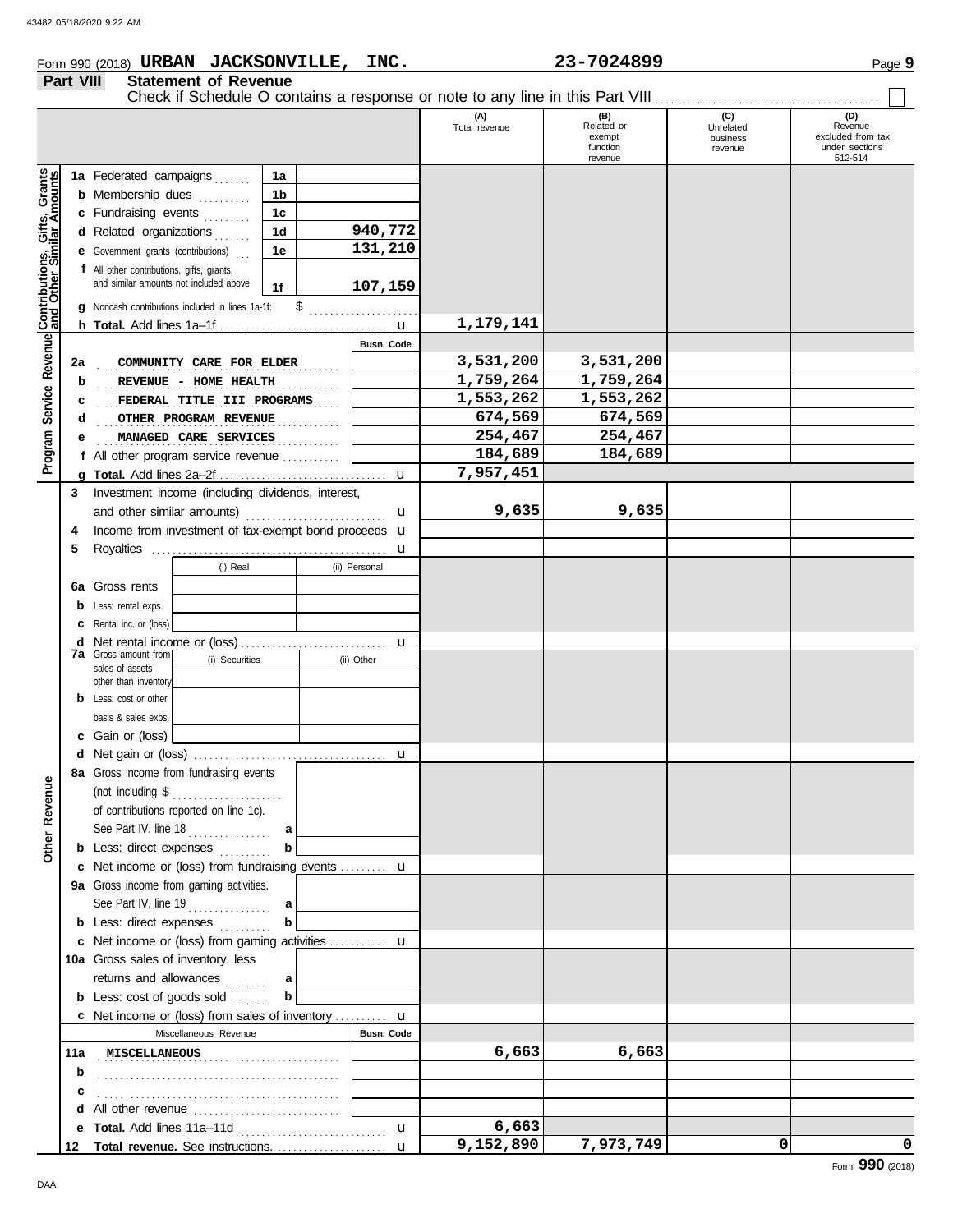# Form 990 (2018) Page **9 URBAN JACKSONVILLE, INC. 23-7024899**

|                                              | Part VIII<br><b>Statement of Revenue</b><br>Check if Schedule O contains a response or note to any line in this Part VIII |                                                                                     |                                        |  |                    |                      |                                                    |                                         |                                                                  |  |  |  |  |
|----------------------------------------------|---------------------------------------------------------------------------------------------------------------------------|-------------------------------------------------------------------------------------|----------------------------------------|--|--------------------|----------------------|----------------------------------------------------|-----------------------------------------|------------------------------------------------------------------|--|--|--|--|
|                                              |                                                                                                                           |                                                                                     |                                        |  |                    | (A)<br>Total revenue | (B)<br>Related or<br>exempt<br>function<br>revenue | (C)<br>Unrelated<br>business<br>revenue | (D)<br>Revenue<br>excluded from tax<br>under sections<br>512-514 |  |  |  |  |
| Service Revenue Contributions, Gifts, Grants |                                                                                                                           | 1a Federated campaigns<br><b>b</b> Membership dues<br>c Fundraising events          | 1a<br>1 <sub>b</sub><br>1 <sub>c</sub> |  |                    |                      |                                                    |                                         |                                                                  |  |  |  |  |
|                                              |                                                                                                                           | d Related organizations<br><b>e</b> Government grants (contributions)               | 1 <sub>d</sub><br>1e                   |  | 940,772<br>131,210 |                      |                                                    |                                         |                                                                  |  |  |  |  |
|                                              |                                                                                                                           | f All other contributions, gifts, grants,<br>and similar amounts not included above | 1f                                     |  | 107,159            |                      |                                                    |                                         |                                                                  |  |  |  |  |
|                                              |                                                                                                                           | g Noncash contributions included in lines 1a-1f:                                    |                                        |  |                    | 1,179,141            |                                                    |                                         |                                                                  |  |  |  |  |
|                                              |                                                                                                                           |                                                                                     |                                        |  | Busn. Code         |                      |                                                    |                                         |                                                                  |  |  |  |  |
|                                              | 2a                                                                                                                        | COMMUNITY CARE FOR ELDER                                                            |                                        |  |                    | 3,531,200            | 3,531,200                                          |                                         |                                                                  |  |  |  |  |
|                                              | b                                                                                                                         |                                                                                     |                                        |  |                    | 1,759,264            | 1,759,264                                          |                                         |                                                                  |  |  |  |  |
|                                              |                                                                                                                           | REVENUE - HOME HEALTH<br>FEDERAL TITLE III PROGRAMS                                 |                                        |  |                    | 1,553,262            | 1,553,262                                          |                                         |                                                                  |  |  |  |  |
|                                              | c<br>d                                                                                                                    | OTHER PROGRAM REVENUE                                                               |                                        |  |                    | 674,569              | 674,569                                            |                                         |                                                                  |  |  |  |  |
|                                              |                                                                                                                           |                                                                                     |                                        |  |                    | 254,467              | 254,467                                            |                                         |                                                                  |  |  |  |  |
| Program                                      | е                                                                                                                         | MANAGED CARE SERVICES                                                               |                                        |  |                    | 184,689              | 184,689                                            |                                         |                                                                  |  |  |  |  |
|                                              |                                                                                                                           | f All other program service revenue                                                 |                                        |  |                    |                      |                                                    |                                         |                                                                  |  |  |  |  |
|                                              |                                                                                                                           |                                                                                     |                                        |  | $\mathbf{u}$       | 7,957,451            |                                                    |                                         |                                                                  |  |  |  |  |
|                                              | 3                                                                                                                         | Investment income (including dividends, interest,                                   |                                        |  |                    | 9,635                | 9,635                                              |                                         |                                                                  |  |  |  |  |
|                                              |                                                                                                                           | and other similar amounts)                                                          |                                        |  | u                  |                      |                                                    |                                         |                                                                  |  |  |  |  |
|                                              | 4                                                                                                                         | Income from investment of tax-exempt bond proceeds u                                |                                        |  |                    |                      |                                                    |                                         |                                                                  |  |  |  |  |
|                                              | 5                                                                                                                         |                                                                                     |                                        |  | u                  |                      |                                                    |                                         |                                                                  |  |  |  |  |
|                                              |                                                                                                                           | (i) Real                                                                            |                                        |  | (ii) Personal      |                      |                                                    |                                         |                                                                  |  |  |  |  |
|                                              | 6а                                                                                                                        | Gross rents                                                                         |                                        |  |                    |                      |                                                    |                                         |                                                                  |  |  |  |  |
|                                              |                                                                                                                           | <b>b</b> Less: rental exps.                                                         |                                        |  |                    |                      |                                                    |                                         |                                                                  |  |  |  |  |
|                                              |                                                                                                                           | <b>c</b> Rental inc. or (loss)                                                      |                                        |  |                    |                      |                                                    |                                         |                                                                  |  |  |  |  |
|                                              | d                                                                                                                         |                                                                                     |                                        |  | u                  |                      |                                                    |                                         |                                                                  |  |  |  |  |
|                                              |                                                                                                                           | <b>7a</b> Gross amount from<br>(i) Securities<br>sales of assets                    |                                        |  | (ii) Other         |                      |                                                    |                                         |                                                                  |  |  |  |  |
|                                              |                                                                                                                           | other than inventory                                                                |                                        |  |                    |                      |                                                    |                                         |                                                                  |  |  |  |  |
|                                              |                                                                                                                           | <b>b</b> Less: cost or other                                                        |                                        |  |                    |                      |                                                    |                                         |                                                                  |  |  |  |  |
|                                              |                                                                                                                           | basis & sales exps.                                                                 |                                        |  |                    |                      |                                                    |                                         |                                                                  |  |  |  |  |
|                                              |                                                                                                                           | c Gain or (loss)                                                                    |                                        |  |                    |                      |                                                    |                                         |                                                                  |  |  |  |  |
|                                              |                                                                                                                           |                                                                                     |                                        |  | u                  |                      |                                                    |                                         |                                                                  |  |  |  |  |
|                                              |                                                                                                                           | 8a Gross income from fundraising events                                             |                                        |  |                    |                      |                                                    |                                         |                                                                  |  |  |  |  |
| Other Revenue                                |                                                                                                                           | (not including $\$\dots$                                                            |                                        |  |                    |                      |                                                    |                                         |                                                                  |  |  |  |  |
|                                              |                                                                                                                           | of contributions reported on line 1c).                                              |                                        |  |                    |                      |                                                    |                                         |                                                                  |  |  |  |  |
|                                              |                                                                                                                           |                                                                                     |                                        |  |                    |                      |                                                    |                                         |                                                                  |  |  |  |  |
|                                              |                                                                                                                           | <b>b</b> Less: direct expenses                                                      | b                                      |  |                    |                      |                                                    |                                         |                                                                  |  |  |  |  |
|                                              |                                                                                                                           | c Net income or (loss) from fundraising events  u                                   |                                        |  |                    |                      |                                                    |                                         |                                                                  |  |  |  |  |
|                                              |                                                                                                                           | 9a Gross income from gaming activities.                                             |                                        |  |                    |                      |                                                    |                                         |                                                                  |  |  |  |  |
|                                              |                                                                                                                           |                                                                                     |                                        |  |                    |                      |                                                    |                                         |                                                                  |  |  |  |  |
|                                              |                                                                                                                           | <b>b</b> Less: direct expenses                                                      | b                                      |  |                    |                      |                                                    |                                         |                                                                  |  |  |  |  |
|                                              |                                                                                                                           | c Net income or (loss) from gaming activities  u                                    |                                        |  |                    |                      |                                                    |                                         |                                                                  |  |  |  |  |
|                                              |                                                                                                                           | 10a Gross sales of inventory, less                                                  |                                        |  |                    |                      |                                                    |                                         |                                                                  |  |  |  |  |
|                                              |                                                                                                                           | returns and allowances  a                                                           |                                        |  |                    |                      |                                                    |                                         |                                                                  |  |  |  |  |
|                                              |                                                                                                                           | <b>b</b> Less: $cost$ of goods $sol$                                                | b                                      |  |                    |                      |                                                    |                                         |                                                                  |  |  |  |  |
|                                              |                                                                                                                           | <b>c</b> Net income or (loss) from sales of inventory <b>u</b>                      |                                        |  |                    |                      |                                                    |                                         |                                                                  |  |  |  |  |
|                                              |                                                                                                                           | Miscellaneous Revenue                                                               |                                        |  | Busn. Code         |                      |                                                    |                                         |                                                                  |  |  |  |  |
|                                              |                                                                                                                           | 11a MISCELLANEOUS MARIE AND STATE STATES                                            |                                        |  |                    | 6,663                | 6,663                                              |                                         |                                                                  |  |  |  |  |
|                                              | b                                                                                                                         |                                                                                     |                                        |  |                    |                      |                                                    |                                         |                                                                  |  |  |  |  |
|                                              |                                                                                                                           |                                                                                     |                                        |  |                    |                      |                                                    |                                         |                                                                  |  |  |  |  |
|                                              | с                                                                                                                         |                                                                                     |                                        |  |                    |                      |                                                    |                                         |                                                                  |  |  |  |  |
|                                              |                                                                                                                           |                                                                                     |                                        |  | $\mathbf{u}$       | 6,663                |                                                    |                                         |                                                                  |  |  |  |  |
|                                              |                                                                                                                           | 12 Total revenue. See instructions.                                                 |                                        |  | $\mathbf{u}$       | 9,152,890            | 7,973,749                                          | 0                                       | 0                                                                |  |  |  |  |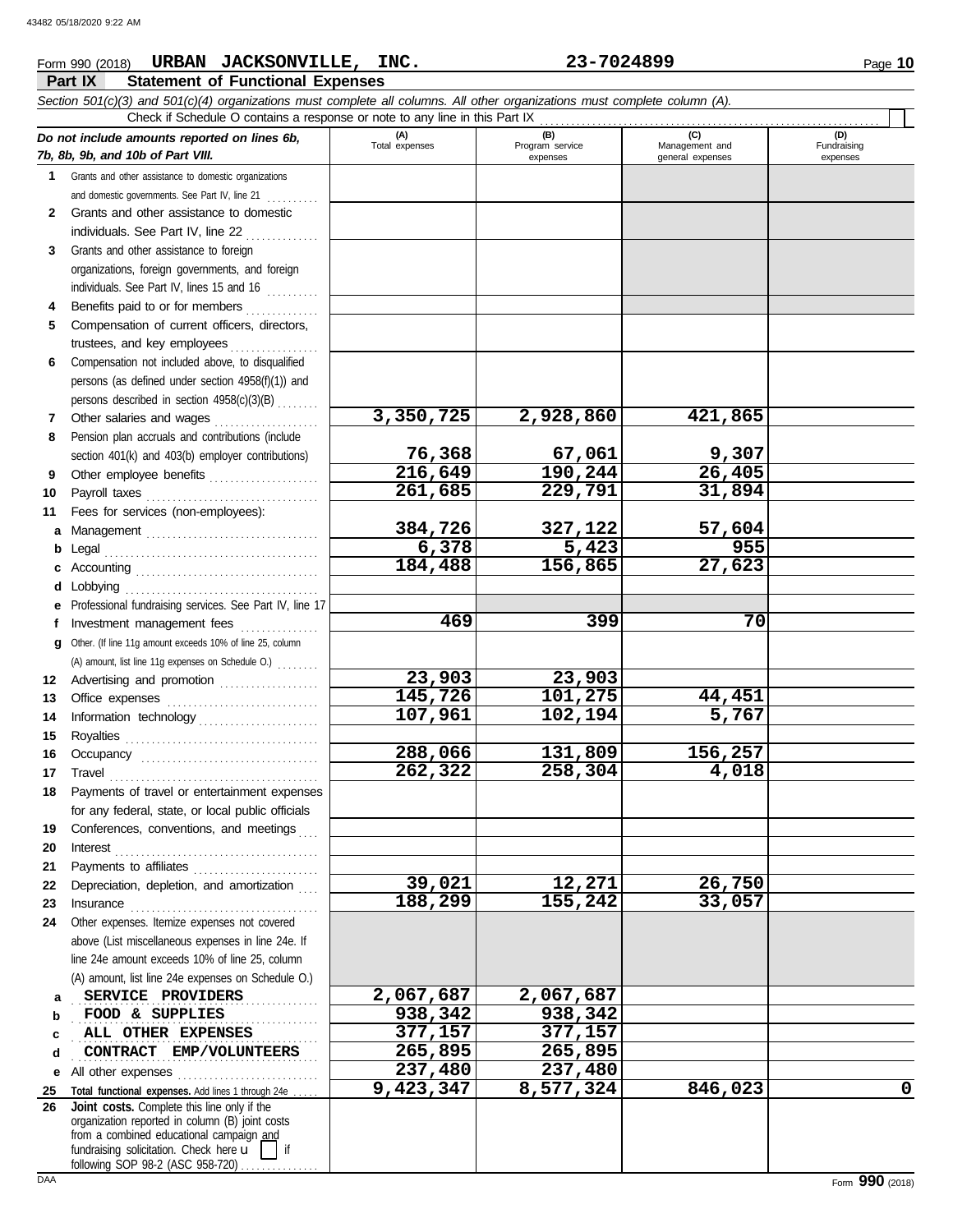### **Part IX Statement of Functional Expenses** Form 990 (2018) Page **10 URBAN JACKSONVILLE, INC. 23-7024899** *Section 501(c)(3) and 501(c)(4) organizations must complete all columns. All other organizations must complete column (A). Do not include amounts reported on lines 6b, 7b, 8b, 9b, and 10b of Part VIII.* **1 2 3 4 5 6 7 8 9 10 11 a** Management . . . . . . . . . . . . . . . . . . . . . . . . . . . . . . . . . **b** Legal **c** Accounting . . . . . . . . . . . . . . . . . . . . . . . . . . . . . . . . . . . **d** Lobbying . . . . . . . . . . . . . . . . . . . . . . . . . . . . . . . . . . . . . **e** Professional fundraising services. See Part IV, line 17 **f g** Other. (If line 11g amount exceeds 10% of line 25, column **12** Advertising and promotion .................. **13 14 15 16 17 18 19 20 21 22** Depreciation, depletion, and amortization . . . . **23 24** Other expenses. Itemize expenses not covered **a b c d e** All other expenses . . . . . . . . . . . . . . . . . . . . . . . . . . . **25 Total functional expenses.** Add lines 1 through 24e . . . . . Grants and other assistance to domestic organizations and domestic governments. See Part IV, line 21 . . . . . . . . . Grants and other assistance to domestic individuals. See Part IV, line 22 . . . . . . . . . . . . . Grants and other assistance to foreign organizations, foreign governments, and foreign individuals. See Part IV, lines 15 and 16 .......... Benefits paid to or for members . . . . . . . . . . . . . . Compensation of current officers, directors, trustees, and key employees Compensation not included above, to disqualified persons (as defined under section 4958(f)(1)) and persons described in section 4958(c)(3)(B) . . . . . . . . Other salaries and wages . . . . . . . . . . . . . . . . . . . . Pension plan accruals and contributions (include section 401(k) and 403(b) employer contributions) Other employee benefits ..................... Payroll taxes . . . . . . . . . . . . . . . . . . . . . . . . . . . . . . . . . Fees for services (non-employees): . . . . . . . . . . . . . . . . . . . . . . . . . . . . . . . . . . . . . . . . . Investment management fees ................ Office expenses ................................. Information technology . . . . . . . . . . . . . . . . . . . . . . . Royalties . . . . . . . . . . . . . . . . . . . . . . . . . . . . . . . . . . . . . Occupancy . . . . . . . . . . . . . . . . . . . . . . . . . . . . . . . . . . Travel . . . . . . . . . . . . . . . . . . . . . . . . . . . . . . . . . . . . . . . . Payments of travel or entertainment expenses for any federal, state, or local public officials Conferences, conventions, and meetings Interest . . . . . . . . . . . . . . . . . . . . . . . . . . . . . . . . . . . . . . . Payments to affiliates .......................... Insurance . . . . . . . . . . . . . . . . . . . . . . . . . . . . . . . . . . . . above (List miscellaneous expenses in line 24e. If line 24e amount exceeds 10% of line 25, column (A) amount, list line 24e expenses on Schedule O.) **(A) (B) (C) (D)** Total expenses | Program service | Management and expenses and in the qeneral expenses Fundraising expenses . . . . . . . . . . . . . . . . . . . . . . . . . . . . . . . . . . . . . . . . . . . . . . . **SERVICE PROVIDERS 2,067,687 2,067,687 FOOD & SUPPLIES 938,342 938,342 ALL OTHER EXPENSES** 277,157 377,157 **CONTRACT EMP/VOLUNTEERS** 265,895 265,895 Check if Schedule O contains a response or note to any line in this Part IX . . . . . . . . . . . . . . . . . . . . . . . . . . . . . . . . . . . . . . . . . . . . . . . . . . . . . . . . . . . . . . . . . (A) amount, list line 11g expenses on Schedule O.) ........ **3,350,725 2,928,860 421,865 76,368 67,061 9,307 216,649 190,244 26,405 261,685 229,791 31,894 384,726 327,122 57,604 6,378 5,423 955 184,488 156,865 27,623 469 399 70 23,903 23,903 145,726 101,275 44,451 107,961 102,194 5,767 288,066 131,809 156,257 262,322 258,304 4,018 39,021 12,271 26,750 188,299 155,242 33,057 237,480 237,480 9,423,347 8,577,324 846,023 0**

**26** fundraising solicitation. Check here  $\mathbf{u}$ organization reported in column (B) joint costs from a combined educational campaign and following SOP 98-2 (ASC 958-720) **Joint costs.** Complete this line only if the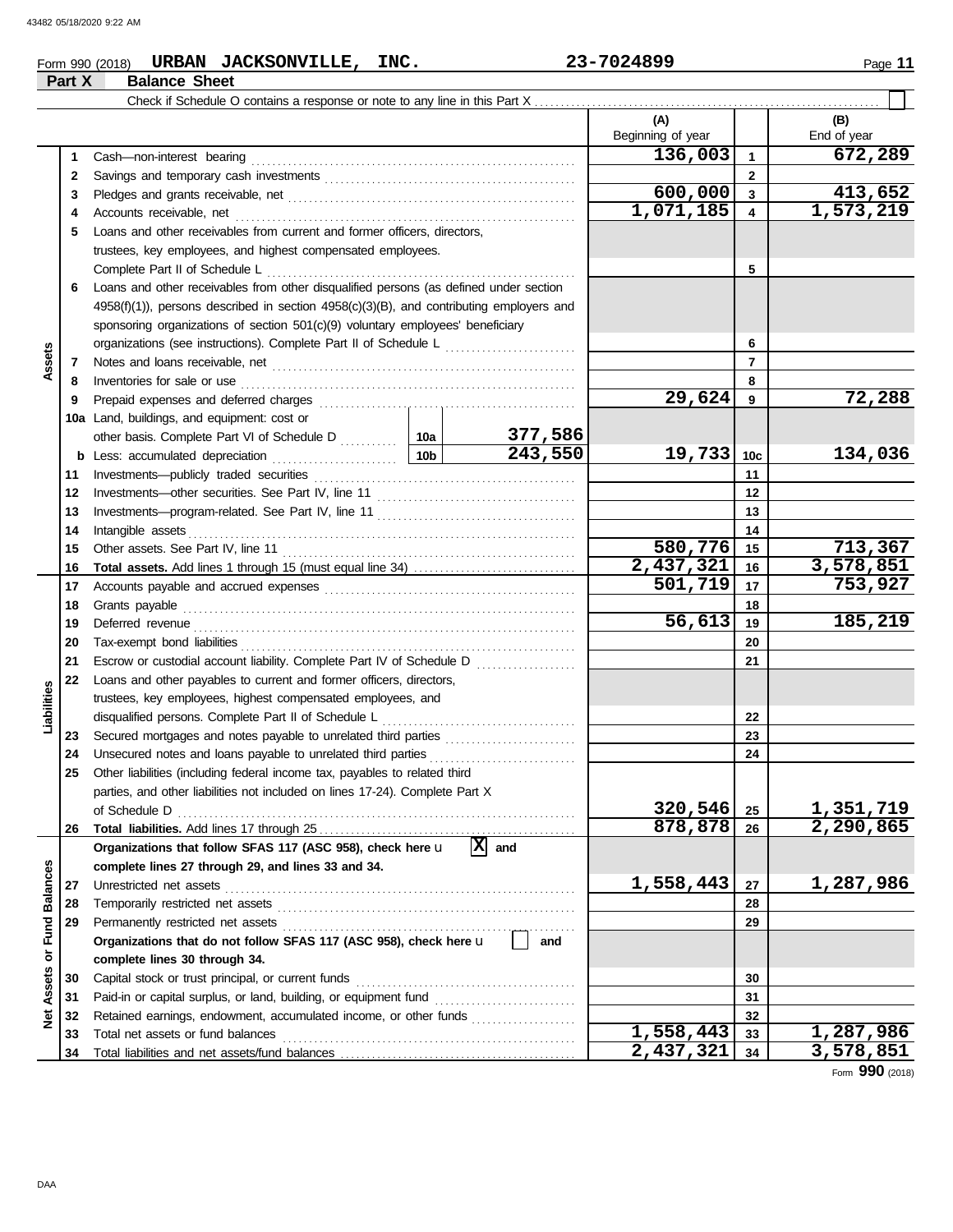**Part X Balance Sheet**

# Form 990 (2018) Page **11 URBAN JACKSONVILLE, INC. 23-7024899**

|                 |    | Check if Schedule O contains a response or note to any line in this Part X                                                                                                                                                          |                    |           |                          |                |             |
|-----------------|----|-------------------------------------------------------------------------------------------------------------------------------------------------------------------------------------------------------------------------------------|--------------------|-----------|--------------------------|----------------|-------------|
|                 |    |                                                                                                                                                                                                                                     |                    |           | (A)                      |                | (B)         |
|                 |    |                                                                                                                                                                                                                                     |                    |           | Beginning of year        |                | End of year |
|                 | 1  |                                                                                                                                                                                                                                     |                    |           | 136,003                  | $\mathbf{1}$   | 672,289     |
|                 | 2  |                                                                                                                                                                                                                                     |                    |           | $\mathbf{2}$             |                |             |
|                 | 3  |                                                                                                                                                                                                                                     |                    |           | 600,000                  | $\mathbf{3}$   | 413,652     |
|                 | 4  |                                                                                                                                                                                                                                     |                    |           | 1,071,185                | 4              | 1,573,219   |
|                 | 5  | Loans and other receivables from current and former officers, directors,                                                                                                                                                            |                    |           |                          |                |             |
|                 |    | trustees, key employees, and highest compensated employees.                                                                                                                                                                         |                    |           |                          |                |             |
|                 |    |                                                                                                                                                                                                                                     |                    |           |                          | 5              |             |
|                 | 6  | Loans and other receivables from other disqualified persons (as defined under section                                                                                                                                               |                    |           |                          |                |             |
|                 |    | 4958(f)(1)), persons described in section 4958(c)(3)(B), and contributing employers and                                                                                                                                             |                    |           |                          |                |             |
|                 |    | sponsoring organizations of section 501(c)(9) voluntary employees' beneficiary                                                                                                                                                      |                    |           |                          |                |             |
|                 |    |                                                                                                                                                                                                                                     |                    |           |                          | 6              |             |
| Assets          | 7  |                                                                                                                                                                                                                                     |                    |           |                          | $\overline{7}$ |             |
|                 | 8  | Inventories for sale or use contained and a series of the state of the state of the state of the state of the                                                                                                                       |                    |           |                          | 8              |             |
|                 | 9  |                                                                                                                                                                                                                                     |                    |           | 29,624                   | 9              | 72,288      |
|                 |    | 10a Land, buildings, and equipment: cost or                                                                                                                                                                                         |                    |           |                          |                |             |
|                 |    |                                                                                                                                                                                                                                     |                    | 377,586   |                          |                |             |
|                 |    |                                                                                                                                                                                                                                     |                    | 243,550   | 19,733                   | 10c            | 134,036     |
|                 | 11 |                                                                                                                                                                                                                                     |                    |           |                          | 11             |             |
|                 | 12 |                                                                                                                                                                                                                                     |                    |           | 12                       |                |             |
|                 | 13 |                                                                                                                                                                                                                                     |                    |           |                          | 13             |             |
|                 | 14 |                                                                                                                                                                                                                                     |                    | 14        |                          |                |             |
|                 | 15 |                                                                                                                                                                                                                                     | 580,776            | 15        | 713,367                  |                |             |
|                 | 16 |                                                                                                                                                                                                                                     |                    |           | 2,437,321                | 16             | 3,578,851   |
|                 | 17 |                                                                                                                                                                                                                                     |                    | 501,719   | 17                       | 753,927        |             |
|                 | 18 |                                                                                                                                                                                                                                     |                    |           |                          | 18             |             |
|                 | 19 | Deferred revenue <i>communication</i> and the contract of the contract of the contract of the contract of the contract of the contract of the contract of the contract of the contract of the contract of the contract of the contr |                    |           | 56,613                   | 19             | 185,219     |
|                 | 20 |                                                                                                                                                                                                                                     |                    |           |                          | 20             |             |
|                 | 21 |                                                                                                                                                                                                                                     |                    |           |                          | 21             |             |
|                 | 22 | Loans and other payables to current and former officers, directors,                                                                                                                                                                 |                    |           |                          |                |             |
|                 |    | trustees, key employees, highest compensated employees, and                                                                                                                                                                         |                    |           |                          |                |             |
| Liabilities     |    |                                                                                                                                                                                                                                     |                    |           |                          | 22             |             |
|                 | 23 | Secured mortgages and notes payable to unrelated third parties [[[[[[[[[[[[[[[[[[[[[[[[[[[[[]]]]]]]]                                                                                                                                |                    |           |                          | 23             |             |
|                 | 24 |                                                                                                                                                                                                                                     |                    |           |                          | 24             |             |
|                 | 25 | Other liabilities (including federal income tax, payables to related third                                                                                                                                                          |                    |           |                          |                |             |
|                 |    | parties, and other liabilities not included on lines 17-24). Complete Part X                                                                                                                                                        |                    |           |                          |                |             |
|                 |    | of Schedule D                                                                                                                                                                                                                       | 320,546<br>878,878 | 25        | 1,351,719<br>2,290,865   |                |             |
|                 | 26 | Organizations that follow SFAS 117 (ASC 958), check here u                                                                                                                                                                          |                    | 図<br>and  |                          | 26             |             |
|                 |    | complete lines 27 through 29, and lines 33 and 34.                                                                                                                                                                                  |                    |           |                          |                |             |
|                 | 27 |                                                                                                                                                                                                                                     |                    | 1,558,443 | 27                       | 1,287,986      |             |
| <b>Balances</b> | 28 |                                                                                                                                                                                                                                     |                    | 28        |                          |                |             |
|                 | 29 |                                                                                                                                                                                                                                     |                    |           |                          | 29             |             |
| or Fund         |    | Organizations that do not follow SFAS 117 (ASC 958), check here u                                                                                                                                                                   |                    | and       |                          |                |             |
|                 |    | complete lines 30 through 34.                                                                                                                                                                                                       |                    |           |                          |                |             |
|                 | 30 | Capital stock or trust principal, or current funds                                                                                                                                                                                  |                    |           |                          | 30             |             |
| Assets          | 31 |                                                                                                                                                                                                                                     |                    |           |                          | 31             |             |
| ğ               | 32 | Retained earnings, endowment, accumulated income, or other funds                                                                                                                                                                    |                    |           |                          | 32             |             |
|                 | 33 | Total net assets or fund balances                                                                                                                                                                                                   |                    |           | $\overline{1,}$ 558, 443 | 33             | 1,287,986   |
|                 | 34 |                                                                                                                                                                                                                                     | 2,437,321          | 34        | 3,578,851                |                |             |

Form **990** (2018)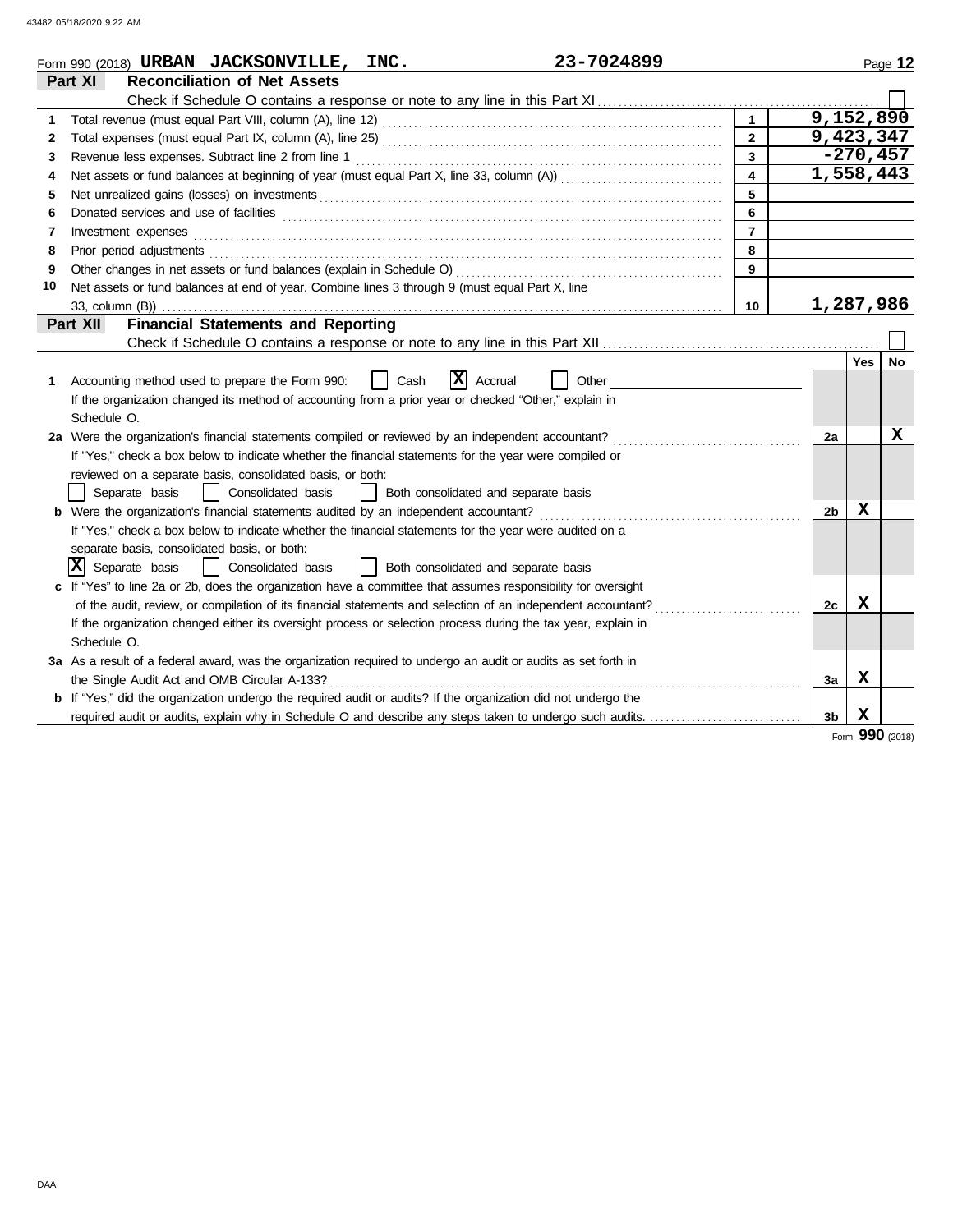|    | 23-7024899<br>Form 990 (2018) URBAN JACKSONVILLE, INC.                                                                                                                                                                              |                         |                    |             | Page 12 |
|----|-------------------------------------------------------------------------------------------------------------------------------------------------------------------------------------------------------------------------------------|-------------------------|--------------------|-------------|---------|
|    | <b>Reconciliation of Net Assets</b><br>Part XI                                                                                                                                                                                      |                         |                    |             |         |
|    |                                                                                                                                                                                                                                     |                         |                    |             |         |
| 1  |                                                                                                                                                                                                                                     |                         | $\sqrt{9,152,890}$ |             |         |
| 2  |                                                                                                                                                                                                                                     | $\overline{2}$          | 9,423,347          |             |         |
| 3  |                                                                                                                                                                                                                                     | $\overline{3}$          |                    | $-270, 457$ |         |
| 4  |                                                                                                                                                                                                                                     | $\overline{\mathbf{4}}$ | 1,558,443          |             |         |
| 5  | Net unrealized gains (losses) on investments [11] with the content of the content of the state of the content of the state of the state of the state of the state of the state of the state of the state of the state of the s      | 5                       |                    |             |         |
| 6  | Donated services and use of facilities [[11] matter contracts and the facilities of facilities [11] matter contracts and use of facilities [11] matter contracts and use of facilities [11] matter contracts and contracts and      | 6                       |                    |             |         |
| 7  | Investment expenses                                                                                                                                                                                                                 | $\overline{7}$          |                    |             |         |
| 8  | Prior period adjustments <b>constructs</b> and construct of the construction of the construction of the construction of the construction of the construction of the construction of the construction of the construction of the con | 8                       |                    |             |         |
| 9  | Other changes in net assets or fund balances (explain in Schedule O)                                                                                                                                                                | $\boldsymbol{9}$        |                    |             |         |
| 10 | Net assets or fund balances at end of year. Combine lines 3 through 9 (must equal Part X, line                                                                                                                                      |                         |                    |             |         |
|    | 33, column (B))                                                                                                                                                                                                                     | 10 <sup>°</sup>         | 1,287,986          |             |         |
|    | <b>Financial Statements and Reporting</b><br>Part XII                                                                                                                                                                               |                         |                    |             |         |
|    |                                                                                                                                                                                                                                     |                         |                    |             |         |
|    |                                                                                                                                                                                                                                     |                         |                    | Yes         | No      |
| 1  | $ {\bf x} $<br>Accounting method used to prepare the Form 990:<br>Cash<br>Accrual<br>Other                                                                                                                                          |                         |                    |             |         |
|    | If the organization changed its method of accounting from a prior year or checked "Other," explain in                                                                                                                               |                         |                    |             |         |
|    | Schedule O.                                                                                                                                                                                                                         |                         |                    |             |         |
|    | 2a Were the organization's financial statements compiled or reviewed by an independent accountant?                                                                                                                                  |                         | 2a                 |             | x       |
|    | If "Yes," check a box below to indicate whether the financial statements for the year were compiled or                                                                                                                              |                         |                    |             |         |
|    | reviewed on a separate basis, consolidated basis, or both:                                                                                                                                                                          |                         |                    |             |         |
|    | Separate basis<br>Consolidated basis<br>Both consolidated and separate basis                                                                                                                                                        |                         |                    |             |         |
|    | Were the organization's financial statements audited by an independent accountant?                                                                                                                                                  |                         | 2 <sub>b</sub>     | х           |         |
|    | If "Yes," check a box below to indicate whether the financial statements for the year were audited on a                                                                                                                             |                         |                    |             |         |
|    | separate basis, consolidated basis, or both:                                                                                                                                                                                        |                         |                    |             |         |
|    | $ X $ Separate basis<br>Consolidated basis<br>Both consolidated and separate basis                                                                                                                                                  |                         |                    |             |         |
|    | c If "Yes" to line 2a or 2b, does the organization have a committee that assumes responsibility for oversight                                                                                                                       |                         |                    |             |         |
|    |                                                                                                                                                                                                                                     |                         | 2c                 | X           |         |
|    | If the organization changed either its oversight process or selection process during the tax year, explain in                                                                                                                       |                         |                    |             |         |
|    | Schedule O.                                                                                                                                                                                                                         |                         |                    |             |         |
|    | 3a As a result of a federal award, was the organization required to undergo an audit or audits as set forth in                                                                                                                      |                         |                    |             |         |
|    | the Single Audit Act and OMB Circular A-133?                                                                                                                                                                                        |                         | За                 | x           |         |
|    | b If "Yes," did the organization undergo the required audit or audits? If the organization did not undergo the                                                                                                                      |                         |                    |             |         |
|    | required audit or audits, explain why in Schedule O and describe any steps taken to undergo such audits.                                                                                                                            |                         | 3 <sub>b</sub>     | X           |         |

Form **990** (2018)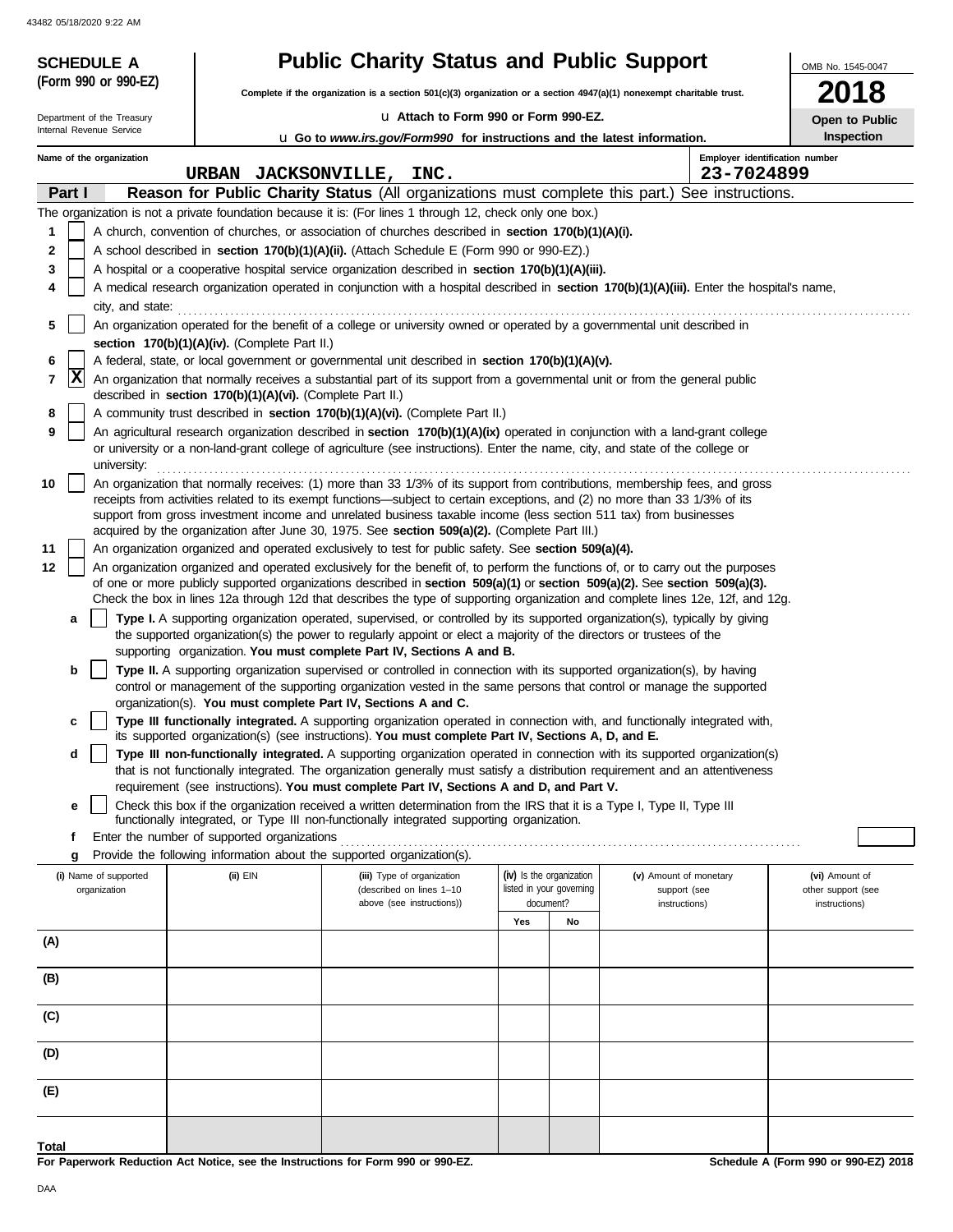43482 05/18/2020 9:22 AM

| <b>SCHEDULE A</b>                     |                                                                                                                          | <b>Public Charity Status and Public Support</b>                                                                                                                                                                                                                 |                                                      |    |                                                                                                                                                                                                                                                           | OMB No. 1545-0047                    |  |
|---------------------------------------|--------------------------------------------------------------------------------------------------------------------------|-----------------------------------------------------------------------------------------------------------------------------------------------------------------------------------------------------------------------------------------------------------------|------------------------------------------------------|----|-----------------------------------------------------------------------------------------------------------------------------------------------------------------------------------------------------------------------------------------------------------|--------------------------------------|--|
| (Form 990 or 990-EZ)                  | Complete if the organization is a section $501(c)(3)$ organization or a section $4947(a)(1)$ nonexempt charitable trust. |                                                                                                                                                                                                                                                                 |                                                      |    |                                                                                                                                                                                                                                                           |                                      |  |
| Department of the Treasury            | La Attach to Form 990 or Form 990-EZ.                                                                                    |                                                                                                                                                                                                                                                                 |                                                      |    |                                                                                                                                                                                                                                                           |                                      |  |
| Internal Revenue Service              |                                                                                                                          | <b>u</b> Go to www.irs.gov/Form990 for instructions and the latest information.                                                                                                                                                                                 |                                                      |    |                                                                                                                                                                                                                                                           | Open to Public<br>Inspection         |  |
| Name of the organization              |                                                                                                                          |                                                                                                                                                                                                                                                                 |                                                      |    | Employer identification number                                                                                                                                                                                                                            |                                      |  |
| Part I                                | URBAN JACKSONVILLE, INC.                                                                                                 |                                                                                                                                                                                                                                                                 |                                                      |    | 23-7024899<br>Reason for Public Charity Status (All organizations must complete this part.) See instructions.                                                                                                                                             |                                      |  |
|                                       |                                                                                                                          | The organization is not a private foundation because it is: (For lines 1 through 12, check only one box.)                                                                                                                                                       |                                                      |    |                                                                                                                                                                                                                                                           |                                      |  |
| 1                                     |                                                                                                                          | A church, convention of churches, or association of churches described in section 170(b)(1)(A)(i).                                                                                                                                                              |                                                      |    |                                                                                                                                                                                                                                                           |                                      |  |
| 2                                     |                                                                                                                          | A school described in section 170(b)(1)(A)(ii). (Attach Schedule E (Form 990 or 990-EZ).)                                                                                                                                                                       |                                                      |    |                                                                                                                                                                                                                                                           |                                      |  |
| 3                                     |                                                                                                                          | A hospital or a cooperative hospital service organization described in section 170(b)(1)(A)(iii).                                                                                                                                                               |                                                      |    |                                                                                                                                                                                                                                                           |                                      |  |
| 4                                     |                                                                                                                          |                                                                                                                                                                                                                                                                 |                                                      |    | A medical research organization operated in conjunction with a hospital described in section 170(b)(1)(A)(iii). Enter the hospital's name,                                                                                                                |                                      |  |
| city, and state:                      |                                                                                                                          |                                                                                                                                                                                                                                                                 |                                                      |    |                                                                                                                                                                                                                                                           |                                      |  |
| 5                                     | section 170(b)(1)(A)(iv). (Complete Part II.)                                                                            | An organization operated for the benefit of a college or university owned or operated by a governmental unit described in                                                                                                                                       |                                                      |    |                                                                                                                                                                                                                                                           |                                      |  |
| 6                                     |                                                                                                                          | A federal, state, or local government or governmental unit described in section 170(b)(1)(A)(v).                                                                                                                                                                |                                                      |    |                                                                                                                                                                                                                                                           |                                      |  |
| x<br>$\overline{7}$                   | described in section 170(b)(1)(A)(vi). (Complete Part II.)                                                               | An organization that normally receives a substantial part of its support from a governmental unit or from the general public                                                                                                                                    |                                                      |    |                                                                                                                                                                                                                                                           |                                      |  |
| 8                                     |                                                                                                                          | A community trust described in section 170(b)(1)(A)(vi). (Complete Part II.)                                                                                                                                                                                    |                                                      |    |                                                                                                                                                                                                                                                           |                                      |  |
| 9<br>university:                      |                                                                                                                          | An agricultural research organization described in section 170(b)(1)(A)(ix) operated in conjunction with a land-grant college<br>or university or a non-land-grant college of agriculture (see instructions). Enter the name, city, and state of the college or |                                                      |    |                                                                                                                                                                                                                                                           |                                      |  |
| 10                                    |                                                                                                                          | receipts from activities related to its exempt functions—subject to certain exceptions, and (2) no more than 33 1/3% of its<br>support from gross investment income and unrelated business taxable income (less section 511 tax) from businesses                |                                                      |    | An organization that normally receives: (1) more than 33 1/3% of its support from contributions, membership fees, and gross                                                                                                                               |                                      |  |
|                                       |                                                                                                                          | acquired by the organization after June 30, 1975. See section 509(a)(2). (Complete Part III.)                                                                                                                                                                   |                                                      |    |                                                                                                                                                                                                                                                           |                                      |  |
| 11                                    |                                                                                                                          | An organization organized and operated exclusively to test for public safety. See section 509(a)(4).                                                                                                                                                            |                                                      |    |                                                                                                                                                                                                                                                           |                                      |  |
| 12                                    |                                                                                                                          |                                                                                                                                                                                                                                                                 |                                                      |    | An organization organized and operated exclusively for the benefit of, to perform the functions of, or to carry out the purposes                                                                                                                          |                                      |  |
|                                       |                                                                                                                          | of one or more publicly supported organizations described in section 509(a)(1) or section 509(a)(2). See section 509(a)(3).                                                                                                                                     |                                                      |    | Check the box in lines 12a through 12d that describes the type of supporting organization and complete lines 12e, 12f, and 12g.                                                                                                                           |                                      |  |
| a                                     |                                                                                                                          | Type I. A supporting organization operated, supervised, or controlled by its supported organization(s), typically by giving<br>the supported organization(s) the power to regularly appoint or elect a majority of the directors or trustees of the             |                                                      |    |                                                                                                                                                                                                                                                           |                                      |  |
|                                       |                                                                                                                          | supporting organization. You must complete Part IV, Sections A and B.                                                                                                                                                                                           |                                                      |    |                                                                                                                                                                                                                                                           |                                      |  |
| b                                     |                                                                                                                          | <b>Type II.</b> A supporting organization supervised or controlled in connection with its supported organization(s), by having<br>control or management of the supporting organization vested in the same persons that control or manage the supported          |                                                      |    |                                                                                                                                                                                                                                                           |                                      |  |
| c                                     |                                                                                                                          | organization(s). You must complete Part IV, Sections A and C.                                                                                                                                                                                                   |                                                      |    | Type III functionally integrated. A supporting organization operated in connection with, and functionally integrated with,                                                                                                                                |                                      |  |
|                                       |                                                                                                                          | its supported organization(s) (see instructions). You must complete Part IV, Sections A, D, and E.                                                                                                                                                              |                                                      |    |                                                                                                                                                                                                                                                           |                                      |  |
| d                                     |                                                                                                                          |                                                                                                                                                                                                                                                                 |                                                      |    | Type III non-functionally integrated. A supporting organization operated in connection with its supported organization(s)<br>that is not functionally integrated. The organization generally must satisfy a distribution requirement and an attentiveness |                                      |  |
| е                                     |                                                                                                                          | requirement (see instructions). You must complete Part IV, Sections A and D, and Part V.<br>Check this box if the organization received a written determination from the IRS that it is a Type I, Type II, Type III                                             |                                                      |    |                                                                                                                                                                                                                                                           |                                      |  |
|                                       |                                                                                                                          | functionally integrated, or Type III non-functionally integrated supporting organization.                                                                                                                                                                       |                                                      |    |                                                                                                                                                                                                                                                           |                                      |  |
| f                                     | Enter the number of supported organizations                                                                              |                                                                                                                                                                                                                                                                 |                                                      |    |                                                                                                                                                                                                                                                           |                                      |  |
| g                                     |                                                                                                                          | Provide the following information about the supported organization(s).                                                                                                                                                                                          |                                                      |    |                                                                                                                                                                                                                                                           |                                      |  |
| (i) Name of supported<br>organization | (ii) EIN                                                                                                                 | (iii) Type of organization<br>(described on lines 1-10                                                                                                                                                                                                          | (iv) Is the organization<br>listed in your governing |    | (v) Amount of monetary<br>support (see                                                                                                                                                                                                                    | (vi) Amount of<br>other support (see |  |
|                                       |                                                                                                                          | above (see instructions))                                                                                                                                                                                                                                       | document?                                            |    | instructions)                                                                                                                                                                                                                                             | instructions)                        |  |
|                                       |                                                                                                                          |                                                                                                                                                                                                                                                                 | Yes                                                  | No |                                                                                                                                                                                                                                                           |                                      |  |
| (A)                                   |                                                                                                                          |                                                                                                                                                                                                                                                                 |                                                      |    |                                                                                                                                                                                                                                                           |                                      |  |
| (B)                                   |                                                                                                                          |                                                                                                                                                                                                                                                                 |                                                      |    |                                                                                                                                                                                                                                                           |                                      |  |
| (C)                                   |                                                                                                                          |                                                                                                                                                                                                                                                                 |                                                      |    |                                                                                                                                                                                                                                                           |                                      |  |
| (D)                                   |                                                                                                                          |                                                                                                                                                                                                                                                                 |                                                      |    |                                                                                                                                                                                                                                                           |                                      |  |
| (E)                                   |                                                                                                                          |                                                                                                                                                                                                                                                                 |                                                      |    |                                                                                                                                                                                                                                                           |                                      |  |
| Total                                 |                                                                                                                          |                                                                                                                                                                                                                                                                 |                                                      |    |                                                                                                                                                                                                                                                           |                                      |  |

**For Paperwork Reduction Act Notice, see the Instructions for Form 990 or 990-EZ.**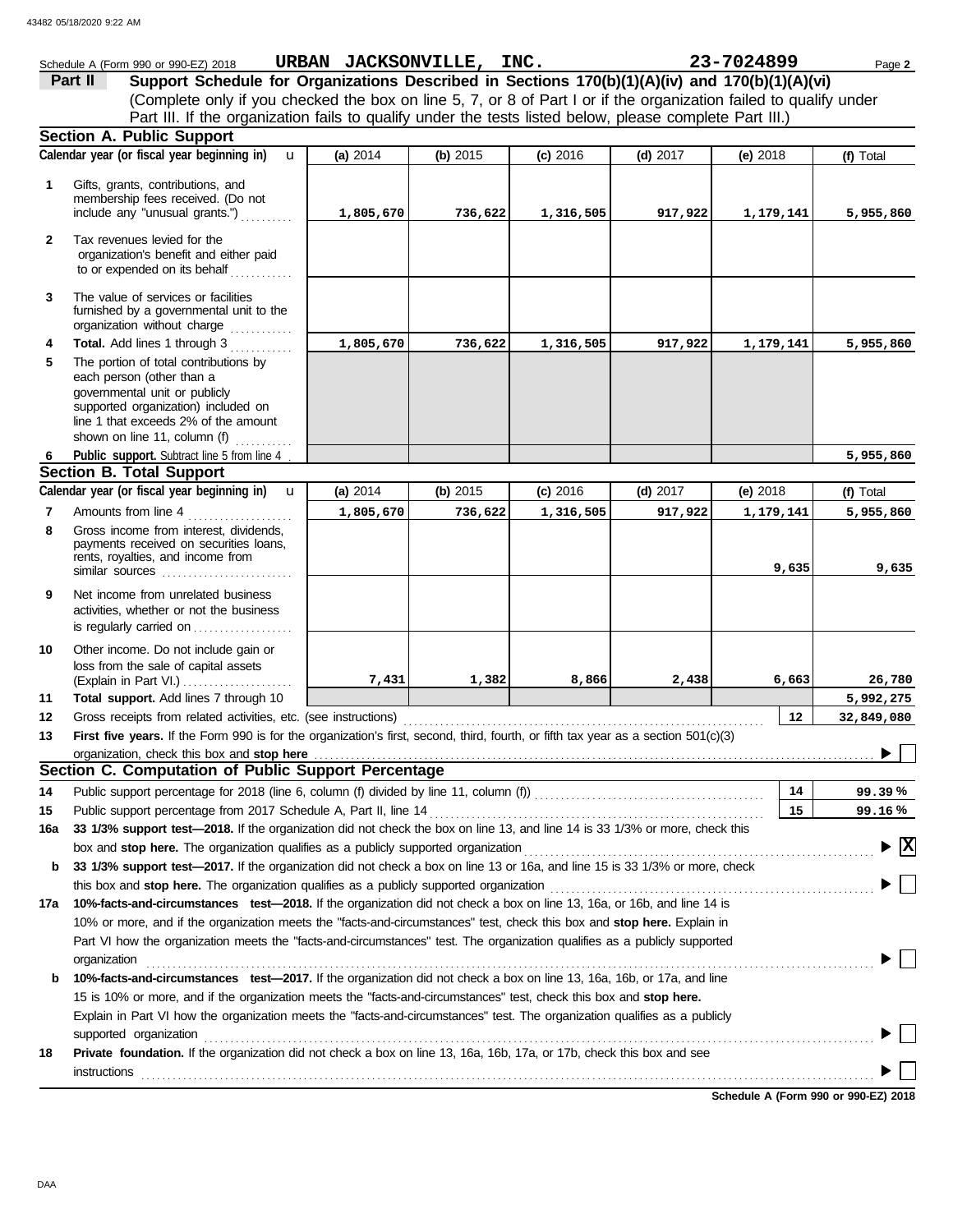|              | Schedule A (Form 990 or 990-EZ) 2018                                                                                                                                                                                           | URBAN JACKSONVILLE, INC. |          |            |            | 23-7024899 | Page 2                                 |
|--------------|--------------------------------------------------------------------------------------------------------------------------------------------------------------------------------------------------------------------------------|--------------------------|----------|------------|------------|------------|----------------------------------------|
|              | Support Schedule for Organizations Described in Sections 170(b)(1)(A)(iv) and 170(b)(1)(A)(vi)<br>Part II                                                                                                                      |                          |          |            |            |            |                                        |
|              | (Complete only if you checked the box on line 5, 7, or 8 of Part I or if the organization failed to qualify under                                                                                                              |                          |          |            |            |            |                                        |
|              | Part III. If the organization fails to qualify under the tests listed below, please complete Part III.)                                                                                                                        |                          |          |            |            |            |                                        |
|              | Section A. Public Support                                                                                                                                                                                                      |                          |          |            |            |            |                                        |
|              | Calendar year (or fiscal year beginning in)<br>$\mathbf{u}$                                                                                                                                                                    | (a) 2014                 | (b) 2015 | $(c)$ 2016 | (d) $2017$ | (e) $2018$ | (f) Total                              |
|              |                                                                                                                                                                                                                                |                          |          |            |            |            |                                        |
| 1            | Gifts, grants, contributions, and                                                                                                                                                                                              |                          |          |            |            |            |                                        |
|              | membership fees received. (Do not<br>include any "unusual grants.")                                                                                                                                                            | 1,805,670                | 736,622  | 1,316,505  | 917,922    | 1,179,141  | 5,955,860                              |
|              |                                                                                                                                                                                                                                |                          |          |            |            |            |                                        |
| $\mathbf{2}$ | Tax revenues levied for the                                                                                                                                                                                                    |                          |          |            |            |            |                                        |
|              | organization's benefit and either paid                                                                                                                                                                                         |                          |          |            |            |            |                                        |
|              | to or expended on its behalf                                                                                                                                                                                                   |                          |          |            |            |            |                                        |
| 3            | The value of services or facilities                                                                                                                                                                                            |                          |          |            |            |            |                                        |
|              | furnished by a governmental unit to the                                                                                                                                                                                        |                          |          |            |            |            |                                        |
|              | organization without charge                                                                                                                                                                                                    |                          |          |            |            |            |                                        |
| 4            | Total. Add lines 1 through 3<br>and a straight and a                                                                                                                                                                           | 1,805,670                | 736,622  | 1,316,505  | 917,922    | 1,179,141  | 5,955,860                              |
| 5            | The portion of total contributions by                                                                                                                                                                                          |                          |          |            |            |            |                                        |
|              | each person (other than a<br>governmental unit or publicly                                                                                                                                                                     |                          |          |            |            |            |                                        |
|              | supported organization) included on                                                                                                                                                                                            |                          |          |            |            |            |                                        |
|              | line 1 that exceeds 2% of the amount                                                                                                                                                                                           |                          |          |            |            |            |                                        |
|              | shown on line 11, column (f)                                                                                                                                                                                                   |                          |          |            |            |            |                                        |
| 6            | Public support. Subtract line 5 from line 4                                                                                                                                                                                    |                          |          |            |            |            | 5,955,860                              |
|              | <b>Section B. Total Support</b>                                                                                                                                                                                                |                          |          |            |            |            |                                        |
|              | Calendar year (or fiscal year beginning in)<br>$\mathbf{u}$                                                                                                                                                                    | (a) $2014$               | (b) 2015 | $(c)$ 2016 | (d) $2017$ | (e) $2018$ | (f) Total                              |
| 7            | Amounts from line 4                                                                                                                                                                                                            | 1,805,670                | 736,622  | 1,316,505  | 917,922    | 1,179,141  | 5,955,860                              |
| 8            | Gross income from interest, dividends,                                                                                                                                                                                         |                          |          |            |            |            |                                        |
|              | payments received on securities loans,<br>rents, royalties, and income from                                                                                                                                                    |                          |          |            |            |            |                                        |
|              | similar sources                                                                                                                                                                                                                |                          |          |            |            | 9,635      | 9,635                                  |
| 9            | Net income from unrelated business                                                                                                                                                                                             |                          |          |            |            |            |                                        |
|              | activities, whether or not the business                                                                                                                                                                                        |                          |          |            |            |            |                                        |
|              | is regularly carried on                                                                                                                                                                                                        |                          |          |            |            |            |                                        |
| 10           | Other income. Do not include gain or                                                                                                                                                                                           |                          |          |            |            |            |                                        |
|              | loss from the sale of capital assets                                                                                                                                                                                           |                          |          |            |            |            |                                        |
|              | (Explain in Part VI.)                                                                                                                                                                                                          | 7,431                    | 1,382    | 8,866      | 2,438      | 6,663      | 26,780                                 |
| 11           | Total support. Add lines 7 through 10                                                                                                                                                                                          |                          |          |            |            |            | 5,992,275                              |
| 12           |                                                                                                                                                                                                                                |                          |          |            |            | 12         | 32,849,080                             |
| 13           | First five years. If the Form 990 is for the organization's first, second, third, fourth, or fifth tax year as a section 501(c)(3)                                                                                             |                          |          |            |            |            |                                        |
|              |                                                                                                                                                                                                                                |                          |          |            |            |            | $\blacktriangleright \Box$             |
|              | Section C. Computation of Public Support Percentage                                                                                                                                                                            |                          |          |            |            |            |                                        |
| 14           |                                                                                                                                                                                                                                |                          |          |            |            | 14         | 99.39%                                 |
| 15           |                                                                                                                                                                                                                                |                          |          |            |            | 15         | 99.16%                                 |
| 16a          | 33 1/3% support test-2018. If the organization did not check the box on line 13, and line 14 is 33 1/3% or more, check this                                                                                                    |                          |          |            |            |            |                                        |
|              | box and stop here. The organization qualifies as a publicly supported organization [11] content content content content content of the content of the content of the content of the content of the content of the content of t |                          |          |            |            |            | $\blacktriangleright \boxed{\text{X}}$ |
| b            | 33 1/3% support test-2017. If the organization did not check a box on line 13 or 16a, and line 15 is 33 1/3% or more, check                                                                                                    |                          |          |            |            |            |                                        |
|              |                                                                                                                                                                                                                                |                          |          |            |            |            |                                        |
| 17a          | 10%-facts-and-circumstances test-2018. If the organization did not check a box on line 13, 16a, or 16b, and line 14 is                                                                                                         |                          |          |            |            |            |                                        |
|              | 10% or more, and if the organization meets the "facts-and-circumstances" test, check this box and stop here. Explain in                                                                                                        |                          |          |            |            |            |                                        |
|              | Part VI how the organization meets the "facts-and-circumstances" test. The organization qualifies as a publicly supported                                                                                                      |                          |          |            |            |            |                                        |
|              |                                                                                                                                                                                                                                |                          |          |            |            |            |                                        |
| b            | organization<br>10%-facts-and-circumstances test-2017. If the organization did not check a box on line 13, 16a, 16b, or 17a, and line                                                                                          |                          |          |            |            |            |                                        |
|              |                                                                                                                                                                                                                                |                          |          |            |            |            |                                        |
|              | 15 is 10% or more, and if the organization meets the "facts-and-circumstances" test, check this box and stop here.                                                                                                             |                          |          |            |            |            |                                        |
|              | Explain in Part VI how the organization meets the "facts-and-circumstances" test. The organization qualifies as a publicly                                                                                                     |                          |          |            |            |            |                                        |
|              | supported organization contains and contains a supported organization of the supported organization contains and contains a supported organization contains a supported organization contains a supported or support of the su |                          |          |            |            |            |                                        |
| 18           | Private foundation. If the organization did not check a box on line 13, 16a, 16b, 17a, or 17b, check this box and see                                                                                                          |                          |          |            |            |            |                                        |
|              | <b>instructions</b>                                                                                                                                                                                                            |                          |          |            |            |            |                                        |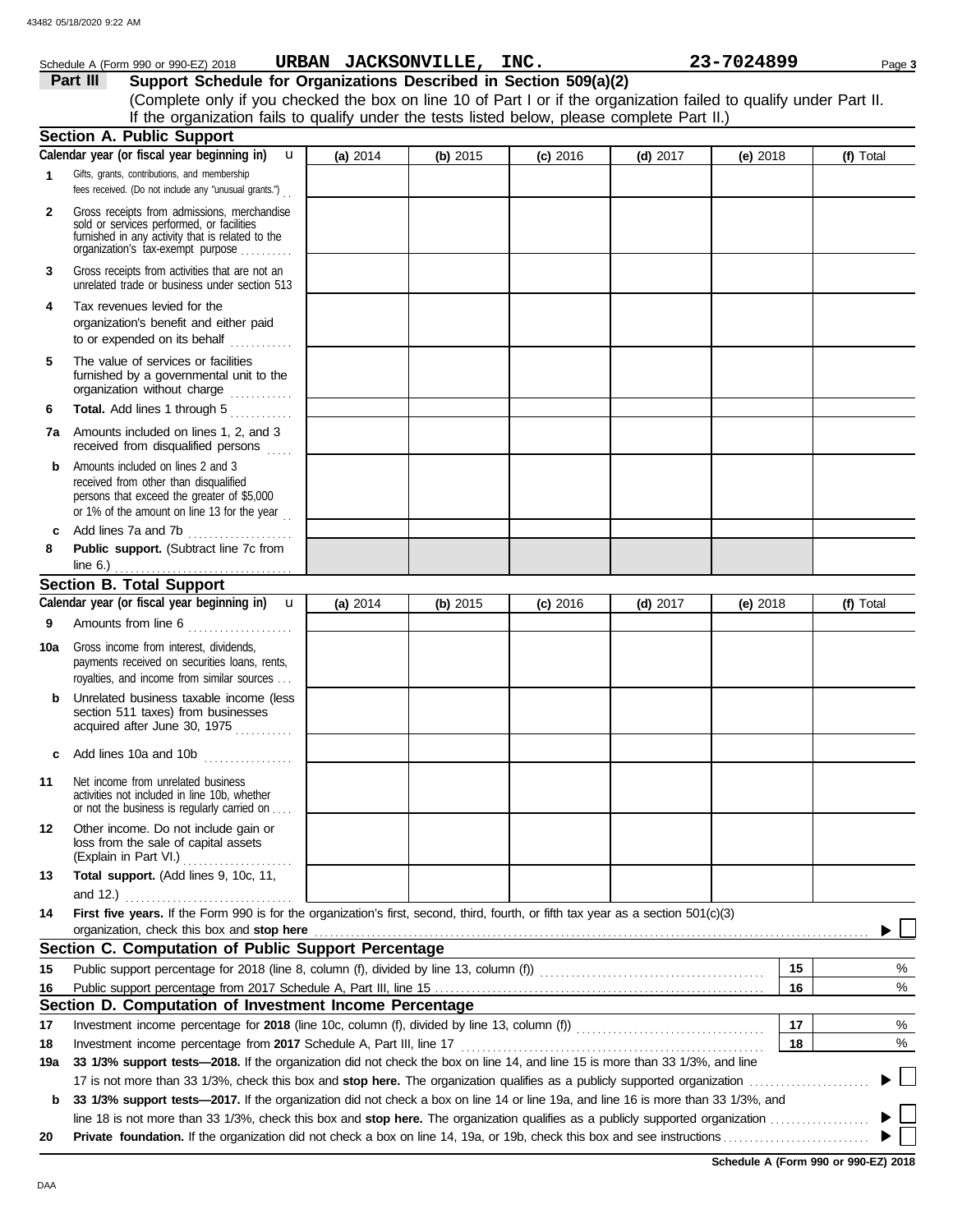# Schedule A (Form 990 or 990-EZ) 2018 Page **3 URBAN JACKSONVILLE, INC. 23-7024899**

**Part III** Support Schedule for Organizations Described in Section 509(a)(2) (Complete only if you checked the box on line 10 of Part I or if the organization failed to qualify under Part II. If the organization fails to qualify under the tests listed below, please complete Part II.)

|     | <b>Section A. Public Support</b>                                                                                                                                                       |          |          |            |            |            |           |
|-----|----------------------------------------------------------------------------------------------------------------------------------------------------------------------------------------|----------|----------|------------|------------|------------|-----------|
|     | Calendar year (or fiscal year beginning in)<br>u                                                                                                                                       | (a) 2014 | (b) 2015 | $(c)$ 2016 | (d) $2017$ | (e) $2018$ | (f) Total |
| 1   | Gifts, grants, contributions, and membership<br>fees received. (Do not include any "unusual grants.").                                                                                 |          |          |            |            |            |           |
| 2   | Gross receipts from admissions, merchandise<br>sold or services performed, or facilities<br>furnished in any activity that is related to the<br>organization's tax-exempt purpose      |          |          |            |            |            |           |
| 3   | Gross receipts from activities that are not an<br>unrelated trade or business under section 513                                                                                        |          |          |            |            |            |           |
| 4   | Tax revenues levied for the<br>organization's benefit and either paid<br>to or expended on its behalf                                                                                  |          |          |            |            |            |           |
| 5   | The value of services or facilities<br>furnished by a governmental unit to the<br>organization without charge                                                                          |          |          |            |            |            |           |
| 6   | Total. Add lines 1 through 5                                                                                                                                                           |          |          |            |            |            |           |
| 7a  | Amounts included on lines 1, 2, and 3<br>received from disqualified persons                                                                                                            |          |          |            |            |            |           |
| b   | Amounts included on lines 2 and 3<br>received from other than disqualified<br>persons that exceed the greater of \$5,000<br>or 1% of the amount on line 13 for the year $\frac{1}{10}$ |          |          |            |            |            |           |
| c   | Add lines 7a and 7b<br>.                                                                                                                                                               |          |          |            |            |            |           |
| 8   | Public support. (Subtract line 7c from                                                                                                                                                 |          |          |            |            |            |           |
|     | <b>Section B. Total Support</b>                                                                                                                                                        |          |          |            |            |            |           |
|     | Calendar year (or fiscal year beginning in)<br>$\mathbf{u}$                                                                                                                            | (a) 2014 | (b) 2015 | $(c)$ 2016 |            | (e) 2018   | (f) Total |
| 9   |                                                                                                                                                                                        |          |          |            | (d) $2017$ |            |           |
|     | Amounts from line 6                                                                                                                                                                    |          |          |            |            |            |           |
| 10a | Gross income from interest, dividends,<br>payments received on securities loans, rents,<br>royalties, and income from similar sources                                                  |          |          |            |            |            |           |
| b   | Unrelated business taxable income (less<br>section 511 taxes) from businesses<br>acquired after June 30, 1975                                                                          |          |          |            |            |            |           |
| c   | Add lines 10a and 10b                                                                                                                                                                  |          |          |            |            |            |           |
| 11  | Net income from unrelated business<br>activities not included in line 10b, whether<br>or not the business is regularly carried on                                                      |          |          |            |            |            |           |
| 12  | Other income. Do not include gain or<br>loss from the sale of capital assets<br>(Explain in Part VI.)                                                                                  |          |          |            |            |            |           |
| 13  | Total support. (Add lines 9, 10c, 11,                                                                                                                                                  |          |          |            |            |            |           |
|     | and $12.$ )<br>First five years. If the Form 990 is for the organization's first, second, third, fourth, or fifth tax year as a section 501(c)(3)                                      |          |          |            |            |            |           |
| 14  | organization, check this box and stop here                                                                                                                                             |          |          |            |            |            |           |
|     | Section C. Computation of Public Support Percentage                                                                                                                                    |          |          |            |            |            |           |
| 15  |                                                                                                                                                                                        |          |          |            |            | 15         | %         |
| 16  |                                                                                                                                                                                        |          |          |            |            | 16         | %         |
|     | Section D. Computation of Investment Income Percentage                                                                                                                                 |          |          |            |            |            |           |
| 17  |                                                                                                                                                                                        |          |          |            |            | 17         | %         |
| 18  | Investment income percentage from 2017 Schedule A, Part III, line 17                                                                                                                   |          |          |            |            | 18         | %         |
| 19a | 33 1/3% support tests-2018. If the organization did not check the box on line 14, and line 15 is more than 33 1/3%, and line                                                           |          |          |            |            |            |           |
|     | 17 is not more than 33 1/3%, check this box and stop here. The organization qualifies as a publicly supported organization                                                             |          |          |            |            |            |           |
| b   | 33 1/3% support tests—2017. If the organization did not check a box on line 14 or line 19a, and line 16 is more than 33 1/3%, and                                                      |          |          |            |            |            |           |
|     |                                                                                                                                                                                        |          |          |            |            |            |           |
| 20  |                                                                                                                                                                                        |          |          |            |            |            |           |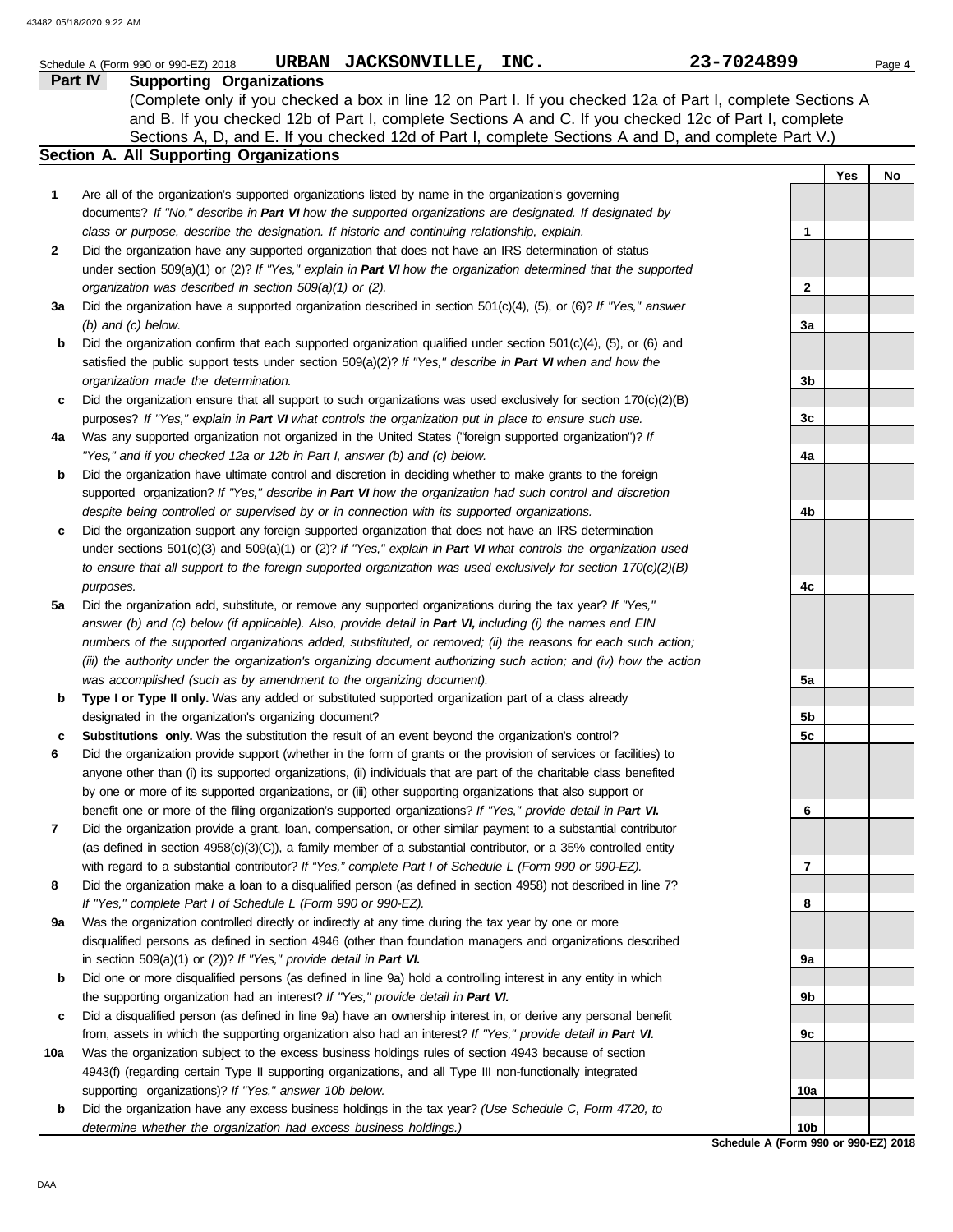|              | URBAN JACKSONVILLE, INC.<br>Schedule A (Form 990 or 990-EZ) 2018                                                                                                                                     | 23-7024899                           |     | Page 4 |
|--------------|------------------------------------------------------------------------------------------------------------------------------------------------------------------------------------------------------|--------------------------------------|-----|--------|
| Part IV      | <b>Supporting Organizations</b>                                                                                                                                                                      |                                      |     |        |
|              | (Complete only if you checked a box in line 12 on Part I. If you checked 12a of Part I, complete Sections A                                                                                          |                                      |     |        |
|              | and B. If you checked 12b of Part I, complete Sections A and C. If you checked 12c of Part I, complete                                                                                               |                                      |     |        |
|              | Sections A, D, and E. If you checked 12d of Part I, complete Sections A and D, and complete Part V.)                                                                                                 |                                      |     |        |
|              | <b>Section A. All Supporting Organizations</b>                                                                                                                                                       |                                      |     |        |
|              |                                                                                                                                                                                                      |                                      | Yes | No     |
| $\mathbf{1}$ | Are all of the organization's supported organizations listed by name in the organization's governing                                                                                                 |                                      |     |        |
|              | documents? If "No," describe in Part VI how the supported organizations are designated. If designated by                                                                                             |                                      |     |        |
|              | class or purpose, describe the designation. If historic and continuing relationship, explain.                                                                                                        | 1                                    |     |        |
| 2            | Did the organization have any supported organization that does not have an IRS determination of status                                                                                               |                                      |     |        |
|              | under section 509(a)(1) or (2)? If "Yes," explain in Part VI how the organization determined that the supported                                                                                      |                                      |     |        |
|              | organization was described in section 509(a)(1) or (2).                                                                                                                                              | 2                                    |     |        |
| За           | Did the organization have a supported organization described in section $501(c)(4)$ , (5), or (6)? If "Yes," answer                                                                                  |                                      |     |        |
|              | $(b)$ and $(c)$ below.                                                                                                                                                                               | За                                   |     |        |
| b            | Did the organization confirm that each supported organization qualified under section $501(c)(4)$ , $(5)$ , or $(6)$ and                                                                             |                                      |     |        |
|              | satisfied the public support tests under section $509(a)(2)$ ? If "Yes," describe in Part VI when and how the                                                                                        |                                      |     |        |
|              | organization made the determination.                                                                                                                                                                 | 3b                                   |     |        |
| c            | Did the organization ensure that all support to such organizations was used exclusively for section $170(c)(2)(B)$                                                                                   |                                      |     |        |
|              | purposes? If "Yes," explain in Part VI what controls the organization put in place to ensure such use.                                                                                               | 3c                                   |     |        |
| 4a           | Was any supported organization not organized in the United States ("foreign supported organization")? If                                                                                             |                                      |     |        |
|              | "Yes," and if you checked 12a or 12b in Part I, answer (b) and (c) below.                                                                                                                            | 4a                                   |     |        |
| b            | Did the organization have ultimate control and discretion in deciding whether to make grants to the foreign                                                                                          |                                      |     |        |
|              | supported organization? If "Yes," describe in Part VI how the organization had such control and discretion                                                                                           |                                      |     |        |
|              | despite being controlled or supervised by or in connection with its supported organizations.                                                                                                         | 4b                                   |     |        |
| c            | Did the organization support any foreign supported organization that does not have an IRS determination                                                                                              |                                      |     |        |
|              | under sections $501(c)(3)$ and $509(a)(1)$ or (2)? If "Yes," explain in Part VI what controls the organization used                                                                                  |                                      |     |        |
|              | to ensure that all support to the foreign supported organization was used exclusively for section $170(c)(2)(B)$                                                                                     |                                      |     |        |
|              | purposes.                                                                                                                                                                                            | 4c                                   |     |        |
| 5a           | Did the organization add, substitute, or remove any supported organizations during the tax year? If "Yes,"                                                                                           |                                      |     |        |
|              | answer (b) and (c) below (if applicable). Also, provide detail in Part VI, including (i) the names and EIN                                                                                           |                                      |     |        |
|              | numbers of the supported organizations added, substituted, or removed; (ii) the reasons for each such action;                                                                                        |                                      |     |        |
|              | (iii) the authority under the organization's organizing document authorizing such action; and (iv) how the action                                                                                    |                                      |     |        |
|              | was accomplished (such as by amendment to the organizing document).                                                                                                                                  | 5a                                   |     |        |
| b            | Type I or Type II only. Was any added or substituted supported organization part of a class already                                                                                                  |                                      |     |        |
|              | designated in the organization's organizing document?                                                                                                                                                | 5b                                   |     |        |
|              | Substitutions only. Was the substitution the result of an event beyond the organization's control?                                                                                                   | 5c                                   |     |        |
|              | Did the organization provide support (whether in the form of grants or the provision of services or facilities) to                                                                                   |                                      |     |        |
|              | anyone other than (i) its supported organizations, (ii) individuals that are part of the charitable class benefited                                                                                  |                                      |     |        |
|              | by one or more of its supported organizations, or (iii) other supporting organizations that also support or                                                                                          |                                      |     |        |
|              | benefit one or more of the filing organization's supported organizations? If "Yes," provide detail in Part VI.                                                                                       | 6                                    |     |        |
| 7            | Did the organization provide a grant, loan, compensation, or other similar payment to a substantial contributor                                                                                      |                                      |     |        |
|              | (as defined in section $4958(c)(3)(C)$ ), a family member of a substantial contributor, or a 35% controlled entity                                                                                   |                                      |     |        |
|              | with regard to a substantial contributor? If "Yes," complete Part I of Schedule L (Form 990 or 990-EZ).                                                                                              | 7                                    |     |        |
| 8            | Did the organization make a loan to a disqualified person (as defined in section 4958) not described in line 7?                                                                                      |                                      |     |        |
|              | If "Yes," complete Part I of Schedule L (Form 990 or 990-EZ).                                                                                                                                        | 8                                    |     |        |
| 9a           | Was the organization controlled directly or indirectly at any time during the tax year by one or more                                                                                                |                                      |     |        |
|              | disqualified persons as defined in section 4946 (other than foundation managers and organizations described<br>in section 509(a)(1) or (2))? If "Yes," provide detail in Part VI.                    | 9a                                   |     |        |
|              |                                                                                                                                                                                                      |                                      |     |        |
| b            | Did one or more disqualified persons (as defined in line 9a) hold a controlling interest in any entity in which<br>the supporting organization had an interest? If "Yes," provide detail in Part VI. | 9b                                   |     |        |
|              | Did a disqualified person (as defined in line 9a) have an ownership interest in, or derive any personal benefit                                                                                      |                                      |     |        |
| c            | from, assets in which the supporting organization also had an interest? If "Yes," provide detail in Part VI.                                                                                         | 9c                                   |     |        |
| 10a          | Was the organization subject to the excess business holdings rules of section 4943 because of section                                                                                                |                                      |     |        |
|              | 4943(f) (regarding certain Type II supporting organizations, and all Type III non-functionally integrated                                                                                            |                                      |     |        |
|              | supporting organizations)? If "Yes," answer 10b below.                                                                                                                                               | 10a                                  |     |        |
|              | Did the organization have any excess business holdings in the tax year? (Use Schedule C, Form 4720, to                                                                                               |                                      |     |        |
| b            | determine whether the organization had excess business holdings.)                                                                                                                                    | 10b                                  |     |        |
|              |                                                                                                                                                                                                      | Schedule A (Form 990 or 990-EZ) 2018 |     |        |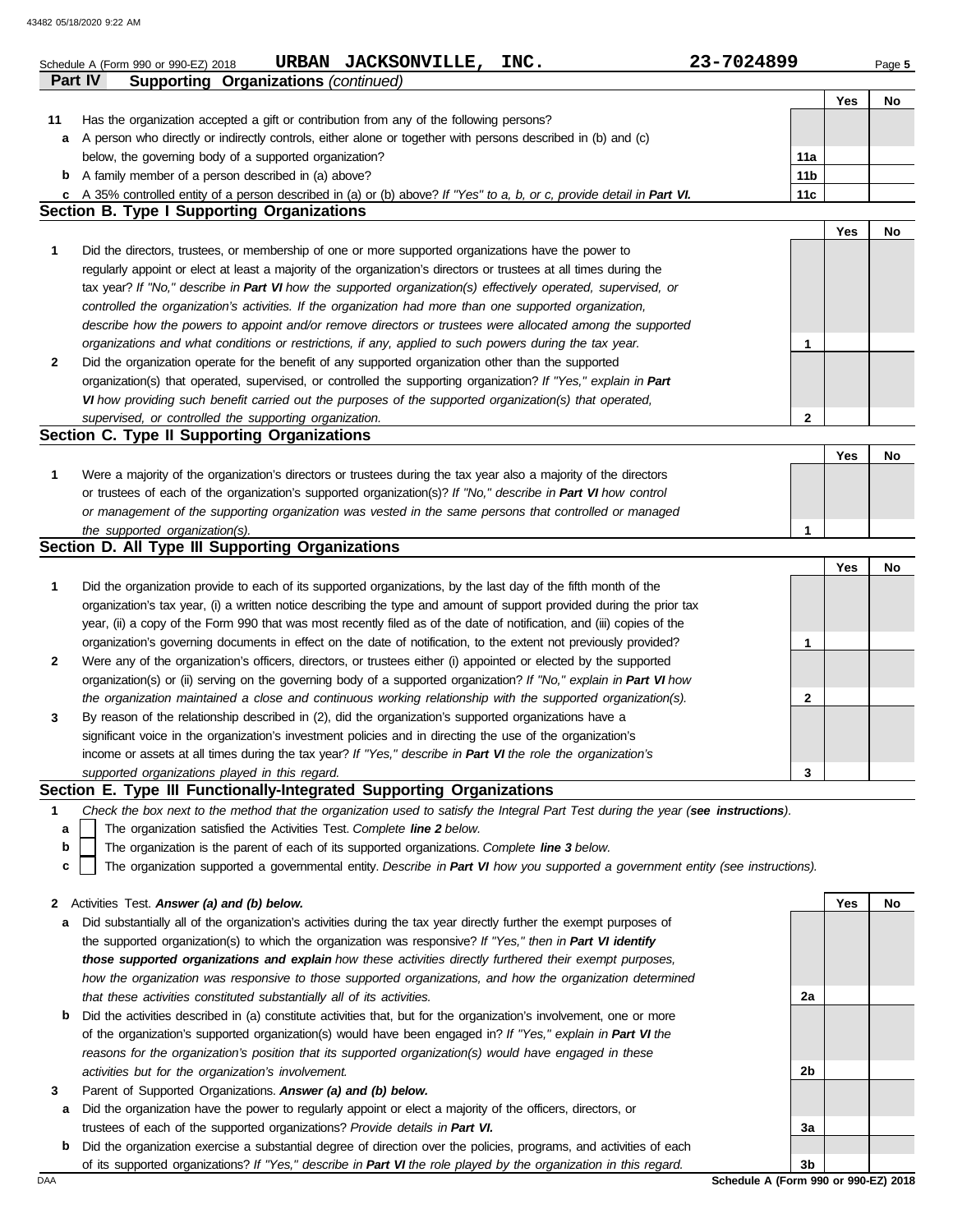**Part IV Supporting Organizations** *(continued)*

|     |                                                                                                                                                           |                 | Yes | No |
|-----|-----------------------------------------------------------------------------------------------------------------------------------------------------------|-----------------|-----|----|
| 11  | Has the organization accepted a gift or contribution from any of the following persons?                                                                   |                 |     |    |
| а   | A person who directly or indirectly controls, either alone or together with persons described in (b) and (c)                                              |                 |     |    |
|     | below, the governing body of a supported organization?                                                                                                    | 11a             |     |    |
| b   | A family member of a person described in (a) above?                                                                                                       | 11 <sub>b</sub> |     |    |
|     | A 35% controlled entity of a person described in (a) or (b) above? If "Yes" to a, b, or c, provide detail in Part VI.                                     | 11c             |     |    |
| c   | <b>Section B. Type I Supporting Organizations</b>                                                                                                         |                 |     |    |
|     |                                                                                                                                                           |                 |     |    |
|     |                                                                                                                                                           |                 | Yes | No |
| 1   | Did the directors, trustees, or membership of one or more supported organizations have the power to                                                       |                 |     |    |
|     | regularly appoint or elect at least a majority of the organization's directors or trustees at all times during the                                        |                 |     |    |
|     | tax year? If "No," describe in Part VI how the supported organization(s) effectively operated, supervised, or                                             |                 |     |    |
|     | controlled the organization's activities. If the organization had more than one supported organization,                                                   |                 |     |    |
|     | describe how the powers to appoint and/or remove directors or trustees were allocated among the supported                                                 |                 |     |    |
|     | organizations and what conditions or restrictions, if any, applied to such powers during the tax year.                                                    | 1               |     |    |
| 2   | Did the organization operate for the benefit of any supported organization other than the supported                                                       |                 |     |    |
|     | organization(s) that operated, supervised, or controlled the supporting organization? If "Yes," explain in Part                                           |                 |     |    |
|     | VI how providing such benefit carried out the purposes of the supported organization(s) that operated,                                                    |                 |     |    |
|     | supervised, or controlled the supporting organization.                                                                                                    | $\mathbf{2}$    |     |    |
|     | Section C. Type II Supporting Organizations                                                                                                               |                 |     |    |
|     |                                                                                                                                                           |                 |     |    |
|     |                                                                                                                                                           |                 | Yes | No |
| 1   | Were a majority of the organization's directors or trustees during the tax year also a majority of the directors                                          |                 |     |    |
|     | or trustees of each of the organization's supported organization(s)? If "No," describe in Part VI how control                                             |                 |     |    |
|     | or management of the supporting organization was vested in the same persons that controlled or managed                                                    |                 |     |    |
|     | the supported organization(s).                                                                                                                            | 1               |     |    |
|     | Section D. All Type III Supporting Organizations                                                                                                          |                 |     |    |
|     |                                                                                                                                                           |                 | Yes | No |
| 1   | Did the organization provide to each of its supported organizations, by the last day of the fifth month of the                                            |                 |     |    |
|     | organization's tax year, (i) a written notice describing the type and amount of support provided during the prior tax                                     |                 |     |    |
|     | year, (ii) a copy of the Form 990 that was most recently filed as of the date of notification, and (iii) copies of the                                    |                 |     |    |
|     | organization's governing documents in effect on the date of notification, to the extent not previously provided?                                          | 1               |     |    |
|     |                                                                                                                                                           |                 |     |    |
| 2   | Were any of the organization's officers, directors, or trustees either (i) appointed or elected by the supported                                          |                 |     |    |
|     | organization(s) or (ii) serving on the governing body of a supported organization? If "No," explain in Part VI how                                        |                 |     |    |
|     | the organization maintained a close and continuous working relationship with the supported organization(s).                                               | $\mathbf{2}$    |     |    |
| 3   | By reason of the relationship described in (2), did the organization's supported organizations have a                                                     |                 |     |    |
|     | significant voice in the organization's investment policies and in directing the use of the organization's                                                |                 |     |    |
|     | income or assets at all times during the tax year? If "Yes," describe in Part VI the role the organization's                                              |                 |     |    |
|     | supported organizations played in this regard.                                                                                                            | 3               |     |    |
|     | Section E. Type III Functionally-Integrated Supporting Organizations                                                                                      |                 |     |    |
| 1   | Check the box next to the method that the organization used to satisfy the Integral Part Test during the year (see instructions).                         |                 |     |    |
| а   | The organization satisfied the Activities Test. Complete line 2 below.                                                                                    |                 |     |    |
| b   | The organization is the parent of each of its supported organizations. Complete line 3 below.                                                             |                 |     |    |
| c   | The organization supported a governmental entity. Describe in Part VI how you supported a government entity (see instructions).                           |                 |     |    |
|     |                                                                                                                                                           |                 |     |    |
|     | Activities Test. Answer (a) and (b) below.                                                                                                                |                 | Yes | No |
| 2   |                                                                                                                                                           |                 |     |    |
| a   | Did substantially all of the organization's activities during the tax year directly further the exempt purposes of                                        |                 |     |    |
|     | the supported organization(s) to which the organization was responsive? If "Yes," then in Part VI identify                                                |                 |     |    |
|     | those supported organizations and explain how these activities directly furthered their exempt purposes,                                                  |                 |     |    |
|     | how the organization was responsive to those supported organizations, and how the organization determined                                                 |                 |     |    |
|     | that these activities constituted substantially all of its activities.                                                                                    | 2a              |     |    |
| b   | Did the activities described in (a) constitute activities that, but for the organization's involvement, one or more                                       |                 |     |    |
|     | of the organization's supported organization(s) would have been engaged in? If "Yes," explain in Part VI the                                              |                 |     |    |
|     | reasons for the organization's position that its supported organization(s) would have engaged in these                                                    |                 |     |    |
|     | activities but for the organization's involvement.                                                                                                        | 2b              |     |    |
| 3   | Parent of Supported Organizations. Answer (a) and (b) below.                                                                                              |                 |     |    |
| а   | Did the organization have the power to regularly appoint or elect a majority of the officers, directors, or                                               |                 |     |    |
|     |                                                                                                                                                           | За              |     |    |
|     | trustees of each of the supported organizations? Provide details in Part VI.                                                                              |                 |     |    |
| b   | Did the organization exercise a substantial degree of direction over the policies, programs, and activities of each                                       |                 |     |    |
| DAA | of its supported organizations? If "Yes," describe in Part VI the role played by the organization in this regard.<br>Schedule A (Form 990 or 990-EZ) 2018 | 3b              |     |    |
|     |                                                                                                                                                           |                 |     |    |
|     |                                                                                                                                                           |                 |     |    |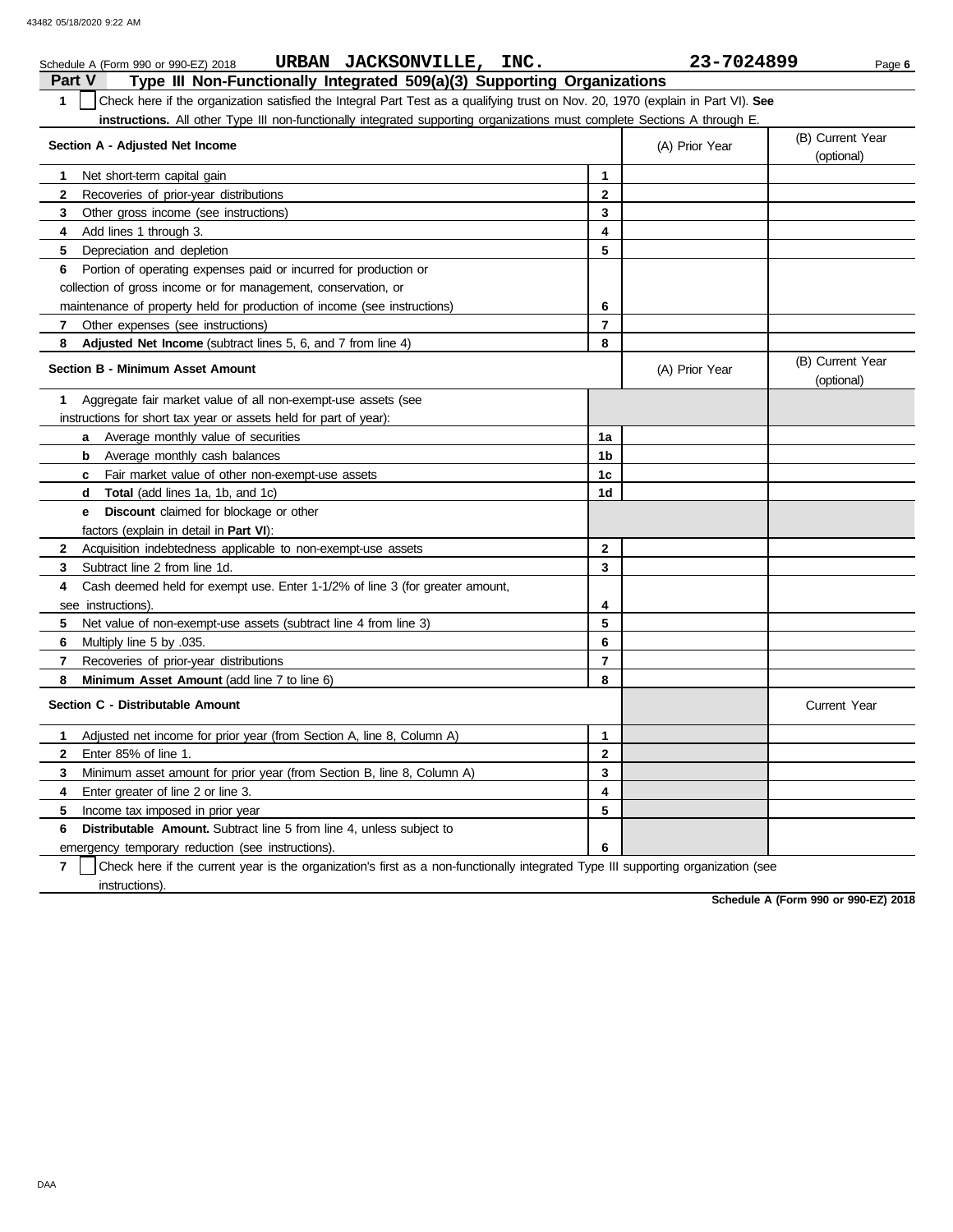| URBAN JACKSONVILLE, INC.<br>Schedule A (Form 990 or 990-EZ) 2018                                                                      |                | 23-7024899     | Page 6                         |
|---------------------------------------------------------------------------------------------------------------------------------------|----------------|----------------|--------------------------------|
| Type III Non-Functionally Integrated 509(a)(3) Supporting Organizations<br>Part V                                                     |                |                |                                |
| Check here if the organization satisfied the Integral Part Test as a qualifying trust on Nov. 20, 1970 (explain in Part VI). See<br>1 |                |                |                                |
| instructions. All other Type III non-functionally integrated supporting organizations must complete Sections A through E.             |                |                |                                |
| Section A - Adjusted Net Income                                                                                                       |                | (A) Prior Year | (B) Current Year<br>(optional) |
| Net short-term capital gain<br>1                                                                                                      | 1              |                |                                |
| 2<br>Recoveries of prior-year distributions                                                                                           | $\mathbf{2}$   |                |                                |
| 3<br>Other gross income (see instructions)                                                                                            | 3              |                |                                |
| Add lines 1 through 3.<br>4                                                                                                           | 4              |                |                                |
| 5<br>Depreciation and depletion                                                                                                       | 5              |                |                                |
| Portion of operating expenses paid or incurred for production or<br>6                                                                 |                |                |                                |
| collection of gross income or for management, conservation, or                                                                        |                |                |                                |
| maintenance of property held for production of income (see instructions)                                                              | 6              |                |                                |
| $\overline{7}$<br>Other expenses (see instructions)                                                                                   | $\overline{7}$ |                |                                |
| 8<br>Adjusted Net Income (subtract lines 5, 6, and 7 from line 4)                                                                     | 8              |                |                                |
| Section B - Minimum Asset Amount                                                                                                      |                | (A) Prior Year | (B) Current Year<br>(optional) |
| Aggregate fair market value of all non-exempt-use assets (see<br>1                                                                    |                |                |                                |
| instructions for short tax year or assets held for part of year):                                                                     |                |                |                                |
| <b>a</b> Average monthly value of securities                                                                                          | 1a             |                |                                |
| <b>b</b> Average monthly cash balances                                                                                                | 1b             |                |                                |
| Fair market value of other non-exempt-use assets<br>C                                                                                 | 1 <sub>c</sub> |                |                                |
| <b>d Total</b> (add lines 1a, 1b, and 1c)                                                                                             | 1d             |                |                                |
| Discount claimed for blockage or other<br>e                                                                                           |                |                |                                |
| factors (explain in detail in Part VI):                                                                                               |                |                |                                |
| $\mathbf{2}$<br>Acquisition indebtedness applicable to non-exempt-use assets                                                          | $\mathbf{2}$   |                |                                |
| Subtract line 2 from line 1d.<br>3                                                                                                    | 3              |                |                                |
| Cash deemed held for exempt use. Enter 1-1/2% of line 3 (for greater amount,<br>4                                                     |                |                |                                |
| see instructions).                                                                                                                    | 4              |                |                                |
| 5<br>Net value of non-exempt-use assets (subtract line 4 from line 3)                                                                 | 5              |                |                                |
| 6<br>Multiply line 5 by .035.                                                                                                         | 6              |                |                                |
| $\overline{7}$<br>Recoveries of prior-year distributions                                                                              | $\overline{7}$ |                |                                |
| 8<br>Minimum Asset Amount (add line 7 to line 6)                                                                                      | 8              |                |                                |
| Section C - Distributable Amount                                                                                                      |                |                | <b>Current Year</b>            |
| Adjusted net income for prior year (from Section A, line 8, Column A)<br>1                                                            | 1              |                |                                |
| $\mathbf{2}$<br>Enter 85% of line 1.                                                                                                  | $\mathbf 2$    |                |                                |
| 3<br>Minimum asset amount for prior year (from Section B, line 8, Column A)                                                           | 3              |                |                                |
| Enter greater of line 2 or line 3.<br>4                                                                                               | 4              |                |                                |
| Income tax imposed in prior year<br>5                                                                                                 | 5              |                |                                |
| Distributable Amount. Subtract line 5 from line 4, unless subject to<br>6                                                             |                |                |                                |
| emergency temporary reduction (see instructions).                                                                                     | 6              |                |                                |

**7** instructions). Check here if the current year is the organization's first as a non-functionally integrated Type III supporting organization (see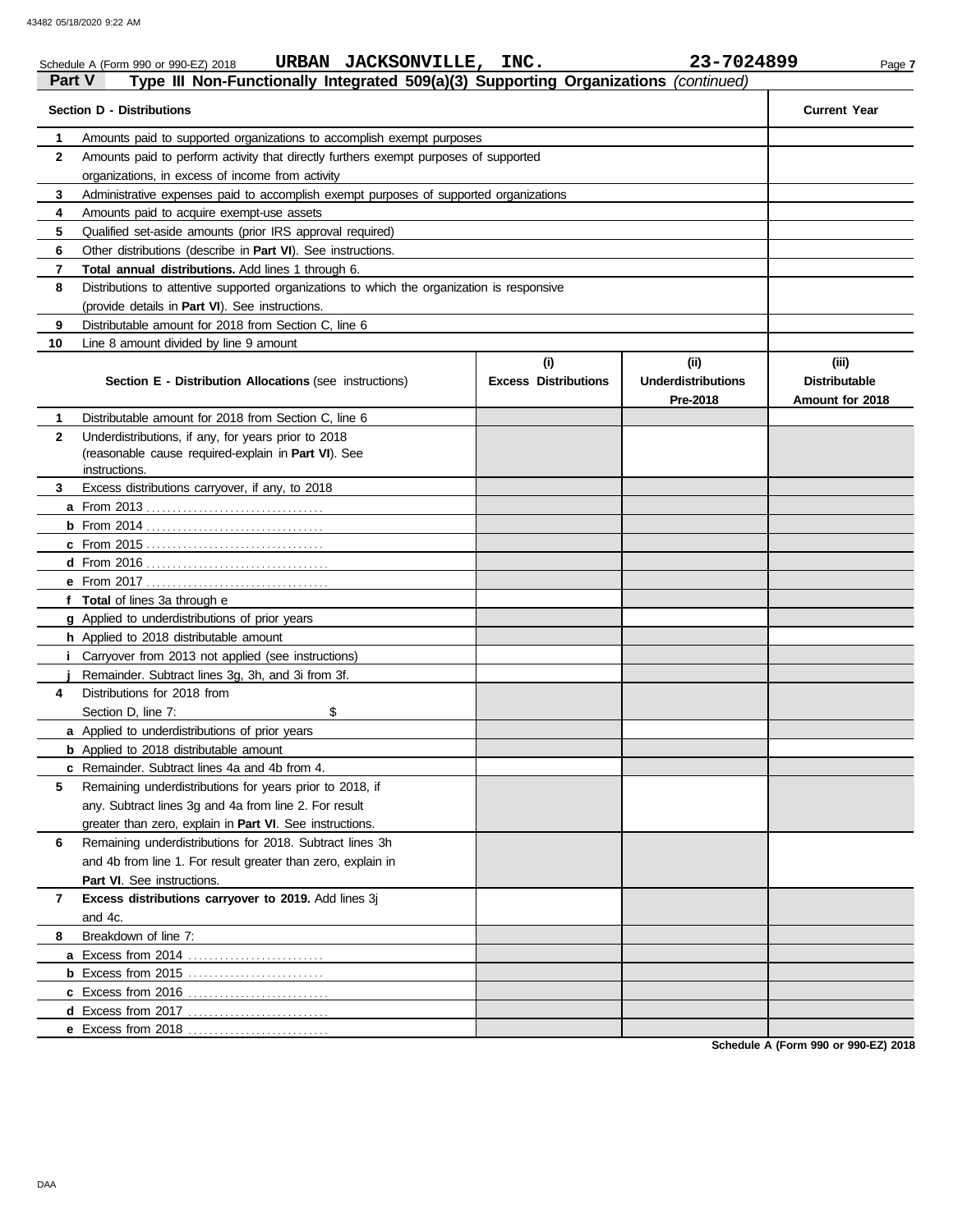|              | URBAN JACKSONVILLE, INC.<br>Schedule A (Form 990 or 990-EZ) 2018                                           |                                    | 23-7024899                                    | Page 7                                           |
|--------------|------------------------------------------------------------------------------------------------------------|------------------------------------|-----------------------------------------------|--------------------------------------------------|
| Part V       | Type III Non-Functionally Integrated 509(a)(3) Supporting Organizations (continued)                        |                                    |                                               |                                                  |
|              | <b>Section D - Distributions</b>                                                                           |                                    |                                               | <b>Current Year</b>                              |
| 1            | Amounts paid to supported organizations to accomplish exempt purposes                                      |                                    |                                               |                                                  |
| 2            | Amounts paid to perform activity that directly furthers exempt purposes of supported                       |                                    |                                               |                                                  |
|              | organizations, in excess of income from activity                                                           |                                    |                                               |                                                  |
| 3            | Administrative expenses paid to accomplish exempt purposes of supported organizations                      |                                    |                                               |                                                  |
| 4            | Amounts paid to acquire exempt-use assets                                                                  |                                    |                                               |                                                  |
| 5            | Qualified set-aside amounts (prior IRS approval required)                                                  |                                    |                                               |                                                  |
| 6            | Other distributions (describe in Part VI). See instructions.                                               |                                    |                                               |                                                  |
| 7            | Total annual distributions. Add lines 1 through 6.                                                         |                                    |                                               |                                                  |
| 8            | Distributions to attentive supported organizations to which the organization is responsive                 |                                    |                                               |                                                  |
|              | (provide details in Part VI). See instructions.                                                            |                                    |                                               |                                                  |
| 9            | Distributable amount for 2018 from Section C, line 6                                                       |                                    |                                               |                                                  |
| 10           | Line 8 amount divided by line 9 amount                                                                     |                                    |                                               |                                                  |
|              | <b>Section E - Distribution Allocations (see instructions)</b>                                             | (i)<br><b>Excess Distributions</b> | (ii)<br><b>Underdistributions</b><br>Pre-2018 | (iii)<br><b>Distributable</b><br>Amount for 2018 |
| 1.           | Distributable amount for 2018 from Section C, line 6                                                       |                                    |                                               |                                                  |
| $\mathbf{2}$ | Underdistributions, if any, for years prior to 2018<br>(reasonable cause required-explain in Part VI). See |                                    |                                               |                                                  |
|              | instructions.                                                                                              |                                    |                                               |                                                  |
| 3            | Excess distributions carryover, if any, to 2018                                                            |                                    |                                               |                                                  |
|              |                                                                                                            |                                    |                                               |                                                  |
|              |                                                                                                            |                                    |                                               |                                                  |
|              |                                                                                                            |                                    |                                               |                                                  |
|              |                                                                                                            |                                    |                                               |                                                  |
|              |                                                                                                            |                                    |                                               |                                                  |
|              | f Total of lines 3a through e                                                                              |                                    |                                               |                                                  |
|              | g Applied to underdistributions of prior years                                                             |                                    |                                               |                                                  |
|              | h Applied to 2018 distributable amount                                                                     |                                    |                                               |                                                  |
| i.           | Carryover from 2013 not applied (see instructions)                                                         |                                    |                                               |                                                  |
|              | Remainder. Subtract lines 3g, 3h, and 3i from 3f.                                                          |                                    |                                               |                                                  |
| 4            | Distributions for 2018 from                                                                                |                                    |                                               |                                                  |
|              | Section D, line 7:<br>\$                                                                                   |                                    |                                               |                                                  |
|              | a Applied to underdistributions of prior years                                                             |                                    |                                               |                                                  |
|              | <b>b</b> Applied to 2018 distributable amount                                                              |                                    |                                               |                                                  |
|              | c Remainder. Subtract lines 4a and 4b from 4.                                                              |                                    |                                               |                                                  |
| 5            | Remaining underdistributions for years prior to 2018, if                                                   |                                    |                                               |                                                  |
|              | any. Subtract lines 3g and 4a from line 2. For result                                                      |                                    |                                               |                                                  |
|              | greater than zero, explain in Part VI. See instructions.                                                   |                                    |                                               |                                                  |
| 6            | Remaining underdistributions for 2018. Subtract lines 3h                                                   |                                    |                                               |                                                  |
|              | and 4b from line 1. For result greater than zero, explain in                                               |                                    |                                               |                                                  |
|              | Part VI. See instructions.                                                                                 |                                    |                                               |                                                  |
| 7            | Excess distributions carryover to 2019. Add lines 3j                                                       |                                    |                                               |                                                  |
|              | and 4c.<br>Breakdown of line 7:                                                                            |                                    |                                               |                                                  |
| 8            |                                                                                                            |                                    |                                               |                                                  |
|              |                                                                                                            |                                    |                                               |                                                  |
|              |                                                                                                            |                                    |                                               |                                                  |
|              |                                                                                                            |                                    |                                               |                                                  |
|              |                                                                                                            |                                    |                                               |                                                  |
|              |                                                                                                            |                                    |                                               |                                                  |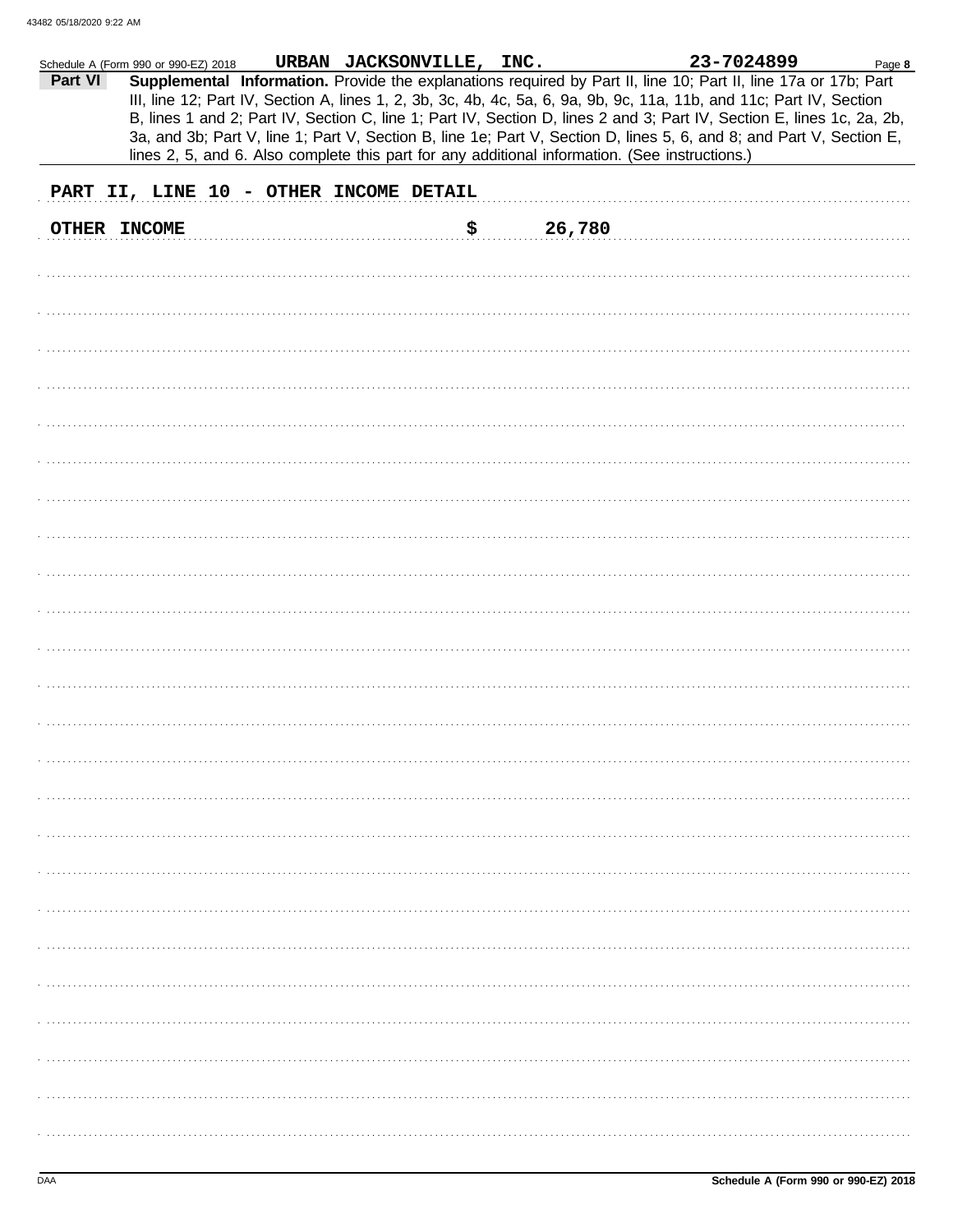|         | Schedule A (Form 990 or 990-EZ) 2018 | URBAN JACKSONVILLE, INC.                                                                       |        | 23-7024899                                                                                                             | Page 8 |
|---------|--------------------------------------|------------------------------------------------------------------------------------------------|--------|------------------------------------------------------------------------------------------------------------------------|--------|
| Part VI |                                      |                                                                                                |        | Supplemental Information. Provide the explanations required by Part II, line 10; Part II, line 17a or 17b; Part        |        |
|         |                                      |                                                                                                |        | III, line 12; Part IV, Section A, lines 1, 2, 3b, 3c, 4b, 4c, 5a, 6, 9a, 9b, 9c, 11a, 11b, and 11c; Part IV, Section   |        |
|         |                                      |                                                                                                |        | B, lines 1 and 2; Part IV, Section C, line 1; Part IV, Section D, lines 2 and 3; Part IV, Section E, lines 1c, 2a, 2b, |        |
|         |                                      |                                                                                                |        | 3a, and 3b; Part V, line 1; Part V, Section B, line 1e; Part V, Section D, lines 5, 6, and 8; and Part V, Section E,   |        |
|         |                                      |                                                                                                |        |                                                                                                                        |        |
|         |                                      | lines 2, 5, and 6. Also complete this part for any additional information. (See instructions.) |        |                                                                                                                        |        |
|         |                                      |                                                                                                |        |                                                                                                                        |        |
|         |                                      | PART II, LINE 10 - OTHER INCOME DETAIL                                                         |        |                                                                                                                        |        |
|         |                                      |                                                                                                |        |                                                                                                                        |        |
|         | OTHER INCOME                         | \$                                                                                             | 26,780 |                                                                                                                        |        |
|         |                                      |                                                                                                |        |                                                                                                                        |        |
|         |                                      |                                                                                                |        |                                                                                                                        |        |
|         |                                      |                                                                                                |        |                                                                                                                        |        |
|         |                                      |                                                                                                |        |                                                                                                                        |        |
|         |                                      |                                                                                                |        |                                                                                                                        |        |
|         |                                      |                                                                                                |        |                                                                                                                        |        |
|         |                                      |                                                                                                |        |                                                                                                                        |        |
|         |                                      |                                                                                                |        |                                                                                                                        |        |
|         |                                      |                                                                                                |        |                                                                                                                        |        |
|         |                                      |                                                                                                |        |                                                                                                                        |        |
|         |                                      |                                                                                                |        |                                                                                                                        |        |
|         |                                      |                                                                                                |        |                                                                                                                        |        |
|         |                                      |                                                                                                |        |                                                                                                                        |        |
|         |                                      |                                                                                                |        |                                                                                                                        |        |
|         |                                      |                                                                                                |        |                                                                                                                        |        |
|         |                                      |                                                                                                |        |                                                                                                                        |        |
|         |                                      |                                                                                                |        |                                                                                                                        |        |
|         |                                      |                                                                                                |        |                                                                                                                        |        |
|         |                                      |                                                                                                |        |                                                                                                                        |        |
|         |                                      |                                                                                                |        |                                                                                                                        |        |
|         |                                      |                                                                                                |        |                                                                                                                        |        |
|         |                                      |                                                                                                |        |                                                                                                                        |        |
|         |                                      |                                                                                                |        |                                                                                                                        |        |
|         |                                      |                                                                                                |        |                                                                                                                        |        |
|         |                                      |                                                                                                |        |                                                                                                                        |        |
|         |                                      |                                                                                                |        |                                                                                                                        |        |
|         |                                      |                                                                                                |        |                                                                                                                        |        |
|         |                                      |                                                                                                |        |                                                                                                                        |        |
|         |                                      |                                                                                                |        |                                                                                                                        |        |
|         |                                      |                                                                                                |        |                                                                                                                        |        |
|         |                                      |                                                                                                |        |                                                                                                                        |        |
|         |                                      |                                                                                                |        |                                                                                                                        |        |
|         |                                      |                                                                                                |        |                                                                                                                        |        |
|         |                                      |                                                                                                |        |                                                                                                                        |        |
|         |                                      |                                                                                                |        |                                                                                                                        |        |
|         |                                      |                                                                                                |        |                                                                                                                        |        |
|         |                                      |                                                                                                |        |                                                                                                                        |        |
|         |                                      |                                                                                                |        |                                                                                                                        |        |
|         |                                      |                                                                                                |        |                                                                                                                        |        |
|         |                                      |                                                                                                |        |                                                                                                                        |        |
|         |                                      |                                                                                                |        |                                                                                                                        |        |
|         |                                      |                                                                                                |        |                                                                                                                        |        |
|         |                                      |                                                                                                |        |                                                                                                                        |        |
|         |                                      |                                                                                                |        |                                                                                                                        |        |
|         |                                      |                                                                                                |        |                                                                                                                        |        |
|         |                                      |                                                                                                |        |                                                                                                                        |        |
|         |                                      |                                                                                                |        |                                                                                                                        |        |
|         |                                      |                                                                                                |        |                                                                                                                        |        |
|         |                                      |                                                                                                |        |                                                                                                                        |        |
|         |                                      |                                                                                                |        |                                                                                                                        |        |
|         |                                      |                                                                                                |        |                                                                                                                        |        |
|         |                                      |                                                                                                |        |                                                                                                                        |        |
|         |                                      |                                                                                                |        |                                                                                                                        |        |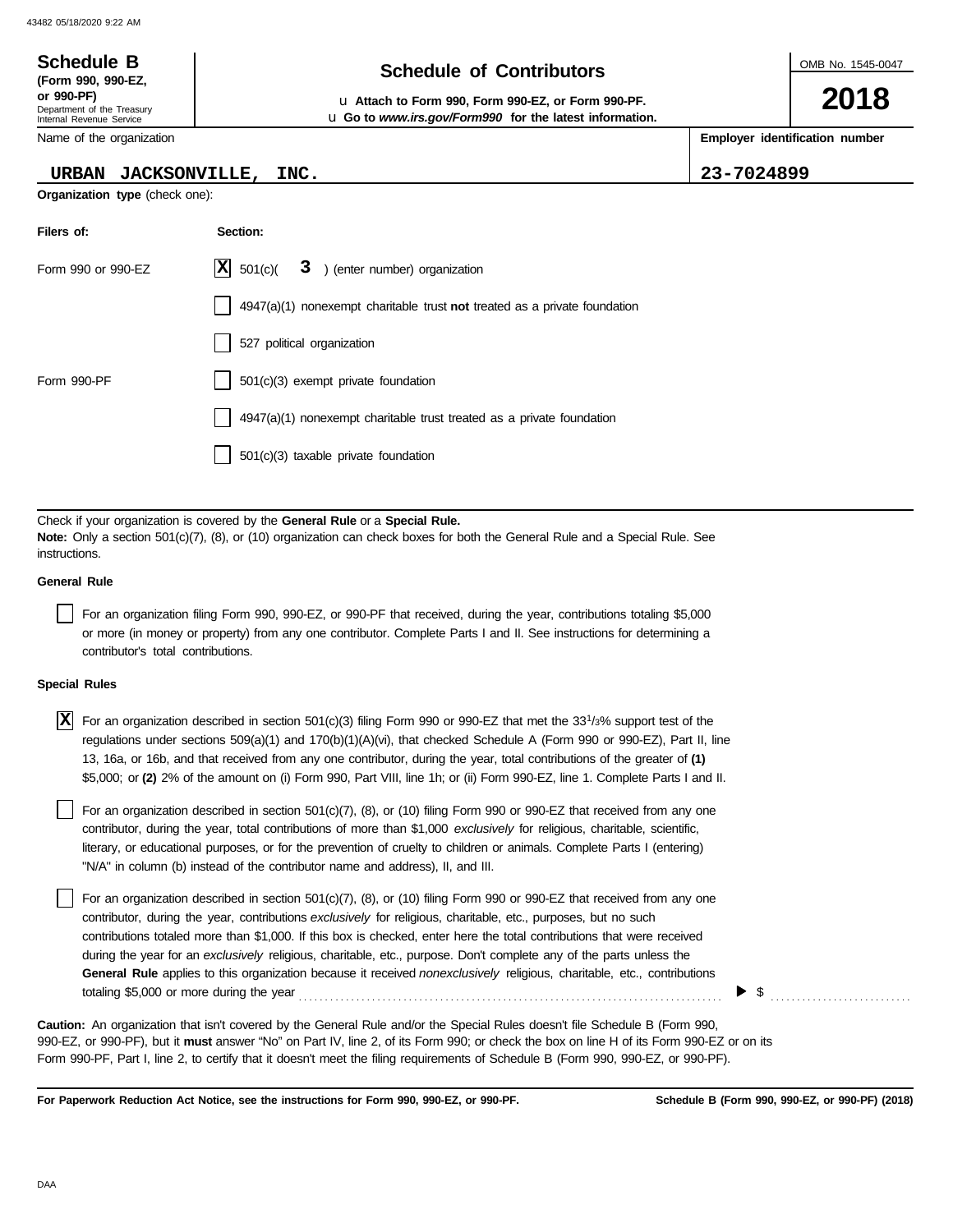### OMB No. 1545-0047 Department of the Treasury Internal Revenue Service Name of the organization **2018 Schedule of Contributors Schedule B (Form 990, 990-EZ, or 990-PF)** u **Attach to Form 990, Form 990-EZ, or Form 990-PF. Employer identification number** u **Go to** *www.irs.gov/Form990* **for the latest information.**

# **URBAN JACKSONVILLE, INC. 23-7024899**

**Organization type** (check one):

| Filers of:         | Section:                                                                    |
|--------------------|-----------------------------------------------------------------------------|
| Form 990 or 990-EZ | $ \mathbf{X} $ 501(c)( $3$ ) (enter number) organization                    |
|                    | $4947(a)(1)$ nonexempt charitable trust not treated as a private foundation |
|                    | 527 political organization                                                  |
| Form 990-PF        | 501(c)(3) exempt private foundation                                         |
|                    | 4947(a)(1) nonexempt charitable trust treated as a private foundation       |
|                    | $501(c)(3)$ taxable private foundation                                      |

Check if your organization is covered by the **General Rule** or a **Special Rule. Note:** Only a section 501(c)(7), (8), or (10) organization can check boxes for both the General Rule and a Special Rule. See instructions.

## **General Rule**

For an organization filing Form 990, 990-EZ, or 990-PF that received, during the year, contributions totaling \$5,000 or more (in money or property) from any one contributor. Complete Parts I and II. See instructions for determining a contributor's total contributions.

## **Special Rules**

 $\overline{X}$  For an organization described in section 501(c)(3) filing Form 990 or 990-EZ that met the 33<sup>1</sup>/3% support test of the regulations under sections 509(a)(1) and 170(b)(1)(A)(vi), that checked Schedule A (Form 990 or 990-EZ), Part II, line 13, 16a, or 16b, and that received from any one contributor, during the year, total contributions of the greater of **(1)** \$5,000; or **(2)** 2% of the amount on (i) Form 990, Part VIII, line 1h; or (ii) Form 990-EZ, line 1. Complete Parts I and II.

literary, or educational purposes, or for the prevention of cruelty to children or animals. Complete Parts I (entering) For an organization described in section 501(c)(7), (8), or (10) filing Form 990 or 990-EZ that received from any one contributor, during the year, total contributions of more than \$1,000 *exclusively* for religious, charitable, scientific, "N/A" in column (b) instead of the contributor name and address), II, and III.

For an organization described in section 501(c)(7), (8), or (10) filing Form 990 or 990-EZ that received from any one contributor, during the year, contributions *exclusively* for religious, charitable, etc., purposes, but no such contributions totaled more than \$1,000. If this box is checked, enter here the total contributions that were received during the year for an *exclusively* religious, charitable, etc., purpose. Don't complete any of the parts unless the **General Rule** applies to this organization because it received *nonexclusively* religious, charitable, etc., contributions totaling \$5,000 or more during the year . . . . . . . . . . . . . . . . . . . . . . . . . . . . . . . . . . . . . . . . . . . . . . . . . . . . . . . . . . . . . . . . . . . . . . . . . . . . . . . . .

990-EZ, or 990-PF), but it **must** answer "No" on Part IV, line 2, of its Form 990; or check the box on line H of its Form 990-EZ or on its Form 990-PF, Part I, line 2, to certify that it doesn't meet the filing requirements of Schedule B (Form 990, 990-EZ, or 990-PF). **Caution:** An organization that isn't covered by the General Rule and/or the Special Rules doesn't file Schedule B (Form 990,

**For Paperwork Reduction Act Notice, see the instructions for Form 990, 990-EZ, or 990-PF.**

 $\triangleright$  \$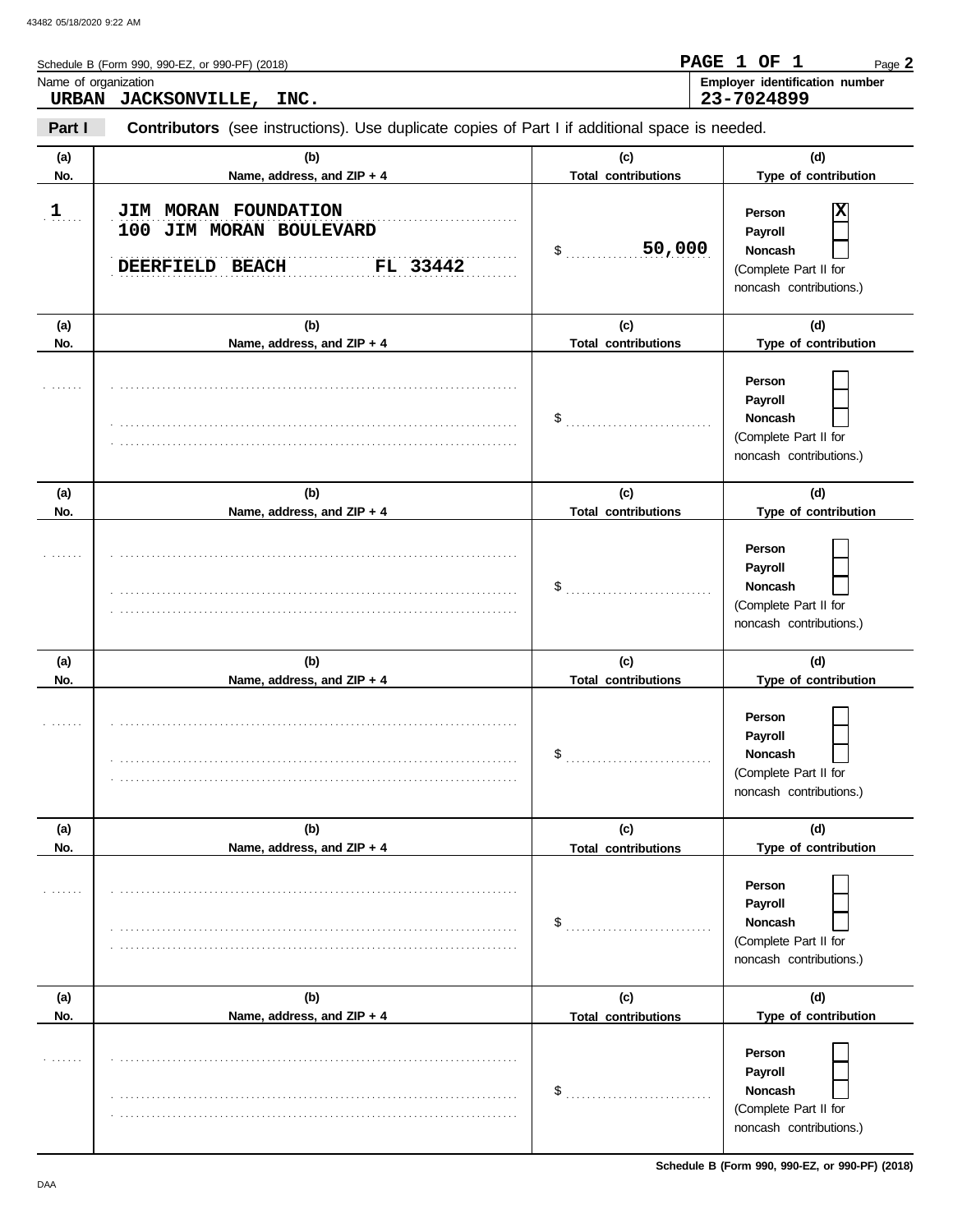|                      | Schedule B (Form 990, 990-EZ, or 990-PF) (2018)                                                       | <b>PAGE</b>                       | 1 OF 1<br>Page 2                                                                        |
|----------------------|-------------------------------------------------------------------------------------------------------|-----------------------------------|-----------------------------------------------------------------------------------------|
| Name of organization | URBAN JACKSONVILLE, INC.                                                                              |                                   | Employer identification number<br>23-7024899                                            |
| Part I               | <b>Contributors</b> (see instructions). Use duplicate copies of Part I if additional space is needed. |                                   |                                                                                         |
| (a)<br>No.           | (b)<br>Name, address, and ZIP + 4                                                                     | (c)<br><b>Total contributions</b> | (d)<br>Type of contribution                                                             |
| 1                    | JIM MORAN FOUNDATION<br>100 JIM MORAN BOULEVARD<br>FL 33442<br>DEERFIELD BEACH                        | 50,000<br>$\updownarrow$          | X<br>Person<br>Payroll<br>Noncash<br>(Complete Part II for<br>noncash contributions.)   |
| (a)<br>No.           | (b)<br>Name, address, and ZIP + 4                                                                     | (c)<br><b>Total contributions</b> | (d)<br>Type of contribution                                                             |
|                      |                                                                                                       | $\frac{1}{2}$                     | Person<br>Payroll<br>Noncash<br>(Complete Part II for<br>noncash contributions.)        |
| (a)<br>No.           | (b)<br>Name, address, and ZIP + 4                                                                     | (c)<br><b>Total contributions</b> | (d)<br>Type of contribution                                                             |
|                      |                                                                                                       | \$                                | Person<br>Payroll<br>Noncash<br>(Complete Part II for<br>noncash contributions.)        |
| (a)<br>No.           | (b)<br>Name, address, and ZIP + 4                                                                     | (c)<br><b>Total contributions</b> | (d)<br>Type of contribution                                                             |
|                      |                                                                                                       | \$                                | Person<br>Payroll<br>Noncash<br>(Complete Part II for<br>noncash contributions.)        |
| (a)<br>No.           | (b)<br>Name, address, and ZIP + 4                                                                     | (c)<br><b>Total contributions</b> | (d)<br>Type of contribution                                                             |
|                      |                                                                                                       | \$                                | Person<br>Payroll<br><b>Noncash</b><br>(Complete Part II for<br>noncash contributions.) |
| (a)<br>No.           | (b)<br>Name, address, and ZIP + 4                                                                     | (c)<br><b>Total contributions</b> | (d)<br>Type of contribution                                                             |
|                      |                                                                                                       | \$                                | Person<br>Payroll<br>Noncash<br>(Complete Part II for<br>noncash contributions.)        |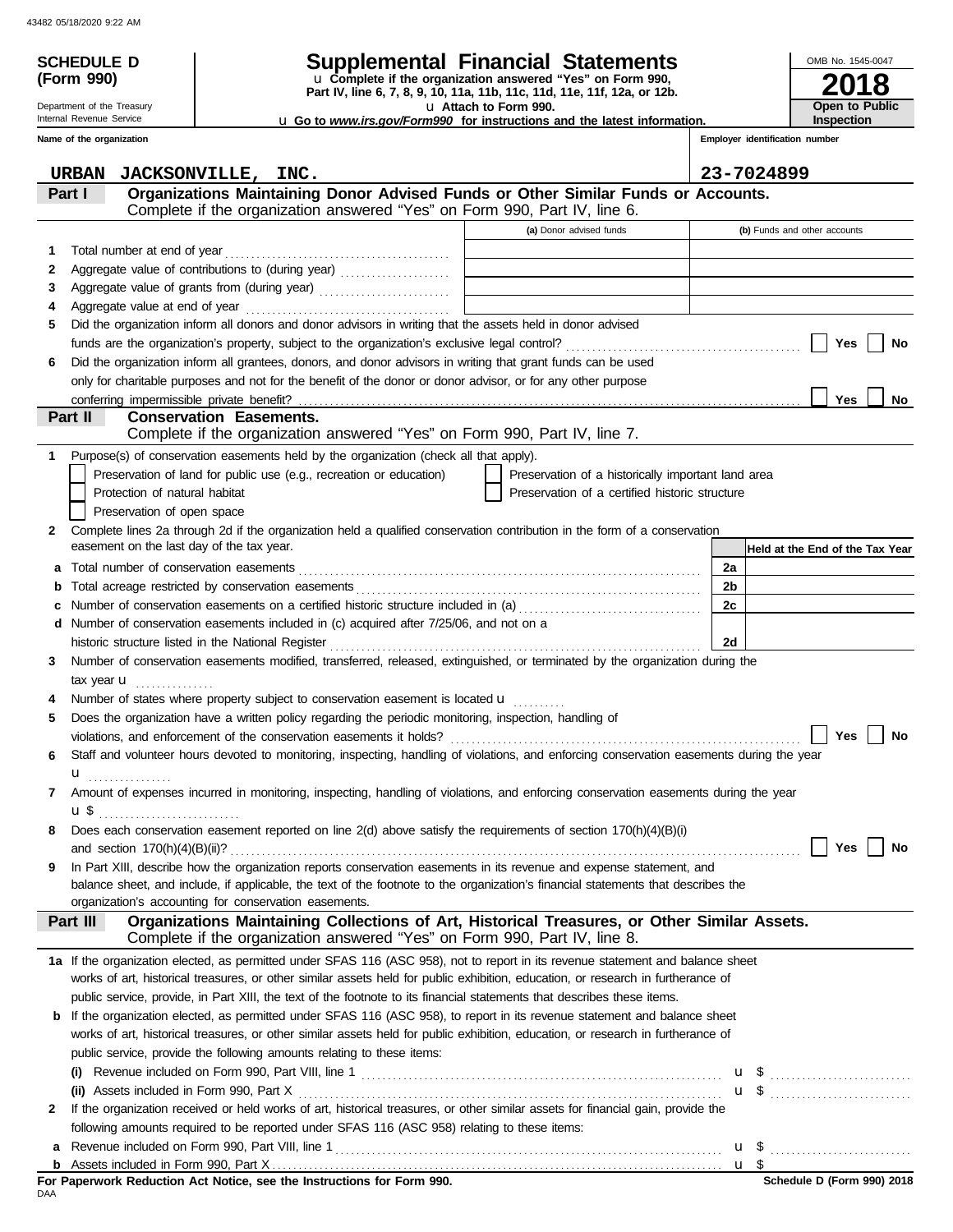|   | <b>SCHEDULE D</b>                         |                                                                                                                                                                |                                                                                                 |                                | OMB No. 1545-0047               |  |  |
|---|-------------------------------------------|----------------------------------------------------------------------------------------------------------------------------------------------------------------|-------------------------------------------------------------------------------------------------|--------------------------------|---------------------------------|--|--|
|   | (Form 990)                                |                                                                                                                                                                | Supplemental Financial Statements<br>u Complete if the organization answered "Yes" on Form 990, |                                |                                 |  |  |
|   |                                           |                                                                                                                                                                | Part IV, line 6, 7, 8, 9, 10, 11a, 11b, 11c, 11d, 11e, 11f, 12a, or 12b.                        |                                |                                 |  |  |
|   | Department of the Treasury                |                                                                                                                                                                | u Attach to Form 990.                                                                           |                                | <b>Open to Public</b>           |  |  |
|   | Internal Revenue Service                  |                                                                                                                                                                | <b>u</b> Go to www.irs.gov/Form990 for instructions and the latest information.                 | Inspection                     |                                 |  |  |
|   | Name of the organization                  |                                                                                                                                                                |                                                                                                 | Employer identification number |                                 |  |  |
|   | URBAN                                     | JACKSONVILLE, INC.                                                                                                                                             |                                                                                                 | 23-7024899                     |                                 |  |  |
|   | Part I                                    | Organizations Maintaining Donor Advised Funds or Other Similar Funds or Accounts.<br>Complete if the organization answered "Yes" on Form 990, Part IV, line 6. |                                                                                                 |                                |                                 |  |  |
|   |                                           |                                                                                                                                                                | (a) Donor advised funds                                                                         |                                | (b) Funds and other accounts    |  |  |
| 1 |                                           |                                                                                                                                                                |                                                                                                 |                                |                                 |  |  |
| 2 |                                           | Aggregate value of contributions to (during year)                                                                                                              |                                                                                                 |                                |                                 |  |  |
| 3 |                                           |                                                                                                                                                                | <u> 1989 - Johann Barn, mars eta bainar eta idazlea (</u>                                       |                                |                                 |  |  |
| 4 |                                           |                                                                                                                                                                |                                                                                                 |                                |                                 |  |  |
| 5 |                                           | Did the organization inform all donors and donor advisors in writing that the assets held in donor advised                                                     |                                                                                                 |                                |                                 |  |  |
|   |                                           |                                                                                                                                                                |                                                                                                 |                                | Yes<br>No                       |  |  |
| 6 |                                           | Did the organization inform all grantees, donors, and donor advisors in writing that grant funds can be used                                                   |                                                                                                 |                                |                                 |  |  |
|   |                                           | only for charitable purposes and not for the benefit of the donor or donor advisor, or for any other purpose                                                   |                                                                                                 |                                |                                 |  |  |
|   |                                           |                                                                                                                                                                |                                                                                                 |                                | <b>Yes</b><br>No                |  |  |
|   | Part II                                   | <b>Conservation Easements.</b>                                                                                                                                 |                                                                                                 |                                |                                 |  |  |
|   |                                           | Complete if the organization answered "Yes" on Form 990, Part IV, line 7.                                                                                      |                                                                                                 |                                |                                 |  |  |
| 1 |                                           | Purpose(s) of conservation easements held by the organization (check all that apply).                                                                          |                                                                                                 |                                |                                 |  |  |
|   |                                           | Preservation of land for public use (e.g., recreation or education)                                                                                            | Preservation of a historically important land area                                              |                                |                                 |  |  |
|   | Protection of natural habitat             |                                                                                                                                                                | Preservation of a certified historic structure                                                  |                                |                                 |  |  |
|   | Preservation of open space                |                                                                                                                                                                |                                                                                                 |                                |                                 |  |  |
| 2 |                                           | Complete lines 2a through 2d if the organization held a qualified conservation contribution in the form of a conservation                                      |                                                                                                 |                                |                                 |  |  |
|   | easement on the last day of the tax year. |                                                                                                                                                                |                                                                                                 |                                | Held at the End of the Tax Year |  |  |
| а |                                           |                                                                                                                                                                |                                                                                                 | 2a                             |                                 |  |  |
|   |                                           |                                                                                                                                                                |                                                                                                 | 2 <sub>b</sub>                 |                                 |  |  |
|   |                                           | Number of conservation easements on a certified historic structure included in (a) [[[[[ [ a]]                                                                 |                                                                                                 | 2c                             |                                 |  |  |
|   |                                           | d Number of conservation easements included in (c) acquired after 7/25/06, and not on a                                                                        |                                                                                                 |                                |                                 |  |  |
|   |                                           | historic structure listed in the National Register [11, 12] And The Context of the Mathematic Structure in the                                                 |                                                                                                 | 2d                             |                                 |  |  |
| 3 |                                           | Number of conservation easements modified, transferred, released, extinguished, or terminated by the organization during the                                   |                                                                                                 |                                |                                 |  |  |
|   | tax year $\mathbf u$                      |                                                                                                                                                                |                                                                                                 |                                |                                 |  |  |
|   |                                           | Number of states where property subject to conservation easement is located $\mathbf{u}$                                                                       |                                                                                                 |                                |                                 |  |  |
| 5 |                                           | Does the organization have a written policy regarding the periodic monitoring, inspection, handling of                                                         |                                                                                                 |                                |                                 |  |  |
|   |                                           |                                                                                                                                                                |                                                                                                 |                                | Yes $\vert$ No                  |  |  |
| 6 |                                           | Staff and volunteer hours devoted to monitoring, inspecting, handling of violations, and enforcing conservation easements during the year                      |                                                                                                 |                                |                                 |  |  |
|   | $\mathbf{u}$                              |                                                                                                                                                                |                                                                                                 |                                |                                 |  |  |
| 7 |                                           | Amount of expenses incurred in monitoring, inspecting, handling of violations, and enforcing conservation easements during the year                            |                                                                                                 |                                |                                 |  |  |
| 8 |                                           | Does each conservation easement reported on line 2(d) above satisfy the requirements of section 170(h)(4)(B)(i)                                                |                                                                                                 |                                |                                 |  |  |
|   |                                           |                                                                                                                                                                |                                                                                                 |                                | Yes $\vert \ \vert$<br>No       |  |  |
| 9 |                                           | In Part XIII, describe how the organization reports conservation easements in its revenue and expense statement, and                                           |                                                                                                 |                                |                                 |  |  |
|   |                                           | balance sheet, and include, if applicable, the text of the footnote to the organization's financial statements that describes the                              |                                                                                                 |                                |                                 |  |  |
|   |                                           | organization's accounting for conservation easements.                                                                                                          |                                                                                                 |                                |                                 |  |  |
|   | Part III                                  | Organizations Maintaining Collections of Art, Historical Treasures, or Other Similar Assets.                                                                   |                                                                                                 |                                |                                 |  |  |
|   |                                           | Complete if the organization answered "Yes" on Form 990, Part IV, line 8.                                                                                      |                                                                                                 |                                |                                 |  |  |
|   |                                           | 1a If the organization elected, as permitted under SFAS 116 (ASC 958), not to report in its revenue statement and balance sheet                                |                                                                                                 |                                |                                 |  |  |
|   |                                           | works of art, historical treasures, or other similar assets held for public exhibition, education, or research in furtherance of                               |                                                                                                 |                                |                                 |  |  |
|   |                                           | public service, provide, in Part XIII, the text of the footnote to its financial statements that describes these items.                                        |                                                                                                 |                                |                                 |  |  |
|   |                                           | <b>b</b> If the organization elected, as permitted under SFAS 116 (ASC 958), to report in its revenue statement and balance sheet                              |                                                                                                 |                                |                                 |  |  |
|   |                                           | works of art, historical treasures, or other similar assets held for public exhibition, education, or research in furtherance of                               |                                                                                                 |                                |                                 |  |  |
|   |                                           | public service, provide the following amounts relating to these items:                                                                                         |                                                                                                 |                                |                                 |  |  |
|   |                                           |                                                                                                                                                                |                                                                                                 |                                | $\mathbf{u}$ \$                 |  |  |
|   |                                           |                                                                                                                                                                |                                                                                                 |                                | <b>u</b> \$                     |  |  |
| 2 |                                           | If the organization received or held works of art, historical treasures, or other similar assets for financial gain, provide the                               |                                                                                                 |                                |                                 |  |  |
|   |                                           | following amounts required to be reported under SFAS 116 (ASC 958) relating to these items:                                                                    |                                                                                                 |                                |                                 |  |  |
|   |                                           |                                                                                                                                                                |                                                                                                 |                                |                                 |  |  |
|   |                                           |                                                                                                                                                                |                                                                                                 |                                |                                 |  |  |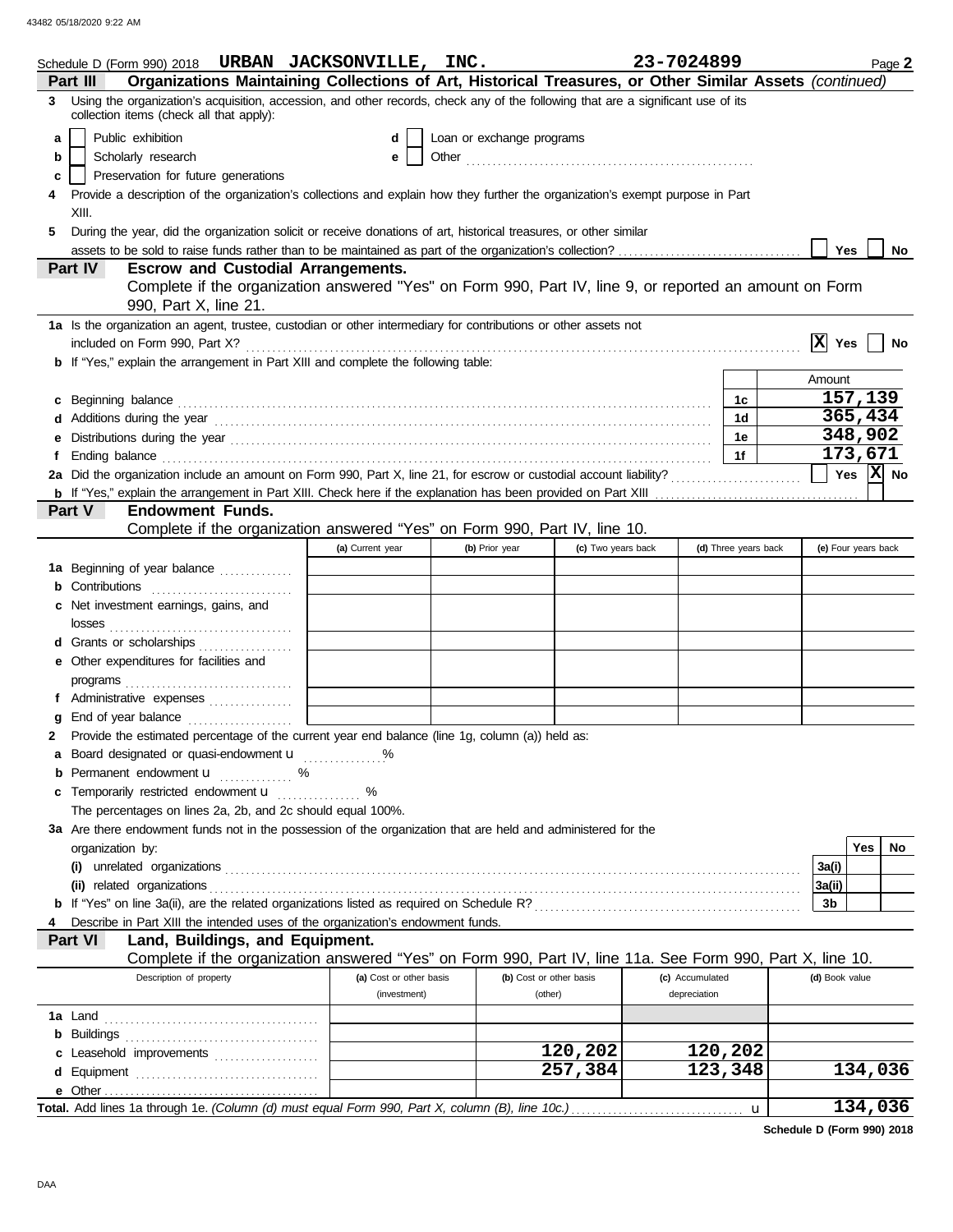|                  |                                                                                                            | Schedule D (Form 990) 2018 URBAN JACKSONVILLE, INC.                                                                              |                         |                           |                    | 23-7024899 |                        |                      |                |                            | Page 2 |
|------------------|------------------------------------------------------------------------------------------------------------|----------------------------------------------------------------------------------------------------------------------------------|-------------------------|---------------------------|--------------------|------------|------------------------|----------------------|----------------|----------------------------|--------|
| Part III         |                                                                                                            | Organizations Maintaining Collections of Art, Historical Treasures, or Other Similar Assets (continued)                          |                         |                           |                    |            |                        |                      |                |                            |        |
| 3.               | collection items (check all that apply):                                                                   | Using the organization's acquisition, accession, and other records, check any of the following that are a significant use of its |                         |                           |                    |            |                        |                      |                |                            |        |
| a                | Public exhibition                                                                                          |                                                                                                                                  | d                       | Loan or exchange programs |                    |            |                        |                      |                |                            |        |
| b                | Scholarly research                                                                                         |                                                                                                                                  | е                       |                           |                    |            |                        |                      |                |                            |        |
| c                | Preservation for future generations                                                                        |                                                                                                                                  |                         |                           |                    |            |                        |                      |                |                            |        |
|                  |                                                                                                            | Provide a description of the organization's collections and explain how they further the organization's exempt purpose in Part   |                         |                           |                    |            |                        |                      |                |                            |        |
| XIII.            |                                                                                                            |                                                                                                                                  |                         |                           |                    |            |                        |                      |                |                            |        |
| 5                |                                                                                                            | During the year, did the organization solicit or receive donations of art, historical treasures, or other similar                |                         |                           |                    |            |                        |                      |                |                            |        |
|                  |                                                                                                            |                                                                                                                                  |                         |                           |                    |            |                        |                      |                | <b>Yes</b>                 | No     |
| Part IV          |                                                                                                            | <b>Escrow and Custodial Arrangements.</b>                                                                                        |                         |                           |                    |            |                        |                      |                |                            |        |
|                  |                                                                                                            | Complete if the organization answered "Yes" on Form 990, Part IV, line 9, or reported an amount on Form                          |                         |                           |                    |            |                        |                      |                |                            |        |
|                  | 990, Part X, line 21.                                                                                      |                                                                                                                                  |                         |                           |                    |            |                        |                      |                |                            |        |
|                  |                                                                                                            | 1a Is the organization an agent, trustee, custodian or other intermediary for contributions or other assets not                  |                         |                           |                    |            |                        |                      |                |                            |        |
|                  |                                                                                                            |                                                                                                                                  |                         |                           |                    |            |                        |                      | $ X $ Yes      |                            | No     |
|                  |                                                                                                            | <b>b</b> If "Yes," explain the arrangement in Part XIII and complete the following table:                                        |                         |                           |                    |            |                        |                      |                |                            |        |
|                  |                                                                                                            |                                                                                                                                  |                         |                           |                    |            |                        |                      | Amount         |                            |        |
| c                |                                                                                                            |                                                                                                                                  |                         |                           |                    |            |                        | 1c                   |                | 157,139                    |        |
|                  |                                                                                                            |                                                                                                                                  |                         |                           |                    |            |                        | 1 <sub>d</sub>       |                | 365,434                    |        |
|                  |                                                                                                            |                                                                                                                                  |                         |                           |                    |            |                        | 1e                   |                | 348,902                    |        |
|                  |                                                                                                            |                                                                                                                                  |                         |                           |                    |            |                        | 1f                   |                | 173,671                    |        |
|                  |                                                                                                            | 2a Did the organization include an amount on Form 990, Part X, line 21, for escrow or custodial account liability?               |                         |                           |                    |            |                        |                      |                | $\sqrt{}$ Yes $\sqrt{}$ No |        |
|                  |                                                                                                            |                                                                                                                                  |                         |                           |                    |            |                        |                      |                |                            |        |
| Part V           | <b>Endowment Funds.</b>                                                                                    |                                                                                                                                  |                         |                           |                    |            |                        |                      |                |                            |        |
|                  |                                                                                                            | Complete if the organization answered "Yes" on Form 990, Part IV, line 10.                                                       |                         |                           |                    |            |                        |                      |                |                            |        |
|                  |                                                                                                            |                                                                                                                                  | (a) Current year        | (b) Prior year            | (c) Two years back |            |                        | (d) Three years back |                | (e) Four years back        |        |
|                  | 1a Beginning of year balance                                                                               |                                                                                                                                  |                         |                           |                    |            |                        |                      |                |                            |        |
|                  | <b>b</b> Contributions <b>contributions</b>                                                                |                                                                                                                                  |                         |                           |                    |            |                        |                      |                |                            |        |
| с                | Net investment earnings, gains, and                                                                        |                                                                                                                                  |                         |                           |                    |            |                        |                      |                |                            |        |
|                  |                                                                                                            |                                                                                                                                  |                         |                           |                    |            |                        |                      |                |                            |        |
|                  | d Grants or scholarships                                                                                   |                                                                                                                                  |                         |                           |                    |            |                        |                      |                |                            |        |
|                  | e Other expenditures for facilities and                                                                    |                                                                                                                                  |                         |                           |                    |            |                        |                      |                |                            |        |
|                  |                                                                                                            |                                                                                                                                  |                         |                           |                    |            |                        |                      |                |                            |        |
|                  | f Administrative expenses                                                                                  |                                                                                                                                  |                         |                           |                    |            |                        |                      |                |                            |        |
|                  | End of year balance                                                                                        |                                                                                                                                  |                         |                           |                    |            |                        |                      |                |                            |        |
|                  |                                                                                                            | 2 Provide the estimated percentage of the current year end balance (line 1g, column (a)) held as:                                |                         |                           |                    |            |                        |                      |                |                            |        |
|                  |                                                                                                            | Board designated or quasi-endowment <b>u</b> %                                                                                   |                         |                           |                    |            |                        |                      |                |                            |        |
|                  | <b>b</b> Permanent endowment <b>u</b> %                                                                    |                                                                                                                                  |                         |                           |                    |            |                        |                      |                |                            |        |
|                  |                                                                                                            | c Temporarily restricted endowment <b>u</b> %                                                                                    |                         |                           |                    |            |                        |                      |                |                            |        |
|                  |                                                                                                            | The percentages on lines 2a, 2b, and 2c should equal 100%.                                                                       |                         |                           |                    |            |                        |                      |                |                            |        |
|                  |                                                                                                            | 3a Are there endowment funds not in the possession of the organization that are held and administered for the                    |                         |                           |                    |            |                        |                      |                |                            |        |
| organization by: |                                                                                                            |                                                                                                                                  |                         |                           |                    |            |                        |                      |                | Yes                        | No     |
|                  |                                                                                                            |                                                                                                                                  |                         |                           |                    |            |                        |                      | 3a(i)          |                            |        |
|                  | (ii) related organizations                                                                                 |                                                                                                                                  |                         |                           |                    |            |                        |                      | 3a(ii)         |                            |        |
|                  |                                                                                                            |                                                                                                                                  |                         |                           |                    |            |                        |                      | 3b             |                            |        |
|                  |                                                                                                            | Describe in Part XIII the intended uses of the organization's endowment funds.                                                   |                         |                           |                    |            |                        |                      |                |                            |        |
| Part VI          |                                                                                                            | Land, Buildings, and Equipment.                                                                                                  |                         |                           |                    |            |                        |                      |                |                            |        |
|                  |                                                                                                            | Complete if the organization answered "Yes" on Form 990, Part IV, line 11a. See Form 990, Part X, line 10.                       |                         |                           |                    |            |                        |                      |                |                            |        |
|                  | Description of property                                                                                    |                                                                                                                                  | (a) Cost or other basis | (b) Cost or other basis   |                    |            | (c) Accumulated        |                      | (d) Book value |                            |        |
|                  |                                                                                                            |                                                                                                                                  | (investment)            | (other)                   |                    |            | depreciation           |                      |                |                            |        |
|                  |                                                                                                            |                                                                                                                                  |                         |                           |                    |            |                        |                      |                |                            |        |
|                  | <b>b</b> Buildings <b>contained b</b> Buildings <b>contained b</b> Buildings <b>contained by Buildings</b> |                                                                                                                                  |                         |                           |                    |            |                        |                      |                |                            |        |
|                  | c Leasehold improvements                                                                                   |                                                                                                                                  |                         |                           | 120,202            |            | 120,202                |                      |                |                            |        |
|                  |                                                                                                            |                                                                                                                                  |                         |                           | 257,384            |            | $\overline{123}$ , 348 |                      |                | 134,036                    |        |
|                  |                                                                                                            |                                                                                                                                  |                         |                           |                    |            |                        |                      |                |                            |        |
|                  |                                                                                                            |                                                                                                                                  |                         |                           |                    |            |                        |                      |                | 134,036                    |        |

**Schedule D (Form 990) 2018**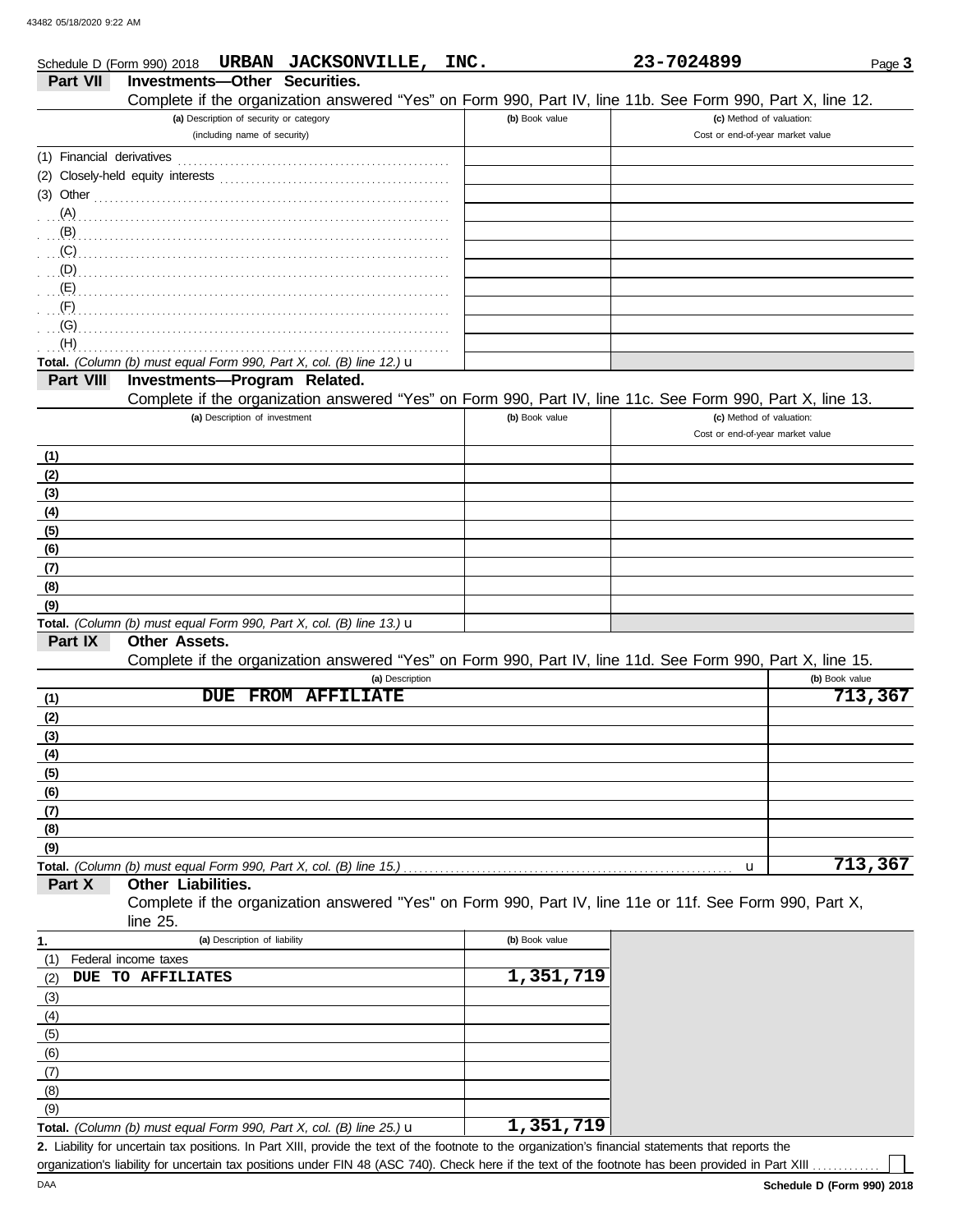|                 |                                         | Schedule D (Form 990) 2018 URBAN JACKSONVILLE,                                                                                                                                                                                    | INC. |                | 23-7024899                                                   | Page 3         |
|-----------------|-----------------------------------------|-----------------------------------------------------------------------------------------------------------------------------------------------------------------------------------------------------------------------------------|------|----------------|--------------------------------------------------------------|----------------|
| <b>Part VII</b> | Investments-Other Securities.           |                                                                                                                                                                                                                                   |      |                |                                                              |                |
|                 |                                         | Complete if the organization answered "Yes" on Form 990, Part IV, line 11b. See Form 990, Part X, line 12.                                                                                                                        |      |                |                                                              |                |
|                 | (a) Description of security or category |                                                                                                                                                                                                                                   |      | (b) Book value | (c) Method of valuation:                                     |                |
|                 | (including name of security)            |                                                                                                                                                                                                                                   |      |                | Cost or end-of-year market value                             |                |
|                 |                                         |                                                                                                                                                                                                                                   |      |                |                                                              |                |
|                 |                                         |                                                                                                                                                                                                                                   |      |                |                                                              |                |
|                 |                                         | $(3)$ Other                                                                                                                                                                                                                       |      |                |                                                              |                |
|                 |                                         |                                                                                                                                                                                                                                   |      |                |                                                              |                |
|                 |                                         | $\mathbf{B}$                                                                                                                                                                                                                      |      |                |                                                              |                |
|                 |                                         | (C)                                                                                                                                                                                                                               |      |                |                                                              |                |
|                 |                                         |                                                                                                                                                                                                                                   |      |                |                                                              |                |
|                 |                                         |                                                                                                                                                                                                                                   |      |                |                                                              |                |
|                 |                                         | $\mathbf{F}$ (F) and the contract of the contract of the contract of the contract of the contract of the contract of the contract of the contract of the contract of the contract of the contract of the contract of the contract |      |                |                                                              |                |
|                 |                                         | $\overline{a}(G)$                                                                                                                                                                                                                 |      |                |                                                              |                |
| (H)             |                                         |                                                                                                                                                                                                                                   |      |                |                                                              |                |
|                 |                                         | Total. (Column (b) must equal Form 990, Part X, col. (B) line 12.) $\mathbf u$                                                                                                                                                    |      |                |                                                              |                |
| Part VIII       | Investments-Program Related.            |                                                                                                                                                                                                                                   |      |                |                                                              |                |
|                 |                                         | Complete if the organization answered "Yes" on Form 990, Part IV, line 11c. See Form 990, Part X, line 13.                                                                                                                        |      |                |                                                              |                |
|                 | (a) Description of investment           |                                                                                                                                                                                                                                   |      | (b) Book value | (c) Method of valuation:<br>Cost or end-of-year market value |                |
|                 |                                         |                                                                                                                                                                                                                                   |      |                |                                                              |                |
| (1)             |                                         |                                                                                                                                                                                                                                   |      |                |                                                              |                |
| (2)             |                                         |                                                                                                                                                                                                                                   |      |                |                                                              |                |
| (3)             |                                         |                                                                                                                                                                                                                                   |      |                |                                                              |                |
| (4)             |                                         |                                                                                                                                                                                                                                   |      |                |                                                              |                |
| (5)             |                                         |                                                                                                                                                                                                                                   |      |                |                                                              |                |
| (6)             |                                         |                                                                                                                                                                                                                                   |      |                |                                                              |                |
| (7)             |                                         |                                                                                                                                                                                                                                   |      |                |                                                              |                |
| (8)             |                                         |                                                                                                                                                                                                                                   |      |                |                                                              |                |
| (9)             |                                         | Total. (Column (b) must equal Form 990, Part X, col. (B) line 13.) $\mathbf u$                                                                                                                                                    |      |                |                                                              |                |
| Part IX         | <b>Other Assets.</b>                    |                                                                                                                                                                                                                                   |      |                |                                                              |                |
|                 |                                         | Complete if the organization answered "Yes" on Form 990, Part IV, line 11d. See Form 990, Part X, line 15.                                                                                                                        |      |                |                                                              |                |
|                 |                                         | (a) Description                                                                                                                                                                                                                   |      |                |                                                              | (b) Book value |
| (1)             | <b>DUE</b>                              | <b>FROM AFFILIATE</b>                                                                                                                                                                                                             |      |                |                                                              | 713,367        |
| (2)             |                                         |                                                                                                                                                                                                                                   |      |                |                                                              |                |
| (3)             |                                         |                                                                                                                                                                                                                                   |      |                |                                                              |                |
| (4)             |                                         |                                                                                                                                                                                                                                   |      |                |                                                              |                |
| (5)             |                                         |                                                                                                                                                                                                                                   |      |                |                                                              |                |
| (6)             |                                         |                                                                                                                                                                                                                                   |      |                |                                                              |                |
| (7)             |                                         |                                                                                                                                                                                                                                   |      |                |                                                              |                |
| (8)             |                                         |                                                                                                                                                                                                                                   |      |                |                                                              |                |
| (9)             |                                         |                                                                                                                                                                                                                                   |      |                |                                                              |                |
|                 |                                         | Total. (Column (b) must equal Form 990, Part X, col. (B) line 15.)                                                                                                                                                                |      |                | u                                                            | 713,367        |
| Part X          | Other Liabilities.                      |                                                                                                                                                                                                                                   |      |                |                                                              |                |
|                 |                                         | Complete if the organization answered "Yes" on Form 990, Part IV, line 11e or 11f. See Form 990, Part X,                                                                                                                          |      |                |                                                              |                |
|                 | line 25.                                |                                                                                                                                                                                                                                   |      |                |                                                              |                |
| 1.              | (a) Description of liability            |                                                                                                                                                                                                                                   |      | (b) Book value |                                                              |                |
| (1)             | Federal income taxes                    |                                                                                                                                                                                                                                   |      |                |                                                              |                |
| (2)             | DUE TO AFFILIATES                       |                                                                                                                                                                                                                                   |      | 1,351,719      |                                                              |                |
| (3)             |                                         |                                                                                                                                                                                                                                   |      |                |                                                              |                |
| (4)             |                                         |                                                                                                                                                                                                                                   |      |                |                                                              |                |
| (5)             |                                         |                                                                                                                                                                                                                                   |      |                |                                                              |                |
| (6)             |                                         |                                                                                                                                                                                                                                   |      |                |                                                              |                |
| (7)             |                                         |                                                                                                                                                                                                                                   |      |                |                                                              |                |
| (8)             |                                         |                                                                                                                                                                                                                                   |      |                |                                                              |                |
| (9)             |                                         |                                                                                                                                                                                                                                   |      |                |                                                              |                |

| <b>Total.</b> (Column (b) must equal Form 990, Part X, col. (B) line 25.) $\mathbf{u}$ | 1,351,719 |
|----------------------------------------------------------------------------------------|-----------|
|----------------------------------------------------------------------------------------|-----------|

Liability for uncertain tax positions. In Part XIII, provide the text of the footnote to the organization's financial statements that reports the **2.** organization's liability for uncertain tax positions under FIN 48 (ASC 740). Check here if the text of the footnote has been provided in Part XIII.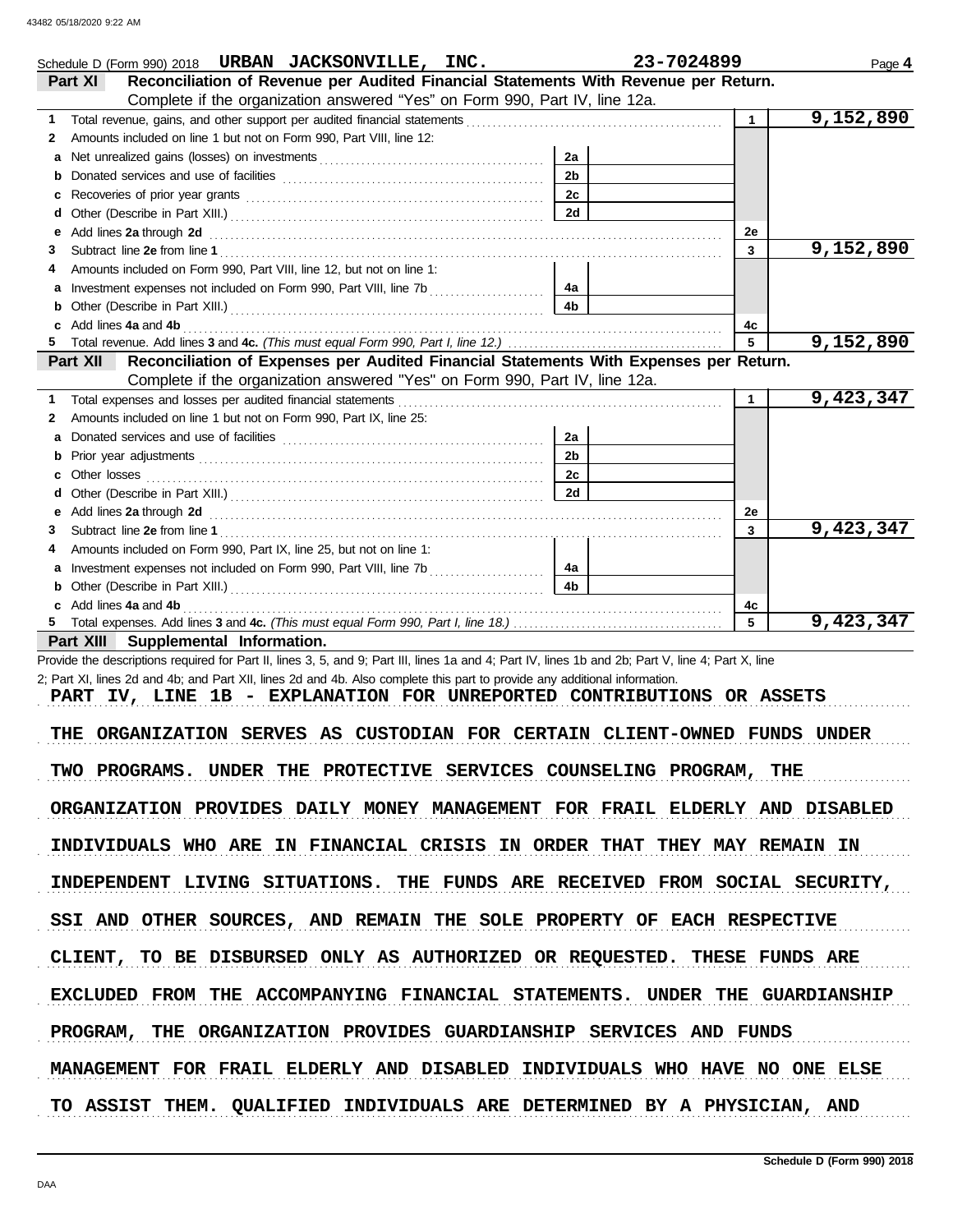| Schedule D (Form 990) 2018 URBAN JACKSONVILLE, INC.                                                                                                                                                                                |                | 23-7024899   | Page 4    |
|------------------------------------------------------------------------------------------------------------------------------------------------------------------------------------------------------------------------------------|----------------|--------------|-----------|
| Reconciliation of Revenue per Audited Financial Statements With Revenue per Return.<br>Part XI                                                                                                                                     |                |              |           |
| Complete if the organization answered "Yes" on Form 990, Part IV, line 12a.                                                                                                                                                        |                |              |           |
| Total revenue, gains, and other support per audited financial statements<br>1                                                                                                                                                      |                | $\mathbf{1}$ | 9,152,890 |
| Amounts included on line 1 but not on Form 990, Part VIII, line 12:<br>2                                                                                                                                                           |                |              |           |
| a                                                                                                                                                                                                                                  | 2a             |              |           |
| b                                                                                                                                                                                                                                  | 2 <sub>b</sub> |              |           |
| с                                                                                                                                                                                                                                  | 2c             |              |           |
| d                                                                                                                                                                                                                                  | 2d             |              |           |
| Add lines 2a through 2d [11] Additional Property and Property and Property and Property and Property and Property and Property and Property and Property and Property and Property and Property and Property and Property and<br>е |                | 2e           |           |
| 3                                                                                                                                                                                                                                  |                | 3            | 9,152,890 |
| Amounts included on Form 990, Part VIII, line 12, but not on line 1:                                                                                                                                                               |                |              |           |
| а                                                                                                                                                                                                                                  | 4а             |              |           |
| b                                                                                                                                                                                                                                  | 4 <sub>b</sub> |              |           |
| Add lines 4a and 4b<br>c                                                                                                                                                                                                           |                | 4c           |           |
| 5.                                                                                                                                                                                                                                 |                | 5            | 9,152,890 |
| Reconciliation of Expenses per Audited Financial Statements With Expenses per Return.<br>Part XII                                                                                                                                  |                |              |           |
| Complete if the organization answered "Yes" on Form 990, Part IV, line 12a.                                                                                                                                                        |                |              |           |
| Total expenses and losses per audited financial statements<br>1.                                                                                                                                                                   |                | $\mathbf{1}$ | 9,423,347 |
| Amounts included on line 1 but not on Form 990, Part IX, line 25:<br>2                                                                                                                                                             |                |              |           |
| a                                                                                                                                                                                                                                  | 2a             |              |           |
| b                                                                                                                                                                                                                                  | 2 <sub>b</sub> |              |           |
| с                                                                                                                                                                                                                                  | 2c             |              |           |
| d                                                                                                                                                                                                                                  | 2d             |              |           |
| е                                                                                                                                                                                                                                  |                | 2e           |           |
| 3                                                                                                                                                                                                                                  |                | 3            | 9,423,347 |
| Amounts included on Form 990, Part IX, line 25, but not on line 1:                                                                                                                                                                 |                |              |           |
| а                                                                                                                                                                                                                                  | 4a             |              |           |
| b                                                                                                                                                                                                                                  | 4 <sub>b</sub> |              |           |
| Add lines 4a and 4b                                                                                                                                                                                                                |                | 4с           |           |
|                                                                                                                                                                                                                                    |                | 5            | 9,423,347 |
| Part XIII Supplemental Information.                                                                                                                                                                                                |                |              |           |
| Provide the descriptions required for Part II, lines 3, 5, and 9; Part III, lines 1a and 4; Part IV, lines 1b and 2b; Part V, line 4; Part X, line                                                                                 |                |              |           |
| 2; Part XI, lines 2d and 4b; and Part XII, lines 2d and 4b. Also complete this part to provide any additional information.                                                                                                         |                |              |           |
| PART IV, LINE 1B - EXPLANATION FOR UNREPORTED CONTRIBUTIONS OR ASSETS                                                                                                                                                              |                |              |           |
|                                                                                                                                                                                                                                    |                |              |           |
| ORGANIZATION SERVES AS CUSTODIAN FOR CERTAIN CLIENT-OWNED FUNDS UNDER<br>THE                                                                                                                                                       |                |              |           |
|                                                                                                                                                                                                                                    |                |              |           |
| TWO PROGRAMS. UNDER THE PROTECTIVE SERVICES COUNSELING PROGRAM, THE                                                                                                                                                                |                |              |           |
|                                                                                                                                                                                                                                    |                |              |           |
| ORGANIZATION PROVIDES DAILY MONEY MANAGEMENT FOR FRAIL ELDERLY AND DISABLED                                                                                                                                                        |                |              |           |
| INDIVIDUALS WHO ARE IN FINANCIAL CRISIS IN ORDER THAT THEY MAY REMAIN IN                                                                                                                                                           |                |              |           |
|                                                                                                                                                                                                                                    |                |              |           |
| INDEPENDENT LIVING SITUATIONS. THE FUNDS ARE RECEIVED FROM SOCIAL SECURITY,                                                                                                                                                        |                |              |           |
|                                                                                                                                                                                                                                    |                |              |           |

SSI AND OTHER SOURCES, AND REMAIN THE SOLE PROPERTY OF EACH RESPECTIVE

CLIENT, TO BE DISBURSED ONLY AS AUTHORIZED OR REQUESTED. THESE FUNDS ARE

EXCLUDED FROM THE ACCOMPANYING FINANCIAL STATEMENTS. UNDER THE GUARDIANSHIP

PROGRAM, THE ORGANIZATION PROVIDES GUARDIANSHIP SERVICES AND FUNDS

MANAGEMENT FOR FRAIL ELDERLY AND DISABLED INDIVIDUALS WHO HAVE NO ONE ELSE

TO ASSIST THEM. QUALIFIED INDIVIDUALS ARE DETERMINED BY A PHYSICIAN, AND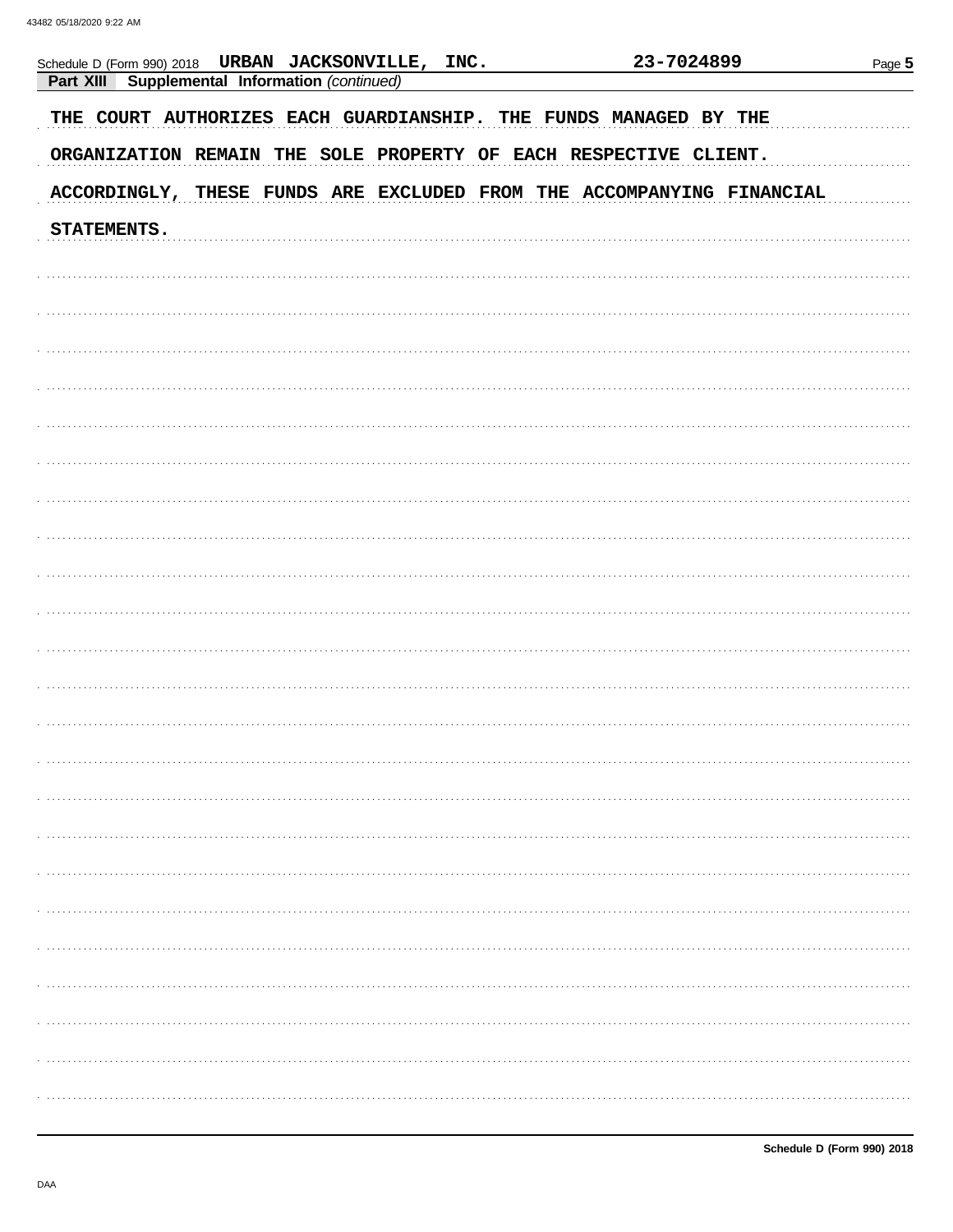| 23-7024899<br>Schedule D (Form 990) 2018 URBAN JACKSONVILLE, INC.<br>Part XIII<br>Supplemental Information (continued)<br>THE COURT AUTHORIZES EACH GUARDIANSHIP. THE FUNDS MANAGED BY THE<br>ORGANIZATION REMAIN THE SOLE PROPERTY OF EACH RESPECTIVE CLIENT. |  | Page 5 |  |  |
|----------------------------------------------------------------------------------------------------------------------------------------------------------------------------------------------------------------------------------------------------------------|--|--------|--|--|
|                                                                                                                                                                                                                                                                |  |        |  |  |
|                                                                                                                                                                                                                                                                |  |        |  |  |
|                                                                                                                                                                                                                                                                |  |        |  |  |
|                                                                                                                                                                                                                                                                |  |        |  |  |
| ACCORDINGLY, THESE FUNDS ARE EXCLUDED FROM THE ACCOMPANYING FINANCIAL<br>STATEMENTS.                                                                                                                                                                           |  |        |  |  |
|                                                                                                                                                                                                                                                                |  |        |  |  |
|                                                                                                                                                                                                                                                                |  |        |  |  |
|                                                                                                                                                                                                                                                                |  |        |  |  |
|                                                                                                                                                                                                                                                                |  |        |  |  |
|                                                                                                                                                                                                                                                                |  |        |  |  |
|                                                                                                                                                                                                                                                                |  |        |  |  |
|                                                                                                                                                                                                                                                                |  |        |  |  |
|                                                                                                                                                                                                                                                                |  |        |  |  |
|                                                                                                                                                                                                                                                                |  |        |  |  |
|                                                                                                                                                                                                                                                                |  |        |  |  |
|                                                                                                                                                                                                                                                                |  |        |  |  |
|                                                                                                                                                                                                                                                                |  |        |  |  |
|                                                                                                                                                                                                                                                                |  |        |  |  |
|                                                                                                                                                                                                                                                                |  |        |  |  |
|                                                                                                                                                                                                                                                                |  |        |  |  |
|                                                                                                                                                                                                                                                                |  |        |  |  |
|                                                                                                                                                                                                                                                                |  |        |  |  |
|                                                                                                                                                                                                                                                                |  |        |  |  |
|                                                                                                                                                                                                                                                                |  |        |  |  |
|                                                                                                                                                                                                                                                                |  |        |  |  |
|                                                                                                                                                                                                                                                                |  |        |  |  |
|                                                                                                                                                                                                                                                                |  |        |  |  |
|                                                                                                                                                                                                                                                                |  |        |  |  |
|                                                                                                                                                                                                                                                                |  |        |  |  |
|                                                                                                                                                                                                                                                                |  |        |  |  |
|                                                                                                                                                                                                                                                                |  |        |  |  |
|                                                                                                                                                                                                                                                                |  |        |  |  |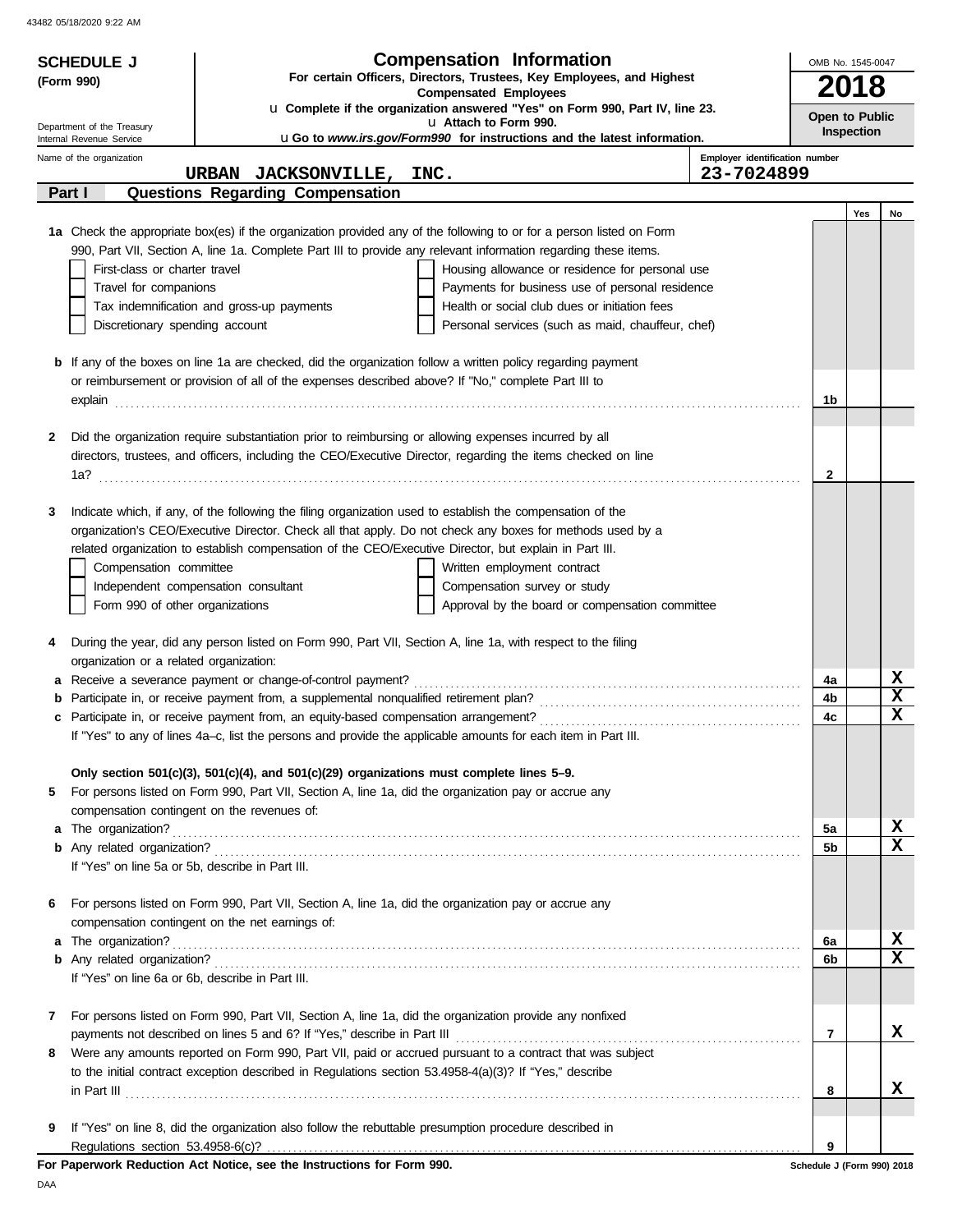43482 05/18/2020 9:22 AM

|            | <b>SCHEDULE J</b>                                                                                     |                                                                                                                                                                                                                                                                                                                                                                                                                                                                                                                                                                                                                                                                                                                                                                                                                                                                                                                                                                                                                                                                                                                                                                                                                                                                                                                                                                                                                                                                                                                                                                                                                                                                                                                                                                                                                                                                                                                                                                                                                                                                                                                                                                                                                                                                                                                                                                                                                                                                                                                                                                                                                                                                                                                                                                                                                                                                                                                                                                                                                                                      | <b>Compensation Information</b> |                                | OMB No. 1545-0047          |            |             |
|------------|-------------------------------------------------------------------------------------------------------|------------------------------------------------------------------------------------------------------------------------------------------------------------------------------------------------------------------------------------------------------------------------------------------------------------------------------------------------------------------------------------------------------------------------------------------------------------------------------------------------------------------------------------------------------------------------------------------------------------------------------------------------------------------------------------------------------------------------------------------------------------------------------------------------------------------------------------------------------------------------------------------------------------------------------------------------------------------------------------------------------------------------------------------------------------------------------------------------------------------------------------------------------------------------------------------------------------------------------------------------------------------------------------------------------------------------------------------------------------------------------------------------------------------------------------------------------------------------------------------------------------------------------------------------------------------------------------------------------------------------------------------------------------------------------------------------------------------------------------------------------------------------------------------------------------------------------------------------------------------------------------------------------------------------------------------------------------------------------------------------------------------------------------------------------------------------------------------------------------------------------------------------------------------------------------------------------------------------------------------------------------------------------------------------------------------------------------------------------------------------------------------------------------------------------------------------------------------------------------------------------------------------------------------------------------------------------------------------------------------------------------------------------------------------------------------------------------------------------------------------------------------------------------------------------------------------------------------------------------------------------------------------------------------------------------------------------------------------------------------------------------------------------------------------------|---------------------------------|--------------------------------|----------------------------|------------|-------------|
| (Form 990) | For certain Officers, Directors, Trustees, Key Employees, and Highest<br><b>Compensated Employees</b> |                                                                                                                                                                                                                                                                                                                                                                                                                                                                                                                                                                                                                                                                                                                                                                                                                                                                                                                                                                                                                                                                                                                                                                                                                                                                                                                                                                                                                                                                                                                                                                                                                                                                                                                                                                                                                                                                                                                                                                                                                                                                                                                                                                                                                                                                                                                                                                                                                                                                                                                                                                                                                                                                                                                                                                                                                                                                                                                                                                                                                                                      |                                 |                                |                            | 2018       |             |
|            |                                                                                                       |                                                                                                                                                                                                                                                                                                                                                                                                                                                                                                                                                                                                                                                                                                                                                                                                                                                                                                                                                                                                                                                                                                                                                                                                                                                                                                                                                                                                                                                                                                                                                                                                                                                                                                                                                                                                                                                                                                                                                                                                                                                                                                                                                                                                                                                                                                                                                                                                                                                                                                                                                                                                                                                                                                                                                                                                                                                                                                                                                                                                                                                      |                                 |                                |                            |            |             |
|            | Department of the Treasury<br>Internal Revenue Service                                                |                                                                                                                                                                                                                                                                                                                                                                                                                                                                                                                                                                                                                                                                                                                                                                                                                                                                                                                                                                                                                                                                                                                                                                                                                                                                                                                                                                                                                                                                                                                                                                                                                                                                                                                                                                                                                                                                                                                                                                                                                                                                                                                                                                                                                                                                                                                                                                                                                                                                                                                                                                                                                                                                                                                                                                                                                                                                                                                                                                                                                                                      | u Attach to Form 990.           |                                | Open to Public             | Inspection |             |
|            | Name of the organization                                                                              |                                                                                                                                                                                                                                                                                                                                                                                                                                                                                                                                                                                                                                                                                                                                                                                                                                                                                                                                                                                                                                                                                                                                                                                                                                                                                                                                                                                                                                                                                                                                                                                                                                                                                                                                                                                                                                                                                                                                                                                                                                                                                                                                                                                                                                                                                                                                                                                                                                                                                                                                                                                                                                                                                                                                                                                                                                                                                                                                                                                                                                                      |                                 | Employer identification number |                            |            |             |
|            |                                                                                                       |                                                                                                                                                                                                                                                                                                                                                                                                                                                                                                                                                                                                                                                                                                                                                                                                                                                                                                                                                                                                                                                                                                                                                                                                                                                                                                                                                                                                                                                                                                                                                                                                                                                                                                                                                                                                                                                                                                                                                                                                                                                                                                                                                                                                                                                                                                                                                                                                                                                                                                                                                                                                                                                                                                                                                                                                                                                                                                                                                                                                                                                      |                                 | 23-7024899                     |                            |            |             |
|            | Part I                                                                                                |                                                                                                                                                                                                                                                                                                                                                                                                                                                                                                                                                                                                                                                                                                                                                                                                                                                                                                                                                                                                                                                                                                                                                                                                                                                                                                                                                                                                                                                                                                                                                                                                                                                                                                                                                                                                                                                                                                                                                                                                                                                                                                                                                                                                                                                                                                                                                                                                                                                                                                                                                                                                                                                                                                                                                                                                                                                                                                                                                                                                                                                      |                                 |                                |                            |            |             |
|            |                                                                                                       |                                                                                                                                                                                                                                                                                                                                                                                                                                                                                                                                                                                                                                                                                                                                                                                                                                                                                                                                                                                                                                                                                                                                                                                                                                                                                                                                                                                                                                                                                                                                                                                                                                                                                                                                                                                                                                                                                                                                                                                                                                                                                                                                                                                                                                                                                                                                                                                                                                                                                                                                                                                                                                                                                                                                                                                                                                                                                                                                                                                                                                                      |                                 |                                |                            | Yes        | No          |
|            |                                                                                                       |                                                                                                                                                                                                                                                                                                                                                                                                                                                                                                                                                                                                                                                                                                                                                                                                                                                                                                                                                                                                                                                                                                                                                                                                                                                                                                                                                                                                                                                                                                                                                                                                                                                                                                                                                                                                                                                                                                                                                                                                                                                                                                                                                                                                                                                                                                                                                                                                                                                                                                                                                                                                                                                                                                                                                                                                                                                                                                                                                                                                                                                      |                                 |                                |                            |            |             |
|            |                                                                                                       |                                                                                                                                                                                                                                                                                                                                                                                                                                                                                                                                                                                                                                                                                                                                                                                                                                                                                                                                                                                                                                                                                                                                                                                                                                                                                                                                                                                                                                                                                                                                                                                                                                                                                                                                                                                                                                                                                                                                                                                                                                                                                                                                                                                                                                                                                                                                                                                                                                                                                                                                                                                                                                                                                                                                                                                                                                                                                                                                                                                                                                                      |                                 |                                |                            |            |             |
|            |                                                                                                       |                                                                                                                                                                                                                                                                                                                                                                                                                                                                                                                                                                                                                                                                                                                                                                                                                                                                                                                                                                                                                                                                                                                                                                                                                                                                                                                                                                                                                                                                                                                                                                                                                                                                                                                                                                                                                                                                                                                                                                                                                                                                                                                                                                                                                                                                                                                                                                                                                                                                                                                                                                                                                                                                                                                                                                                                                                                                                                                                                                                                                                                      |                                 |                                |                            |            |             |
|            |                                                                                                       |                                                                                                                                                                                                                                                                                                                                                                                                                                                                                                                                                                                                                                                                                                                                                                                                                                                                                                                                                                                                                                                                                                                                                                                                                                                                                                                                                                                                                                                                                                                                                                                                                                                                                                                                                                                                                                                                                                                                                                                                                                                                                                                                                                                                                                                                                                                                                                                                                                                                                                                                                                                                                                                                                                                                                                                                                                                                                                                                                                                                                                                      |                                 |                                |                            |            |             |
|            |                                                                                                       |                                                                                                                                                                                                                                                                                                                                                                                                                                                                                                                                                                                                                                                                                                                                                                                                                                                                                                                                                                                                                                                                                                                                                                                                                                                                                                                                                                                                                                                                                                                                                                                                                                                                                                                                                                                                                                                                                                                                                                                                                                                                                                                                                                                                                                                                                                                                                                                                                                                                                                                                                                                                                                                                                                                                                                                                                                                                                                                                                                                                                                                      |                                 |                                |                            |            |             |
|            |                                                                                                       |                                                                                                                                                                                                                                                                                                                                                                                                                                                                                                                                                                                                                                                                                                                                                                                                                                                                                                                                                                                                                                                                                                                                                                                                                                                                                                                                                                                                                                                                                                                                                                                                                                                                                                                                                                                                                                                                                                                                                                                                                                                                                                                                                                                                                                                                                                                                                                                                                                                                                                                                                                                                                                                                                                                                                                                                                                                                                                                                                                                                                                                      |                                 |                                |                            |            |             |
|            |                                                                                                       |                                                                                                                                                                                                                                                                                                                                                                                                                                                                                                                                                                                                                                                                                                                                                                                                                                                                                                                                                                                                                                                                                                                                                                                                                                                                                                                                                                                                                                                                                                                                                                                                                                                                                                                                                                                                                                                                                                                                                                                                                                                                                                                                                                                                                                                                                                                                                                                                                                                                                                                                                                                                                                                                                                                                                                                                                                                                                                                                                                                                                                                      |                                 |                                |                            |            |             |
|            |                                                                                                       |                                                                                                                                                                                                                                                                                                                                                                                                                                                                                                                                                                                                                                                                                                                                                                                                                                                                                                                                                                                                                                                                                                                                                                                                                                                                                                                                                                                                                                                                                                                                                                                                                                                                                                                                                                                                                                                                                                                                                                                                                                                                                                                                                                                                                                                                                                                                                                                                                                                                                                                                                                                                                                                                                                                                                                                                                                                                                                                                                                                                                                                      |                                 |                                | 1b                         |            |             |
|            |                                                                                                       |                                                                                                                                                                                                                                                                                                                                                                                                                                                                                                                                                                                                                                                                                                                                                                                                                                                                                                                                                                                                                                                                                                                                                                                                                                                                                                                                                                                                                                                                                                                                                                                                                                                                                                                                                                                                                                                                                                                                                                                                                                                                                                                                                                                                                                                                                                                                                                                                                                                                                                                                                                                                                                                                                                                                                                                                                                                                                                                                                                                                                                                      |                                 |                                |                            |            |             |
| 2          |                                                                                                       |                                                                                                                                                                                                                                                                                                                                                                                                                                                                                                                                                                                                                                                                                                                                                                                                                                                                                                                                                                                                                                                                                                                                                                                                                                                                                                                                                                                                                                                                                                                                                                                                                                                                                                                                                                                                                                                                                                                                                                                                                                                                                                                                                                                                                                                                                                                                                                                                                                                                                                                                                                                                                                                                                                                                                                                                                                                                                                                                                                                                                                                      |                                 |                                |                            |            |             |
|            |                                                                                                       |                                                                                                                                                                                                                                                                                                                                                                                                                                                                                                                                                                                                                                                                                                                                                                                                                                                                                                                                                                                                                                                                                                                                                                                                                                                                                                                                                                                                                                                                                                                                                                                                                                                                                                                                                                                                                                                                                                                                                                                                                                                                                                                                                                                                                                                                                                                                                                                                                                                                                                                                                                                                                                                                                                                                                                                                                                                                                                                                                                                                                                                      |                                 |                                |                            |            |             |
|            |                                                                                                       |                                                                                                                                                                                                                                                                                                                                                                                                                                                                                                                                                                                                                                                                                                                                                                                                                                                                                                                                                                                                                                                                                                                                                                                                                                                                                                                                                                                                                                                                                                                                                                                                                                                                                                                                                                                                                                                                                                                                                                                                                                                                                                                                                                                                                                                                                                                                                                                                                                                                                                                                                                                                                                                                                                                                                                                                                                                                                                                                                                                                                                                      |                                 |                                | $\mathbf{2}$               |            |             |
|            |                                                                                                       |                                                                                                                                                                                                                                                                                                                                                                                                                                                                                                                                                                                                                                                                                                                                                                                                                                                                                                                                                                                                                                                                                                                                                                                                                                                                                                                                                                                                                                                                                                                                                                                                                                                                                                                                                                                                                                                                                                                                                                                                                                                                                                                                                                                                                                                                                                                                                                                                                                                                                                                                                                                                                                                                                                                                                                                                                                                                                                                                                                                                                                                      |                                 |                                |                            |            |             |
| 3          |                                                                                                       | Written employment contract<br>Compensation survey or study<br>Approval by the board or compensation committee                                                                                                                                                                                                                                                                                                                                                                                                                                                                                                                                                                                                                                                                                                                                                                                                                                                                                                                                                                                                                                                                                                                                                                                                                                                                                                                                                                                                                                                                                                                                                                                                                                                                                                                                                                                                                                                                                                                                                                                                                                                                                                                                                                                                                                                                                                                                                                                                                                                                                                                                                                                                                                                                                                                                                                                                                                                                                                                                       |                                 |                                |                            |            |             |
|            |                                                                                                       | u Complete if the organization answered "Yes" on Form 990, Part IV, line 23.<br><b>uGo to www.irs.gov/Form990 for instructions and the latest information.</b><br>URBAN JACKSONVILLE, INC.<br><b>Questions Regarding Compensation</b><br>1a Check the appropriate box(es) if the organization provided any of the following to or for a person listed on Form<br>990, Part VII, Section A, line 1a. Complete Part III to provide any relevant information regarding these items.<br>First-class or charter travel<br>Housing allowance or residence for personal use<br>Travel for companions<br>Payments for business use of personal residence<br>Tax indemnification and gross-up payments<br>Health or social club dues or initiation fees<br>Discretionary spending account<br>Personal services (such as maid, chauffeur, chef)<br><b>b</b> If any of the boxes on line 1a are checked, did the organization follow a written policy regarding payment<br>or reimbursement or provision of all of the expenses described above? If "No," complete Part III to<br>Did the organization require substantiation prior to reimbursing or allowing expenses incurred by all<br>directors, trustees, and officers, including the CEO/Executive Director, regarding the items checked on line<br>Indicate which, if any, of the following the filing organization used to establish the compensation of the<br>organization's CEO/Executive Director. Check all that apply. Do not check any boxes for methods used by a<br>related organization to establish compensation of the CEO/Executive Director, but explain in Part III.<br>Compensation committee<br>Independent compensation consultant<br>Form 990 of other organizations<br>During the year, did any person listed on Form 990, Part VII, Section A, line 1a, with respect to the filing<br>organization or a related organization:<br>a Receive a severance payment or change-of-control payment?<br>If "Yes" to any of lines 4a-c, list the persons and provide the applicable amounts for each item in Part III.<br>Only section 501(c)(3), 501(c)(4), and 501(c)(29) organizations must complete lines $5-9$ .<br>For persons listed on Form 990, Part VII, Section A, line 1a, did the organization pay or accrue any<br>compensation contingent on the revenues of:<br>If "Yes" on line 5a or 5b, describe in Part III.<br>For persons listed on Form 990, Part VII, Section A, line 1a, did the organization pay or accrue any<br>compensation contingent on the net earnings of:<br>If "Yes" on line 6a or 6b, describe in Part III.<br>For persons listed on Form 990, Part VII, Section A, line 1a, did the organization provide any nonfixed<br>Were any amounts reported on Form 990, Part VII, paid or accrued pursuant to a contract that was subject<br>to the initial contract exception described in Regulations section 53.4958-4(a)(3)? If "Yes," describe<br>If "Yes" on line 8, did the organization also follow the rebuttable presumption procedure described in |                                 |                                |                            |            |             |
|            |                                                                                                       |                                                                                                                                                                                                                                                                                                                                                                                                                                                                                                                                                                                                                                                                                                                                                                                                                                                                                                                                                                                                                                                                                                                                                                                                                                                                                                                                                                                                                                                                                                                                                                                                                                                                                                                                                                                                                                                                                                                                                                                                                                                                                                                                                                                                                                                                                                                                                                                                                                                                                                                                                                                                                                                                                                                                                                                                                                                                                                                                                                                                                                                      |                                 |                                |                            |            |             |
|            |                                                                                                       |                                                                                                                                                                                                                                                                                                                                                                                                                                                                                                                                                                                                                                                                                                                                                                                                                                                                                                                                                                                                                                                                                                                                                                                                                                                                                                                                                                                                                                                                                                                                                                                                                                                                                                                                                                                                                                                                                                                                                                                                                                                                                                                                                                                                                                                                                                                                                                                                                                                                                                                                                                                                                                                                                                                                                                                                                                                                                                                                                                                                                                                      |                                 |                                |                            |            |             |
|            |                                                                                                       |                                                                                                                                                                                                                                                                                                                                                                                                                                                                                                                                                                                                                                                                                                                                                                                                                                                                                                                                                                                                                                                                                                                                                                                                                                                                                                                                                                                                                                                                                                                                                                                                                                                                                                                                                                                                                                                                                                                                                                                                                                                                                                                                                                                                                                                                                                                                                                                                                                                                                                                                                                                                                                                                                                                                                                                                                                                                                                                                                                                                                                                      |                                 |                                |                            |            |             |
|            |                                                                                                       |                                                                                                                                                                                                                                                                                                                                                                                                                                                                                                                                                                                                                                                                                                                                                                                                                                                                                                                                                                                                                                                                                                                                                                                                                                                                                                                                                                                                                                                                                                                                                                                                                                                                                                                                                                                                                                                                                                                                                                                                                                                                                                                                                                                                                                                                                                                                                                                                                                                                                                                                                                                                                                                                                                                                                                                                                                                                                                                                                                                                                                                      |                                 |                                |                            |            |             |
| 4          |                                                                                                       |                                                                                                                                                                                                                                                                                                                                                                                                                                                                                                                                                                                                                                                                                                                                                                                                                                                                                                                                                                                                                                                                                                                                                                                                                                                                                                                                                                                                                                                                                                                                                                                                                                                                                                                                                                                                                                                                                                                                                                                                                                                                                                                                                                                                                                                                                                                                                                                                                                                                                                                                                                                                                                                                                                                                                                                                                                                                                                                                                                                                                                                      |                                 |                                |                            |            |             |
|            |                                                                                                       |                                                                                                                                                                                                                                                                                                                                                                                                                                                                                                                                                                                                                                                                                                                                                                                                                                                                                                                                                                                                                                                                                                                                                                                                                                                                                                                                                                                                                                                                                                                                                                                                                                                                                                                                                                                                                                                                                                                                                                                                                                                                                                                                                                                                                                                                                                                                                                                                                                                                                                                                                                                                                                                                                                                                                                                                                                                                                                                                                                                                                                                      |                                 |                                |                            |            |             |
|            |                                                                                                       |                                                                                                                                                                                                                                                                                                                                                                                                                                                                                                                                                                                                                                                                                                                                                                                                                                                                                                                                                                                                                                                                                                                                                                                                                                                                                                                                                                                                                                                                                                                                                                                                                                                                                                                                                                                                                                                                                                                                                                                                                                                                                                                                                                                                                                                                                                                                                                                                                                                                                                                                                                                                                                                                                                                                                                                                                                                                                                                                                                                                                                                      |                                 |                                | 4a                         |            | X           |
| b          |                                                                                                       |                                                                                                                                                                                                                                                                                                                                                                                                                                                                                                                                                                                                                                                                                                                                                                                                                                                                                                                                                                                                                                                                                                                                                                                                                                                                                                                                                                                                                                                                                                                                                                                                                                                                                                                                                                                                                                                                                                                                                                                                                                                                                                                                                                                                                                                                                                                                                                                                                                                                                                                                                                                                                                                                                                                                                                                                                                                                                                                                                                                                                                                      |                                 |                                | 4b                         |            | $\mathbf x$ |
|            |                                                                                                       |                                                                                                                                                                                                                                                                                                                                                                                                                                                                                                                                                                                                                                                                                                                                                                                                                                                                                                                                                                                                                                                                                                                                                                                                                                                                                                                                                                                                                                                                                                                                                                                                                                                                                                                                                                                                                                                                                                                                                                                                                                                                                                                                                                                                                                                                                                                                                                                                                                                                                                                                                                                                                                                                                                                                                                                                                                                                                                                                                                                                                                                      |                                 |                                | 4c                         |            | $\mathbf x$ |
|            |                                                                                                       |                                                                                                                                                                                                                                                                                                                                                                                                                                                                                                                                                                                                                                                                                                                                                                                                                                                                                                                                                                                                                                                                                                                                                                                                                                                                                                                                                                                                                                                                                                                                                                                                                                                                                                                                                                                                                                                                                                                                                                                                                                                                                                                                                                                                                                                                                                                                                                                                                                                                                                                                                                                                                                                                                                                                                                                                                                                                                                                                                                                                                                                      |                                 |                                |                            |            |             |
|            |                                                                                                       |                                                                                                                                                                                                                                                                                                                                                                                                                                                                                                                                                                                                                                                                                                                                                                                                                                                                                                                                                                                                                                                                                                                                                                                                                                                                                                                                                                                                                                                                                                                                                                                                                                                                                                                                                                                                                                                                                                                                                                                                                                                                                                                                                                                                                                                                                                                                                                                                                                                                                                                                                                                                                                                                                                                                                                                                                                                                                                                                                                                                                                                      |                                 |                                |                            |            |             |
| 5          |                                                                                                       |                                                                                                                                                                                                                                                                                                                                                                                                                                                                                                                                                                                                                                                                                                                                                                                                                                                                                                                                                                                                                                                                                                                                                                                                                                                                                                                                                                                                                                                                                                                                                                                                                                                                                                                                                                                                                                                                                                                                                                                                                                                                                                                                                                                                                                                                                                                                                                                                                                                                                                                                                                                                                                                                                                                                                                                                                                                                                                                                                                                                                                                      |                                 |                                |                            |            |             |
|            |                                                                                                       |                                                                                                                                                                                                                                                                                                                                                                                                                                                                                                                                                                                                                                                                                                                                                                                                                                                                                                                                                                                                                                                                                                                                                                                                                                                                                                                                                                                                                                                                                                                                                                                                                                                                                                                                                                                                                                                                                                                                                                                                                                                                                                                                                                                                                                                                                                                                                                                                                                                                                                                                                                                                                                                                                                                                                                                                                                                                                                                                                                                                                                                      |                                 |                                |                            |            |             |
|            |                                                                                                       |                                                                                                                                                                                                                                                                                                                                                                                                                                                                                                                                                                                                                                                                                                                                                                                                                                                                                                                                                                                                                                                                                                                                                                                                                                                                                                                                                                                                                                                                                                                                                                                                                                                                                                                                                                                                                                                                                                                                                                                                                                                                                                                                                                                                                                                                                                                                                                                                                                                                                                                                                                                                                                                                                                                                                                                                                                                                                                                                                                                                                                                      |                                 |                                | 5a                         |            | X           |
|            |                                                                                                       |                                                                                                                                                                                                                                                                                                                                                                                                                                                                                                                                                                                                                                                                                                                                                                                                                                                                                                                                                                                                                                                                                                                                                                                                                                                                                                                                                                                                                                                                                                                                                                                                                                                                                                                                                                                                                                                                                                                                                                                                                                                                                                                                                                                                                                                                                                                                                                                                                                                                                                                                                                                                                                                                                                                                                                                                                                                                                                                                                                                                                                                      |                                 |                                | 5b                         |            | $\mathbf x$ |
|            |                                                                                                       |                                                                                                                                                                                                                                                                                                                                                                                                                                                                                                                                                                                                                                                                                                                                                                                                                                                                                                                                                                                                                                                                                                                                                                                                                                                                                                                                                                                                                                                                                                                                                                                                                                                                                                                                                                                                                                                                                                                                                                                                                                                                                                                                                                                                                                                                                                                                                                                                                                                                                                                                                                                                                                                                                                                                                                                                                                                                                                                                                                                                                                                      |                                 |                                |                            |            |             |
| 6          |                                                                                                       |                                                                                                                                                                                                                                                                                                                                                                                                                                                                                                                                                                                                                                                                                                                                                                                                                                                                                                                                                                                                                                                                                                                                                                                                                                                                                                                                                                                                                                                                                                                                                                                                                                                                                                                                                                                                                                                                                                                                                                                                                                                                                                                                                                                                                                                                                                                                                                                                                                                                                                                                                                                                                                                                                                                                                                                                                                                                                                                                                                                                                                                      |                                 |                                |                            |            |             |
|            |                                                                                                       |                                                                                                                                                                                                                                                                                                                                                                                                                                                                                                                                                                                                                                                                                                                                                                                                                                                                                                                                                                                                                                                                                                                                                                                                                                                                                                                                                                                                                                                                                                                                                                                                                                                                                                                                                                                                                                                                                                                                                                                                                                                                                                                                                                                                                                                                                                                                                                                                                                                                                                                                                                                                                                                                                                                                                                                                                                                                                                                                                                                                                                                      |                                 |                                |                            |            |             |
|            |                                                                                                       |                                                                                                                                                                                                                                                                                                                                                                                                                                                                                                                                                                                                                                                                                                                                                                                                                                                                                                                                                                                                                                                                                                                                                                                                                                                                                                                                                                                                                                                                                                                                                                                                                                                                                                                                                                                                                                                                                                                                                                                                                                                                                                                                                                                                                                                                                                                                                                                                                                                                                                                                                                                                                                                                                                                                                                                                                                                                                                                                                                                                                                                      |                                 |                                | 6a                         |            | X           |
|            |                                                                                                       |                                                                                                                                                                                                                                                                                                                                                                                                                                                                                                                                                                                                                                                                                                                                                                                                                                                                                                                                                                                                                                                                                                                                                                                                                                                                                                                                                                                                                                                                                                                                                                                                                                                                                                                                                                                                                                                                                                                                                                                                                                                                                                                                                                                                                                                                                                                                                                                                                                                                                                                                                                                                                                                                                                                                                                                                                                                                                                                                                                                                                                                      |                                 |                                | 6b                         |            | $\mathbf x$ |
|            |                                                                                                       |                                                                                                                                                                                                                                                                                                                                                                                                                                                                                                                                                                                                                                                                                                                                                                                                                                                                                                                                                                                                                                                                                                                                                                                                                                                                                                                                                                                                                                                                                                                                                                                                                                                                                                                                                                                                                                                                                                                                                                                                                                                                                                                                                                                                                                                                                                                                                                                                                                                                                                                                                                                                                                                                                                                                                                                                                                                                                                                                                                                                                                                      |                                 |                                |                            |            |             |
| 7          |                                                                                                       |                                                                                                                                                                                                                                                                                                                                                                                                                                                                                                                                                                                                                                                                                                                                                                                                                                                                                                                                                                                                                                                                                                                                                                                                                                                                                                                                                                                                                                                                                                                                                                                                                                                                                                                                                                                                                                                                                                                                                                                                                                                                                                                                                                                                                                                                                                                                                                                                                                                                                                                                                                                                                                                                                                                                                                                                                                                                                                                                                                                                                                                      |                                 |                                |                            |            |             |
|            |                                                                                                       |                                                                                                                                                                                                                                                                                                                                                                                                                                                                                                                                                                                                                                                                                                                                                                                                                                                                                                                                                                                                                                                                                                                                                                                                                                                                                                                                                                                                                                                                                                                                                                                                                                                                                                                                                                                                                                                                                                                                                                                                                                                                                                                                                                                                                                                                                                                                                                                                                                                                                                                                                                                                                                                                                                                                                                                                                                                                                                                                                                                                                                                      |                                 |                                | 7                          |            | x           |
| 8          |                                                                                                       |                                                                                                                                                                                                                                                                                                                                                                                                                                                                                                                                                                                                                                                                                                                                                                                                                                                                                                                                                                                                                                                                                                                                                                                                                                                                                                                                                                                                                                                                                                                                                                                                                                                                                                                                                                                                                                                                                                                                                                                                                                                                                                                                                                                                                                                                                                                                                                                                                                                                                                                                                                                                                                                                                                                                                                                                                                                                                                                                                                                                                                                      |                                 |                                |                            |            |             |
|            |                                                                                                       |                                                                                                                                                                                                                                                                                                                                                                                                                                                                                                                                                                                                                                                                                                                                                                                                                                                                                                                                                                                                                                                                                                                                                                                                                                                                                                                                                                                                                                                                                                                                                                                                                                                                                                                                                                                                                                                                                                                                                                                                                                                                                                                                                                                                                                                                                                                                                                                                                                                                                                                                                                                                                                                                                                                                                                                                                                                                                                                                                                                                                                                      |                                 |                                |                            |            |             |
|            |                                                                                                       |                                                                                                                                                                                                                                                                                                                                                                                                                                                                                                                                                                                                                                                                                                                                                                                                                                                                                                                                                                                                                                                                                                                                                                                                                                                                                                                                                                                                                                                                                                                                                                                                                                                                                                                                                                                                                                                                                                                                                                                                                                                                                                                                                                                                                                                                                                                                                                                                                                                                                                                                                                                                                                                                                                                                                                                                                                                                                                                                                                                                                                                      |                                 |                                | 8                          |            | x           |
|            |                                                                                                       |                                                                                                                                                                                                                                                                                                                                                                                                                                                                                                                                                                                                                                                                                                                                                                                                                                                                                                                                                                                                                                                                                                                                                                                                                                                                                                                                                                                                                                                                                                                                                                                                                                                                                                                                                                                                                                                                                                                                                                                                                                                                                                                                                                                                                                                                                                                                                                                                                                                                                                                                                                                                                                                                                                                                                                                                                                                                                                                                                                                                                                                      |                                 |                                |                            |            |             |
| 9          |                                                                                                       |                                                                                                                                                                                                                                                                                                                                                                                                                                                                                                                                                                                                                                                                                                                                                                                                                                                                                                                                                                                                                                                                                                                                                                                                                                                                                                                                                                                                                                                                                                                                                                                                                                                                                                                                                                                                                                                                                                                                                                                                                                                                                                                                                                                                                                                                                                                                                                                                                                                                                                                                                                                                                                                                                                                                                                                                                                                                                                                                                                                                                                                      |                                 |                                | 9                          |            |             |
|            |                                                                                                       | For Paperwork Reduction Act Notice, see the Instructions for Form 990.                                                                                                                                                                                                                                                                                                                                                                                                                                                                                                                                                                                                                                                                                                                                                                                                                                                                                                                                                                                                                                                                                                                                                                                                                                                                                                                                                                                                                                                                                                                                                                                                                                                                                                                                                                                                                                                                                                                                                                                                                                                                                                                                                                                                                                                                                                                                                                                                                                                                                                                                                                                                                                                                                                                                                                                                                                                                                                                                                                               |                                 |                                | Schedule J (Form 990) 2018 |            |             |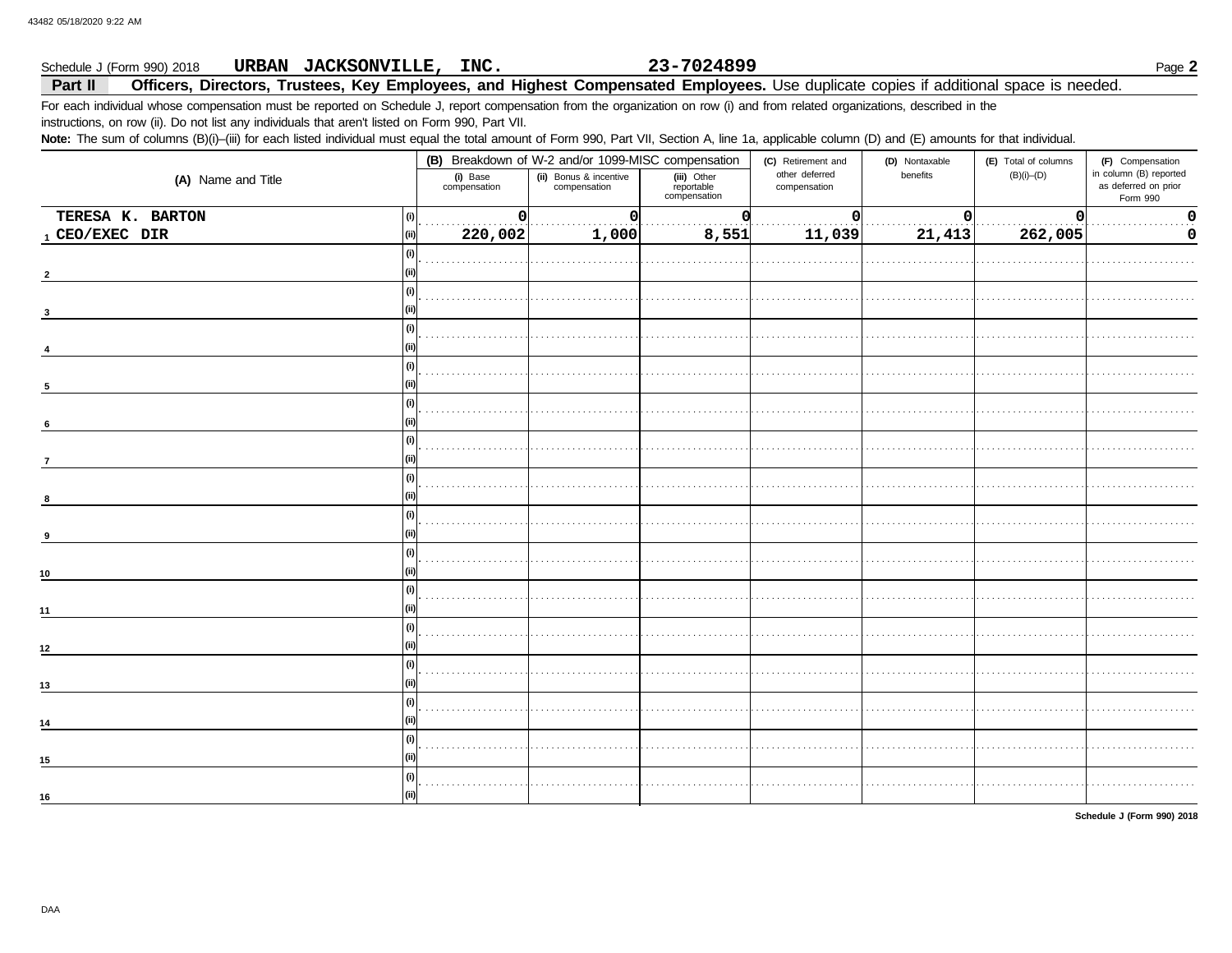#### 23-7024899 URBAN JACKSONVILLE, INC. Schedule J (Form 990) 2018

Officers, Directors, Trustees, Key Employees, and Highest Compensated Employees. Use duplicate copies if additional space is needed. Part II

For each individual whose compensation must be reported on Schedule J, report compensation from the organization on row (i) and from related organizations, described in the instructions, on row (ii). Do not list any individuals that aren't listed on Form 990, Part VII.

Note: The sum of columns (B)(i)-(iii) for each listed individual must equal the total amount of Form 990, Part VII, Section A, line 1a, applicable column (D) and (E) amounts for that individual.

|                                        |                          | (B) Breakdown of W-2 and/or 1099-MISC compensation |                                           | (C) Retirement and             | (D) Nontaxable | (E) Total of columns | (F) Compensation                                           |
|----------------------------------------|--------------------------|----------------------------------------------------|-------------------------------------------|--------------------------------|----------------|----------------------|------------------------------------------------------------|
| (A) Name and Title                     | (i) Base<br>compensation | (ii) Bonus & incentive<br>compensation             | (iii) Other<br>reportable<br>compensation | other deferred<br>compensation | benefits       | $(B)(i)$ - $(D)$     | in column (B) reported<br>as deferred on prior<br>Form 990 |
| TERESA K. BARTON<br>$\left( 0 \right)$ | $\mathbf 0$              | $\Omega$                                           |                                           | n                              | $\Omega$       | $\Omega$             | $\mathbf 0$                                                |
| 1 CEO/EXEC DIR<br>(ii)                 | 220,002                  | 1,000                                              | 8,551                                     | 11,039                         | 21,413         | 262,005              | 0                                                          |
| (i)<br>(ii)                            |                          |                                                    |                                           |                                |                |                      |                                                            |
| (i)                                    |                          |                                                    |                                           |                                |                |                      |                                                            |
| (i)<br>(ii                             |                          |                                                    |                                           |                                |                |                      |                                                            |
| (i)                                    |                          |                                                    |                                           |                                |                |                      |                                                            |
| 5<br>(i)                               |                          |                                                    |                                           |                                |                |                      |                                                            |
| 6<br>(i)                               |                          |                                                    |                                           |                                |                |                      |                                                            |
| $\overline{7}$<br>(i)                  |                          |                                                    |                                           |                                |                |                      |                                                            |
| (ii)<br>(i)                            |                          |                                                    |                                           |                                |                |                      |                                                            |
| 9<br>(i)                               |                          |                                                    |                                           |                                |                |                      |                                                            |
| 10                                     |                          |                                                    |                                           |                                |                |                      |                                                            |
| (i)<br>11                              |                          |                                                    |                                           |                                |                |                      |                                                            |
| (i)<br>12                              |                          |                                                    |                                           |                                |                |                      |                                                            |
| (i)<br>13                              |                          |                                                    |                                           |                                |                |                      |                                                            |
| (i)<br>14                              |                          |                                                    |                                           |                                |                |                      |                                                            |
| (i)<br>15                              |                          |                                                    |                                           |                                |                |                      |                                                            |
| (i)<br>(ii)<br>16                      |                          |                                                    |                                           |                                |                |                      |                                                            |
|                                        |                          |                                                    |                                           |                                |                |                      |                                                            |

Schedule J (Form 990) 2018

Page 2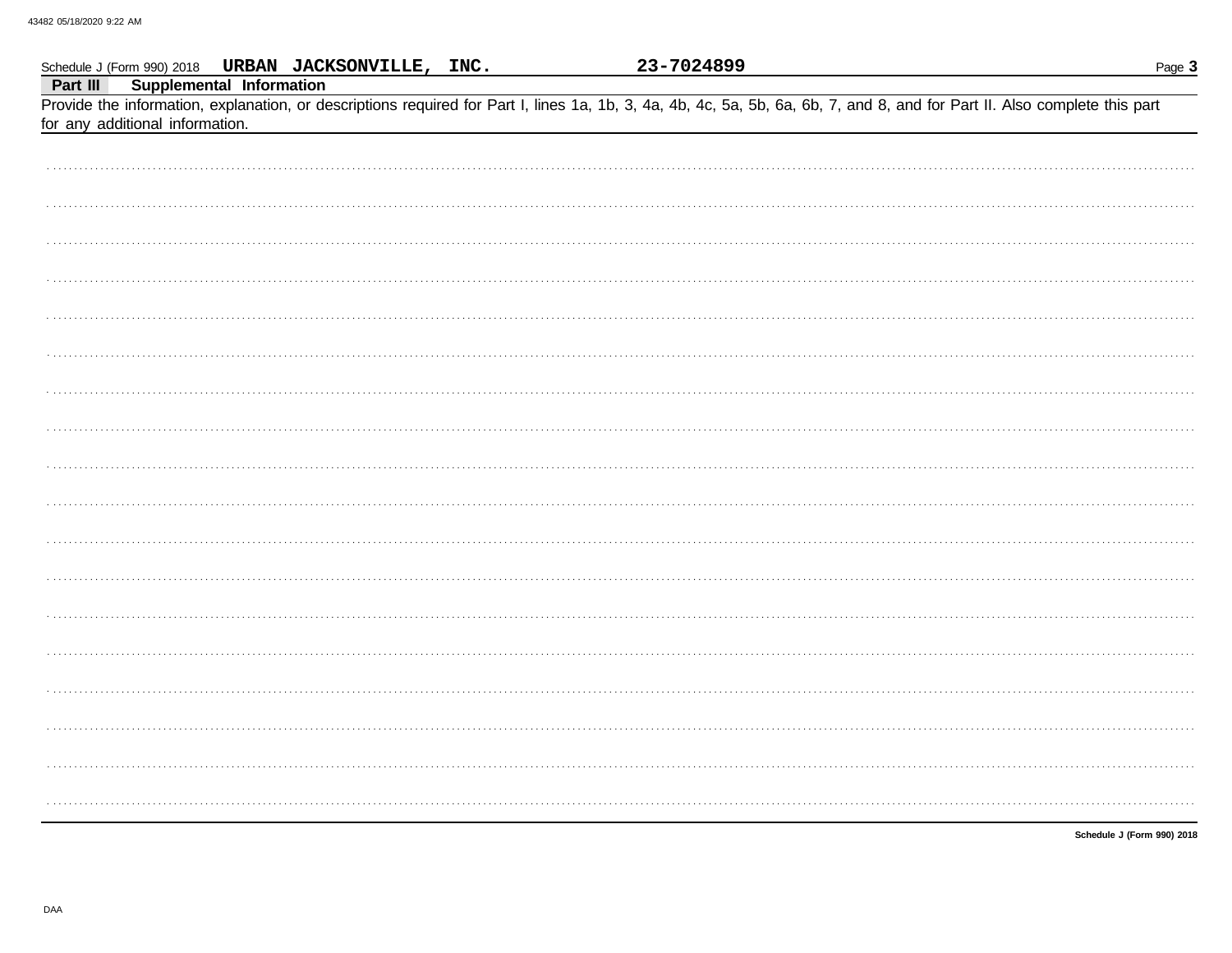|          |                                                             | Schedule J (Form 990) 2018 URBAN JACKSONVILLE, INC. | 23-7024899 |                                                                                                                                                                            | Page 3                     |
|----------|-------------------------------------------------------------|-----------------------------------------------------|------------|----------------------------------------------------------------------------------------------------------------------------------------------------------------------------|----------------------------|
| Part III | Supplemental Information<br>for any additional information. |                                                     |            | Provide the information, explanation, or descriptions required for Part I, lines 1a, 1b, 3, 4a, 4b, 4c, 5a, 5b, 6a, 6b, 7, and 8, and for Part II. Also complete this part |                            |
|          |                                                             |                                                     |            |                                                                                                                                                                            |                            |
|          |                                                             |                                                     |            |                                                                                                                                                                            |                            |
|          |                                                             |                                                     |            |                                                                                                                                                                            |                            |
|          |                                                             |                                                     |            |                                                                                                                                                                            |                            |
|          |                                                             |                                                     |            |                                                                                                                                                                            |                            |
|          |                                                             |                                                     |            |                                                                                                                                                                            |                            |
|          |                                                             |                                                     |            |                                                                                                                                                                            |                            |
|          |                                                             |                                                     |            |                                                                                                                                                                            |                            |
|          |                                                             |                                                     |            |                                                                                                                                                                            |                            |
|          |                                                             |                                                     |            |                                                                                                                                                                            |                            |
|          |                                                             |                                                     |            |                                                                                                                                                                            |                            |
|          |                                                             |                                                     |            |                                                                                                                                                                            |                            |
|          |                                                             |                                                     |            |                                                                                                                                                                            |                            |
|          |                                                             |                                                     |            |                                                                                                                                                                            |                            |
|          |                                                             |                                                     |            |                                                                                                                                                                            |                            |
|          |                                                             |                                                     |            |                                                                                                                                                                            |                            |
|          |                                                             |                                                     |            |                                                                                                                                                                            |                            |
|          |                                                             |                                                     |            |                                                                                                                                                                            |                            |
|          |                                                             |                                                     |            |                                                                                                                                                                            |                            |
|          |                                                             |                                                     |            |                                                                                                                                                                            | Schedule J (Form 990) 2018 |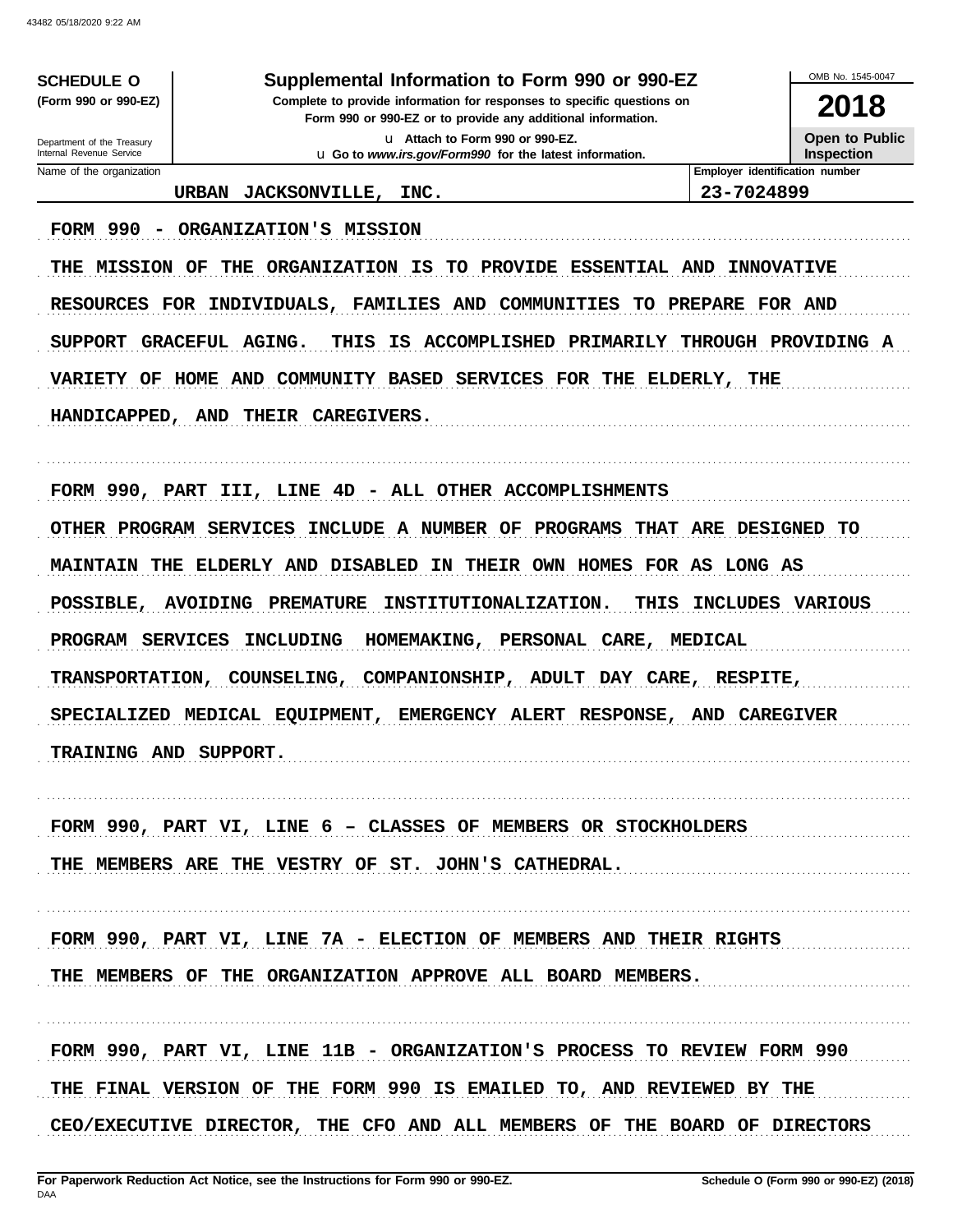**SCHEDULE O** 

(Form 990 or 990-EZ)

Department of the Treasury Internal Revenue Service

Name of the organization

# Supplemental Information to Form 990 or 990-EZ

Complete to provide information for responses to specific questions on Form 990 or 990-EZ or to provide any additional information.

> u Attach to Form 990 or 990-EZ. u Go to www.irs.gov/Form990 for the latest information.

**Open to Public** Inspection

OMB No. 1545-0047

2018

**Employer identification number** 

URBAN JACKSONVILLE, INC.

23-7024899

FORM 990 - ORGANIZATION'S MISSION

THE MISSION OF THE ORGANIZATION IS TO PROVIDE ESSENTIAL AND INNOVATIVE RESOURCES FOR INDIVIDUALS, FAMILIES AND COMMUNITIES TO PREPARE FOR AND THIS IS ACCOMPLISHED PRIMARILY THROUGH PROVIDING A SUPPORT GRACEFUL AGING. VARIETY OF HOME AND COMMUNITY BASED SERVICES FOR THE ELDERLY, THE HANDICAPPED, AND THEIR CAREGIVERS.

FORM 990, PART III, LINE 4D - ALL OTHER ACCOMPLISHMENTS OTHER PROGRAM SERVICES INCLUDE A NUMBER OF PROGRAMS THAT ARE DESIGNED TO MAINTAIN THE ELDERLY AND DISABLED IN THEIR OWN HOMES FOR AS LONG AS POSSIBLE, AVOIDING PREMATURE INSTITUTIONALIZATION. THIS INCLUDES VARIOUS PROGRAM SERVICES INCLUDING HOMEMAKING, PERSONAL CARE, MEDICAL TRANSPORTATION, COUNSELING, COMPANIONSHIP, ADULT DAY CARE, RESPITE, SPECIALIZED MEDICAL EQUIPMENT, EMERGENCY ALERT RESPONSE, AND CAREGIVER TRAINING AND SUPPORT.

FORM 990, PART VI, LINE 6 - CLASSES OF MEMBERS OR STOCKHOLDERS THE MEMBERS ARE THE VESTRY OF ST. JOHN'S CATHEDRAL.

FORM 990, PART VI, LINE 7A - ELECTION OF MEMBERS AND THEIR RIGHTS THE MEMBERS OF THE ORGANIZATION APPROVE ALL BOARD MEMBERS.

FORM 990, PART VI, LINE 11B - ORGANIZATION'S PROCESS TO REVIEW FORM 990 THE FINAL VERSION OF THE FORM 990 IS EMAILED TO, AND REVIEWED BY THE CEO/EXECUTIVE DIRECTOR, THE CFO AND ALL MEMBERS OF THE BOARD OF DIRECTORS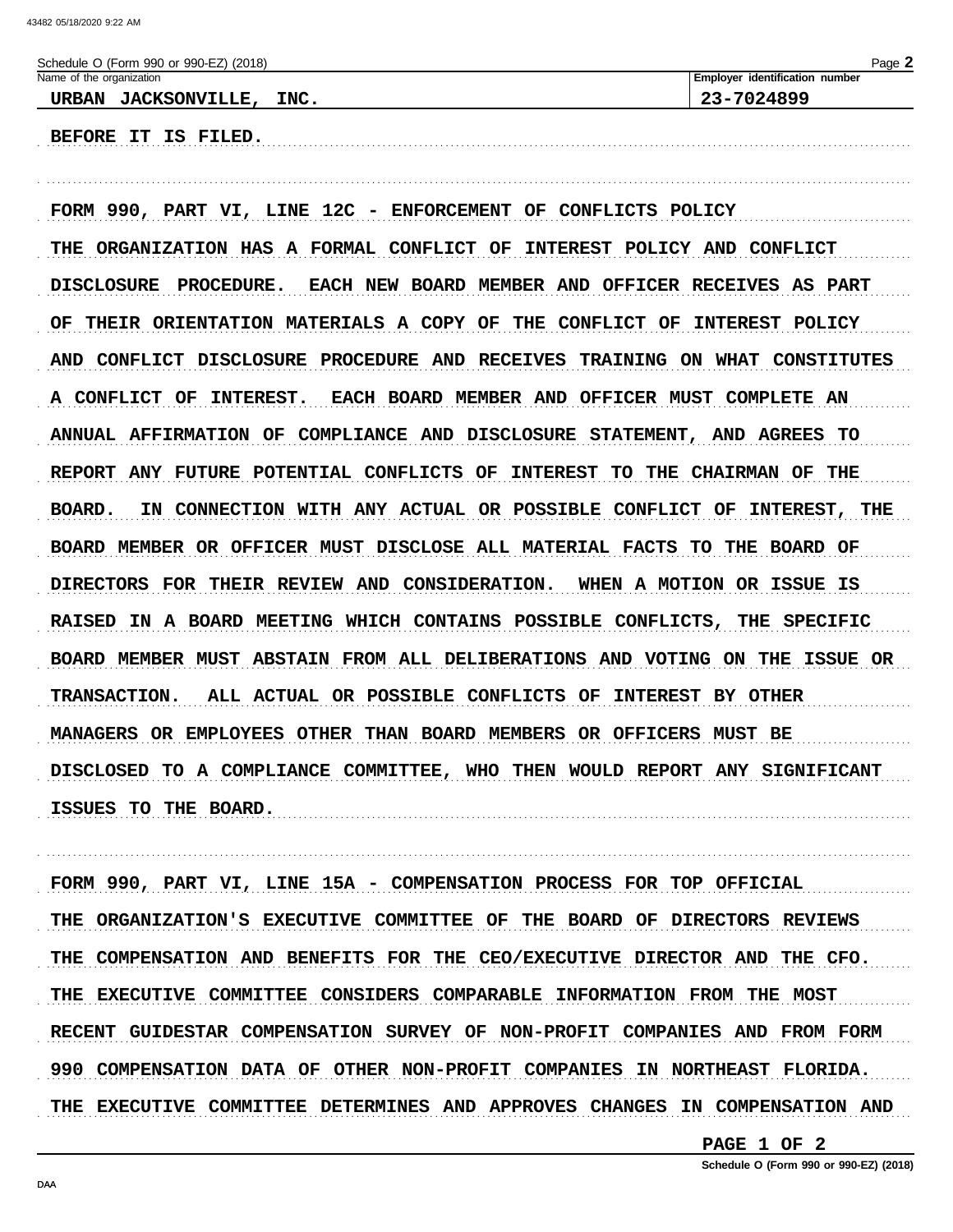BEFORE IT IS FILED.

| Schedule O (Form 990 or 990-EZ) (2018) | Page 2                                |
|----------------------------------------|---------------------------------------|
| Name of the organization               | <b>Employer identification number</b> |
| <b>JACKSONVILLE,</b><br>INC.<br>URBAN  | 23-7024899                            |
|                                        |                                       |

FORM 990, PART VI, LINE 12C - ENFORCEMENT OF CONFLICTS POLICY THE ORGANIZATION HAS A FORMAL CONFLICT OF INTEREST POLICY AND CONFLICT EACH NEW BOARD MEMBER AND OFFICER RECEIVES AS PART DISCLOSURE PROCEDURE. OF THEIR ORIENTATION MATERIALS A COPY OF THE CONFLICT OF INTEREST POLICY AND CONFLICT DISCLOSURE PROCEDURE AND RECEIVES TRAINING ON WHAT CONSTITUTES A CONFLICT OF INTEREST. EACH BOARD MEMBER AND OFFICER MUST COMPLETE AN ANNUAL AFFIRMATION OF COMPLIANCE AND DISCLOSURE STATEMENT, AND AGREES TO REPORT ANY FUTURE POTENTIAL CONFLICTS OF INTEREST TO THE CHAIRMAN OF THE BOARD. IN CONNECTION WITH ANY ACTUAL OR POSSIBLE CONFLICT OF INTEREST, THE BOARD MEMBER OR OFFICER MUST DISCLOSE ALL MATERIAL FACTS TO THE BOARD OF DIRECTORS FOR THEIR REVIEW AND CONSIDERATION. WHEN A MOTION OR ISSUE IS RAISED IN A BOARD MEETING WHICH CONTAINS POSSIBLE CONFLICTS, THE SPECIFIC BOARD MEMBER MUST ABSTAIN FROM ALL DELIBERATIONS AND VOTING ON THE ISSUE OR ALL ACTUAL OR POSSIBLE CONFLICTS OF INTEREST BY OTHER **TRANSACTION.** MANAGERS OR EMPLOYEES OTHER THAN BOARD MEMBERS OR OFFICERS MUST BE DISCLOSED TO A COMPLIANCE COMMITTEE, WHO THEN WOULD REPORT ANY SIGNIFICANT ISSUES TO THE BOARD.

FORM 990, PART VI, LINE 15A - COMPENSATION PROCESS FOR TOP OFFICIAL THE ORGANIZATION'S EXECUTIVE COMMITTEE OF THE BOARD OF DIRECTORS REVIEWS THE COMPENSATION AND BENEFITS FOR THE CEO/EXECUTIVE DIRECTOR AND THE CFO. THE EXECUTIVE COMMITTEE CONSIDERS COMPARABLE INFORMATION FROM THE MOST RECENT GUIDESTAR COMPENSATION SURVEY OF NON-PROFIT COMPANIES AND FROM FORM 990 COMPENSATION DATA OF OTHER NON-PROFIT COMPANIES IN NORTHEAST FLORIDA. THE EXECUTIVE COMMITTEE DETERMINES AND APPROVES CHANGES IN COMPENSATION AND

PAGE 1 OF 2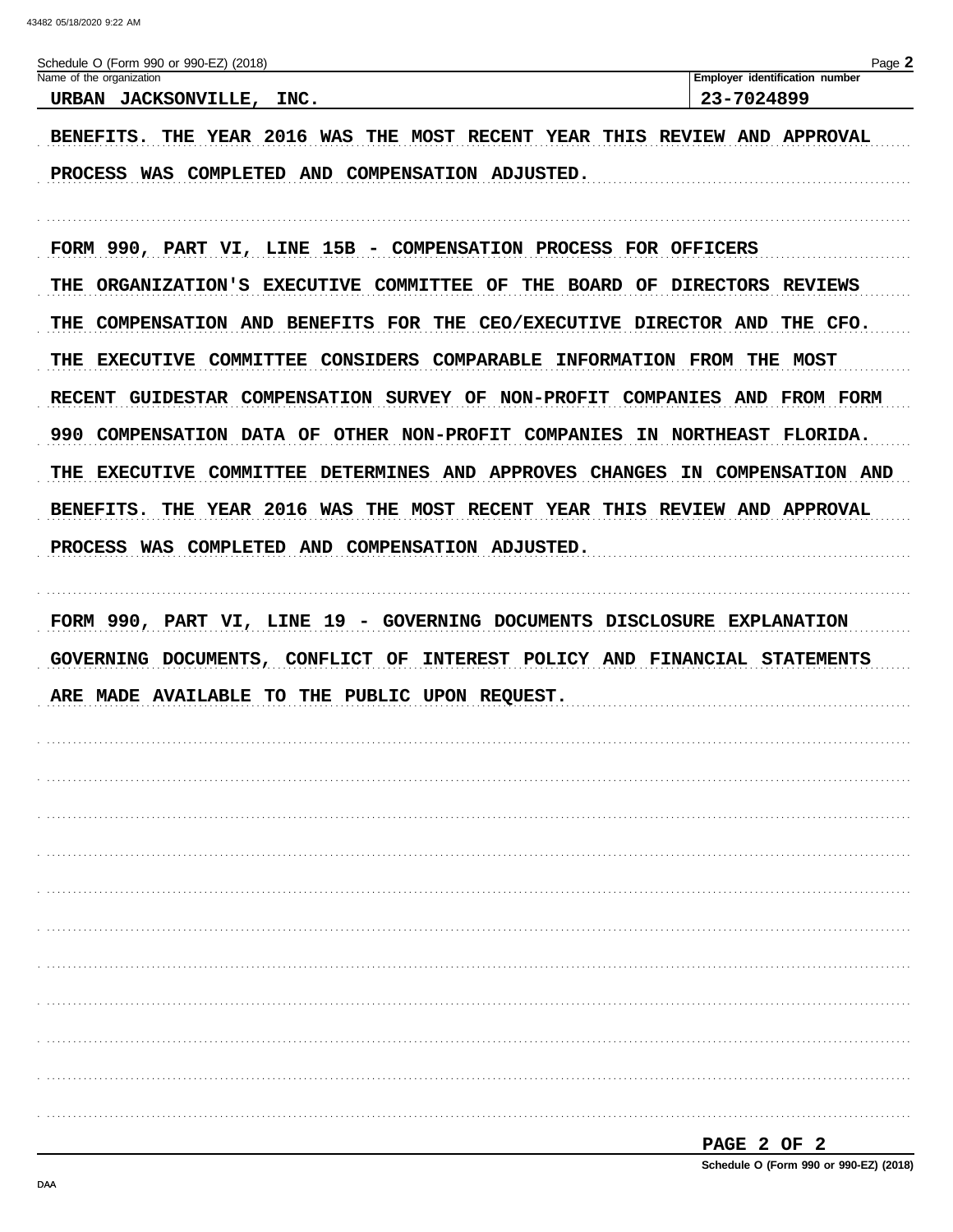| Schedule O (Form 990 or 990-EZ) (2018)                                              | Page 2                         |
|-------------------------------------------------------------------------------------|--------------------------------|
| Name of the organization                                                            | Employer identification number |
| URBAN JACKSONVILLE, INC.                                                            | 23-7024899                     |
|                                                                                     |                                |
| THE YEAR 2016 WAS THE MOST RECENT YEAR THIS REVIEW AND APPROVAL<br><b>BENEFITS.</b> |                                |
|                                                                                     |                                |
| PROCESS WAS COMPLETED AND COMPENSATION ADJUSTED.                                    |                                |

FORM 990, PART VI, LINE 15B - COMPENSATION PROCESS FOR OFFICERS THE ORGANIZATION'S EXECUTIVE COMMITTEE OF THE BOARD OF DIRECTORS REVIEWS THE COMPENSATION AND BENEFITS FOR THE CEO/EXECUTIVE DIRECTOR AND THE CFO. THE EXECUTIVE COMMITTEE CONSIDERS COMPARABLE INFORMATION FROM THE MOST RECENT GUIDESTAR COMPENSATION SURVEY OF NON-PROFIT COMPANIES AND FROM FORM 990 COMPENSATION DATA OF OTHER NON-PROFIT COMPANIES IN NORTHEAST FLORIDA. THE EXECUTIVE COMMITTEE DETERMINES AND APPROVES CHANGES IN COMPENSATION AND BENEFITS. THE YEAR 2016 WAS THE MOST RECENT YEAR THIS REVIEW AND APPROVAL PROCESS WAS COMPLETED AND COMPENSATION ADJUSTED.

FORM 990, PART VI, LINE 19 - GOVERNING DOCUMENTS DISCLOSURE EXPLANATION GOVERNING DOCUMENTS, CONFLICT OF INTEREST POLICY AND FINANCIAL STATEMENTS ARE MADE AVAILABLE TO THE PUBLIC UPON REQUEST.

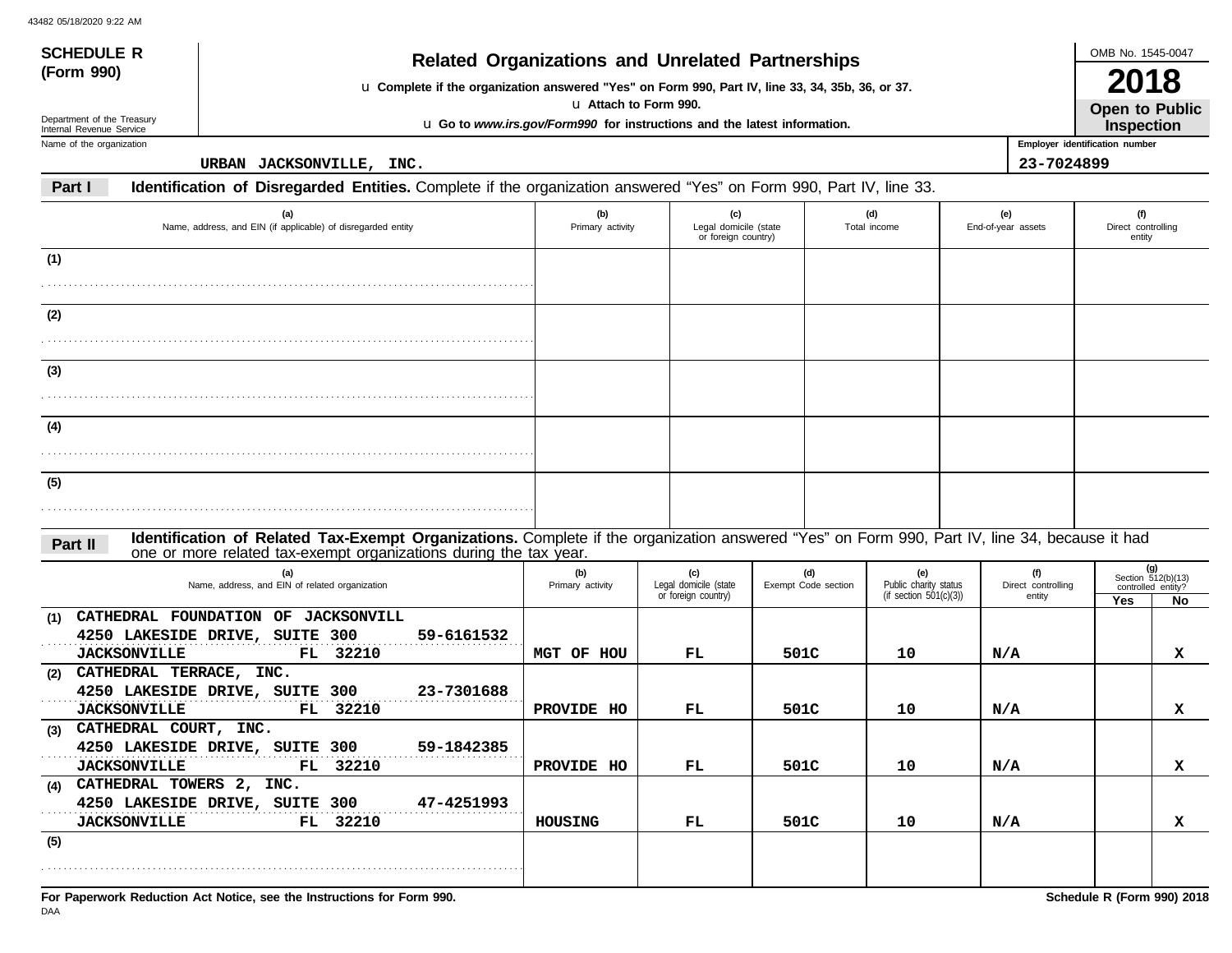|                                                                     |                         |                                                     |                        |                                                                                                                           |                                                                                                                                                                                                                                                                                                                           |                       | OMB No. 1545-0047                                      |                                                                                                                                                                                                                                                                    |
|---------------------------------------------------------------------|-------------------------|-----------------------------------------------------|------------------------|---------------------------------------------------------------------------------------------------------------------------|---------------------------------------------------------------------------------------------------------------------------------------------------------------------------------------------------------------------------------------------------------------------------------------------------------------------------|-----------------------|--------------------------------------------------------|--------------------------------------------------------------------------------------------------------------------------------------------------------------------------------------------------------------------------------------------------------------------|
|                                                                     |                         |                                                     |                        |                                                                                                                           |                                                                                                                                                                                                                                                                                                                           |                       | 2018<br>Open to Public<br>Inspection                   |                                                                                                                                                                                                                                                                    |
|                                                                     |                         |                                                     |                        |                                                                                                                           |                                                                                                                                                                                                                                                                                                                           |                       |                                                        |                                                                                                                                                                                                                                                                    |
| URBAN JACKSONVILLE, INC.                                            |                         |                                                     |                        |                                                                                                                           |                                                                                                                                                                                                                                                                                                                           |                       |                                                        |                                                                                                                                                                                                                                                                    |
|                                                                     |                         |                                                     |                        |                                                                                                                           |                                                                                                                                                                                                                                                                                                                           |                       |                                                        |                                                                                                                                                                                                                                                                    |
| (a)<br>Name, address, and EIN (if applicable) of disregarded entity | (b)<br>Primary activity | (c)                                                 |                        | (d)                                                                                                                       |                                                                                                                                                                                                                                                                                                                           |                       | (f)<br>Direct controlling<br>entity                    |                                                                                                                                                                                                                                                                    |
|                                                                     |                         |                                                     |                        |                                                                                                                           |                                                                                                                                                                                                                                                                                                                           |                       |                                                        |                                                                                                                                                                                                                                                                    |
|                                                                     |                         |                                                     |                        |                                                                                                                           |                                                                                                                                                                                                                                                                                                                           |                       |                                                        |                                                                                                                                                                                                                                                                    |
|                                                                     |                         |                                                     |                        |                                                                                                                           |                                                                                                                                                                                                                                                                                                                           |                       |                                                        |                                                                                                                                                                                                                                                                    |
|                                                                     |                         |                                                     |                        |                                                                                                                           |                                                                                                                                                                                                                                                                                                                           |                       |                                                        |                                                                                                                                                                                                                                                                    |
|                                                                     |                         |                                                     |                        |                                                                                                                           |                                                                                                                                                                                                                                                                                                                           |                       |                                                        |                                                                                                                                                                                                                                                                    |
|                                                                     |                         |                                                     |                        |                                                                                                                           |                                                                                                                                                                                                                                                                                                                           |                       |                                                        |                                                                                                                                                                                                                                                                    |
|                                                                     |                         |                                                     |                        |                                                                                                                           |                                                                                                                                                                                                                                                                                                                           |                       |                                                        |                                                                                                                                                                                                                                                                    |
| (a)<br>Name, address, and EIN of related organization               | (b)<br>Primary activity | (c)<br>Legal domicile (state<br>or foreign country) | (d)                    | (e)<br>(if section $501(c)(3)$ )                                                                                          |                                                                                                                                                                                                                                                                                                                           | (f)<br>entity         | (g)<br>Section 512(b)(13)<br>controlled entity?<br>Yes | No                                                                                                                                                                                                                                                                 |
|                                                                     |                         |                                                     | La Attach to Form 990. | La Go to www.irs.gov/Form990 for instructions and the latest information.<br>Legal domicile (state<br>or foreign country) | <b>Related Organizations and Unrelated Partnerships</b><br>La Complete if the organization answered "Yes" on Form 990, Part IV, line 33, 34, 35b, 36, or 37.<br>Identification of Disregarded Entities. Complete if the organization answered "Yes" on Form 990, Part IV, line 33.<br>Total income<br>Exempt Code section | Public charity status | (e)<br>End-of-year assets<br>Direct controlling        | Employer identification number<br>23-7024899<br>Identification of Related Tax-Exempt Organizations. Complete if the organization answered "Yes" on Form 990, Part IV, line 34, because it had<br>one or more related tax-exempt organizations during the tax year. |

|     | (1) CATHEDRAL FOUNDATION OF JACKSONVILLE |            |            |     |      |    |     |   |
|-----|------------------------------------------|------------|------------|-----|------|----|-----|---|
|     | 4250 LAKESIDE DRIVE, SUITE 300           | 59-6161532 |            |     |      |    |     |   |
|     | <b>JACKSONVILLE</b>                      | FL 32210   | MGT OF HOU | FL. | 501C | 10 | N/A | x |
|     | (2) CATHEDRAL TERRACE, INC.              |            |            |     |      |    |     |   |
|     | 4250 LAKESIDE DRIVE, SUITE 300           | 23-7301688 |            |     |      |    |     |   |
|     | <b>JACKSONVILLE</b>                      | FL 32210   | PROVIDE HO | FL. | 501C | 10 | N/A | x |
|     | (3) CATHEDRAL COURT, INC.                |            |            |     |      |    |     |   |
|     | 4250 LAKESIDE DRIVE, SUITE 300           | 59-1842385 |            |     |      |    |     |   |
|     | <b>JACKSONVILLE</b>                      | FL 32210   | PROVIDE HO | FL. | 501C | 10 | N/A | x |
|     | (4) CATHEDRAL TOWERS 2, INC.             |            |            |     |      |    |     |   |
|     | 4250 LAKESIDE DRIVE, SUITE 300           | 47-4251993 |            |     |      |    |     |   |
|     | <b>JACKSONVILLE</b>                      | FL 32210   | HOUSING    | FL. | 501C | 10 | N/A |   |
| (5) |                                          |            |            |     |      |    |     |   |
|     |                                          |            |            |     |      |    |     |   |
|     |                                          |            |            |     |      |    |     |   |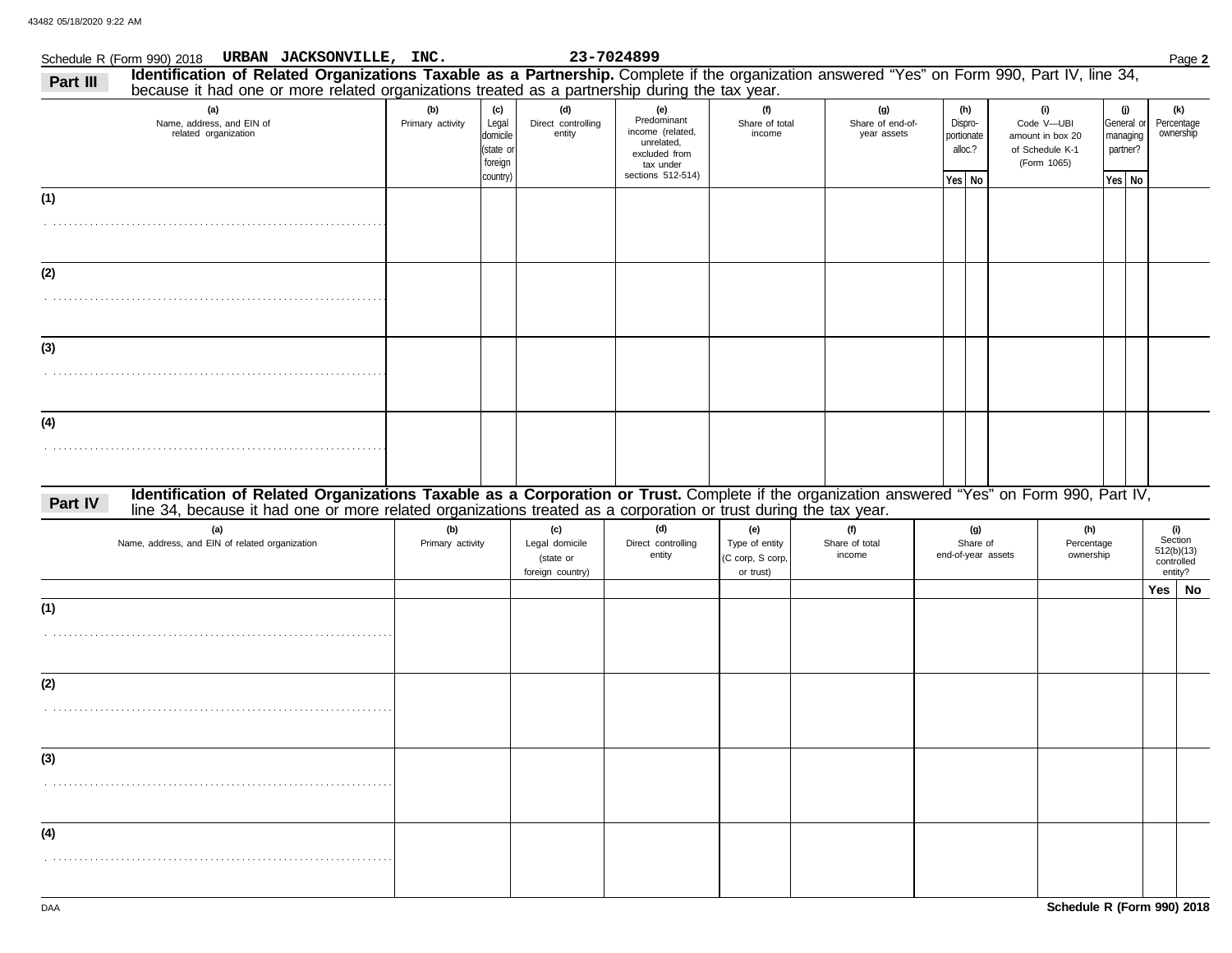|          | Schedule R (Form 990) 2018 URBAN JACKSONVILLE, INC.                                                                                                                                                                                                              |                         |                                                              |                                                        | 23-7024899                                                                                              |                                                        |                                        |                                                     |                                                                         |                                                     | Page 2                                                |
|----------|------------------------------------------------------------------------------------------------------------------------------------------------------------------------------------------------------------------------------------------------------------------|-------------------------|--------------------------------------------------------------|--------------------------------------------------------|---------------------------------------------------------------------------------------------------------|--------------------------------------------------------|----------------------------------------|-----------------------------------------------------|-------------------------------------------------------------------------|-----------------------------------------------------|-------------------------------------------------------|
| Part III | Identification of Related Organizations Taxable as a Partnership. Complete if the organization answered "Yes" on Form 990, Part IV, line 34,<br>because it had one or more related organizations treated as a partnership during the tax year.                   |                         |                                                              |                                                        |                                                                                                         |                                                        |                                        |                                                     |                                                                         |                                                     |                                                       |
|          |                                                                                                                                                                                                                                                                  |                         |                                                              | (d)                                                    |                                                                                                         |                                                        |                                        |                                                     |                                                                         |                                                     |                                                       |
|          | (a)<br>Name, address, and EIN of<br>related organization                                                                                                                                                                                                         | (b)<br>Primary activity | (c)<br>Legal<br>domicile<br>(state or<br>foreign<br>country) | Direct controlling<br>entity                           | (e)<br>Predominant<br>income (related,<br>unrelated,<br>excluded from<br>tax under<br>sections 512-514) | (f)<br>Share of total<br>income                        | (g)<br>Share of end-of-<br>year assets | (h)<br>Dispro-<br>portionate<br>alloc.?<br>Yes   No | (i)<br>Code V-UBI<br>amount in box 20<br>of Schedule K-1<br>(Form 1065) | (j)<br>General or<br>managing<br>partner?<br>Yes No | (k)<br>Percentage<br>ownership                        |
| (1)      |                                                                                                                                                                                                                                                                  |                         |                                                              |                                                        |                                                                                                         |                                                        |                                        |                                                     |                                                                         |                                                     |                                                       |
| (2)      |                                                                                                                                                                                                                                                                  |                         |                                                              |                                                        |                                                                                                         |                                                        |                                        |                                                     |                                                                         |                                                     |                                                       |
| (3)      |                                                                                                                                                                                                                                                                  |                         |                                                              |                                                        |                                                                                                         |                                                        |                                        |                                                     |                                                                         |                                                     |                                                       |
| (4)      |                                                                                                                                                                                                                                                                  |                         |                                                              |                                                        |                                                                                                         |                                                        |                                        |                                                     |                                                                         |                                                     |                                                       |
| Part IV  | Identification of Related Organizations Taxable as a Corporation or Trust. Complete if the organization answered "Yes" on Form 990, Part IV,<br>line 34, because it had one or more related organizations treated as a corporation or trust during the tax year. |                         |                                                              |                                                        |                                                                                                         |                                                        |                                        |                                                     |                                                                         |                                                     |                                                       |
|          | (a)<br>Name, address, and EIN of related organization                                                                                                                                                                                                            | (b)<br>Primary activity |                                                              | (c)<br>Legal domicile<br>(state or<br>foreign country) | (d)<br>Direct controlling<br>entity                                                                     | (e)<br>Type of entity<br>(C corp, S corp,<br>or trust) | (f)<br>Share of total<br>income        | (g)<br>Share of<br>end-of-year assets               | (h)<br>Percentage<br>ownership                                          |                                                     | (i)<br>Section<br>512(b)(13)<br>controlled<br>entity? |
| (1)      |                                                                                                                                                                                                                                                                  |                         |                                                              |                                                        |                                                                                                         |                                                        |                                        |                                                     |                                                                         |                                                     | Yes  <br>No                                           |
|          |                                                                                                                                                                                                                                                                  |                         |                                                              |                                                        |                                                                                                         |                                                        |                                        |                                                     |                                                                         |                                                     |                                                       |
| (2)      |                                                                                                                                                                                                                                                                  |                         |                                                              |                                                        |                                                                                                         |                                                        |                                        |                                                     |                                                                         |                                                     |                                                       |
| (3)      |                                                                                                                                                                                                                                                                  |                         |                                                              |                                                        |                                                                                                         |                                                        |                                        |                                                     |                                                                         |                                                     |                                                       |
| (4)      |                                                                                                                                                                                                                                                                  |                         |                                                              |                                                        |                                                                                                         |                                                        |                                        |                                                     |                                                                         |                                                     |                                                       |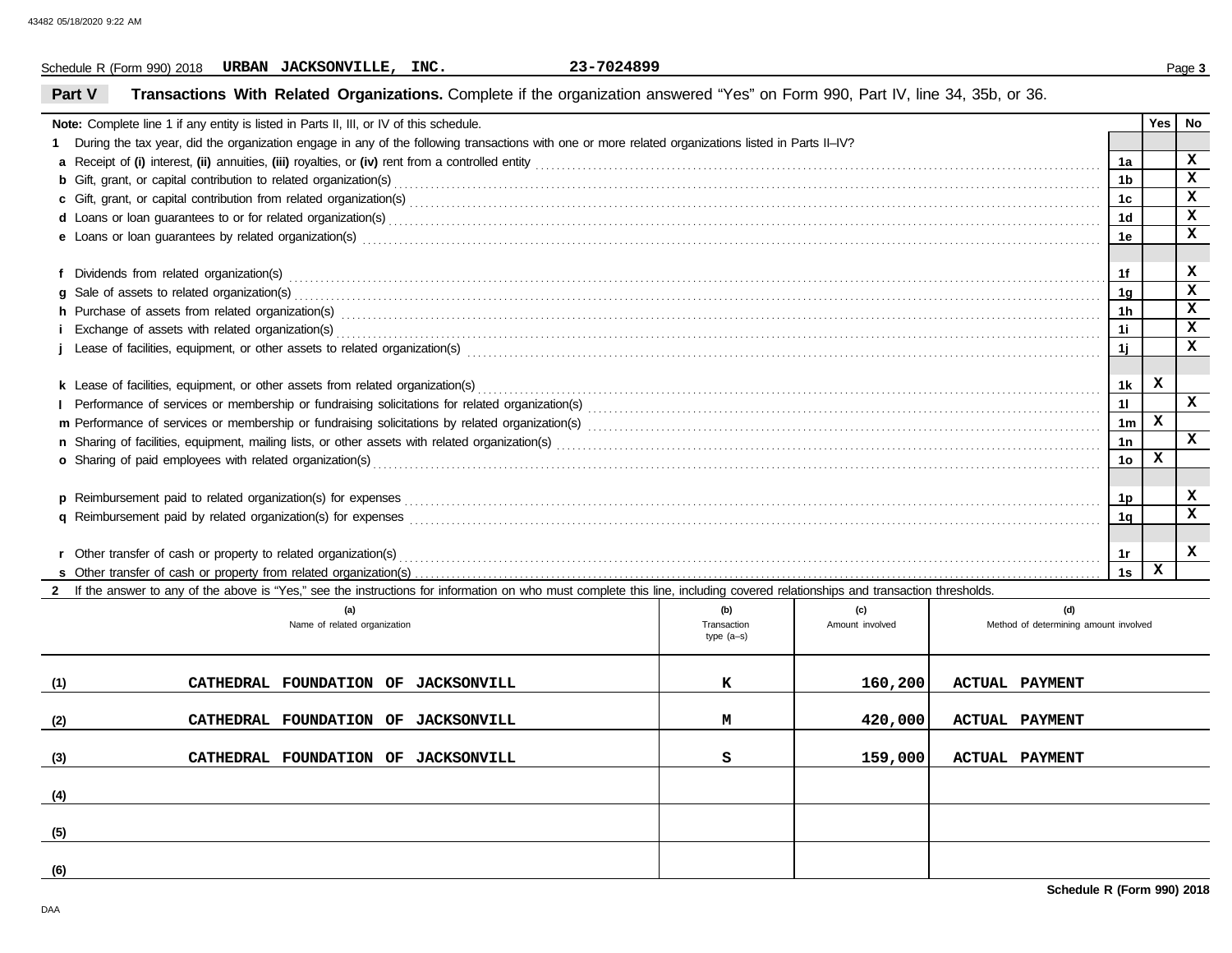Schedule R (Form 990) 2018 Page **3 URBAN JACKSONVILLE, INC. 23-7024899**

# **Part V Transactions With Related Organizations.** Complete if the organization answered "Yes" on Form 990, Part IV, line 34, 35b, or 36.

| <b>Note:</b> Complete line 1 if any entity is listed in Parts II, III, or IV of this schedule.                                                                                                                                 |  |                    |                        |                                              |                | Yes | No           |  |  |  |
|--------------------------------------------------------------------------------------------------------------------------------------------------------------------------------------------------------------------------------|--|--------------------|------------------------|----------------------------------------------|----------------|-----|--------------|--|--|--|
| During the tax year, did the organization engage in any of the following transactions with one or more related organizations listed in Parts II-IV?                                                                            |  |                    |                        |                                              |                |     | x            |  |  |  |
|                                                                                                                                                                                                                                |  |                    |                        |                                              |                |     |              |  |  |  |
|                                                                                                                                                                                                                                |  |                    |                        |                                              |                |     |              |  |  |  |
|                                                                                                                                                                                                                                |  |                    |                        |                                              |                |     |              |  |  |  |
|                                                                                                                                                                                                                                |  |                    |                        |                                              | 1 <sub>d</sub> |     | $\mathbf x$  |  |  |  |
|                                                                                                                                                                                                                                |  |                    |                        |                                              | 1e             |     | $\mathbf x$  |  |  |  |
|                                                                                                                                                                                                                                |  |                    |                        |                                              |                |     |              |  |  |  |
|                                                                                                                                                                                                                                |  |                    |                        |                                              | 1f             |     | x            |  |  |  |
|                                                                                                                                                                                                                                |  |                    |                        |                                              | 1 <sub>q</sub> |     | $\mathbf x$  |  |  |  |
| h Purchase of assets from related organization(s) encourance contained and contained and contained and contained and contained and contained and contained and contained and contained and contained and contained and contain |  |                    |                        |                                              | 1 <sub>h</sub> |     | $\mathbf x$  |  |  |  |
| i Exchange of assets with related organization(s) excess contact the control of the control of the contact of the control of the control of the control of the control of the control of the control of the control of the con |  |                    |                        |                                              | 1i             |     | $\mathbf x$  |  |  |  |
|                                                                                                                                                                                                                                |  |                    |                        |                                              | 1j             |     | $\mathbf x$  |  |  |  |
|                                                                                                                                                                                                                                |  |                    |                        |                                              |                |     |              |  |  |  |
|                                                                                                                                                                                                                                |  |                    |                        |                                              | 1k             | x   |              |  |  |  |
|                                                                                                                                                                                                                                |  |                    |                        |                                              | 11             |     | $\mathbf{x}$ |  |  |  |
| 1 <sub>m</sub>                                                                                                                                                                                                                 |  |                    |                        |                                              |                |     |              |  |  |  |
| 1n                                                                                                                                                                                                                             |  |                    |                        |                                              |                |     |              |  |  |  |
|                                                                                                                                                                                                                                |  |                    |                        |                                              |                |     |              |  |  |  |
| o Sharing of paid employees with related organization(s) encourance contact the contract contact the contract organization (s) are contact the contact contact contact or sharing of paid employees with related organization( |  |                    |                        |                                              |                |     |              |  |  |  |
|                                                                                                                                                                                                                                |  |                    |                        |                                              | 1p             |     | x            |  |  |  |
|                                                                                                                                                                                                                                |  |                    |                        |                                              | 1 <sub>q</sub> |     | $\mathbf x$  |  |  |  |
|                                                                                                                                                                                                                                |  |                    |                        |                                              |                |     |              |  |  |  |
|                                                                                                                                                                                                                                |  |                    |                        |                                              | 1r             |     | X            |  |  |  |
| r Other transfer of cash or property to related organization(s) encourance contains an example and contains a container and container and container and container and container and container and container and container and  |  |                    |                        |                                              | 1s             | x   |              |  |  |  |
| If the answer to any of the above is "Yes," see the instructions for information on who must complete this line, including covered relationships and transaction thresholds.                                                   |  |                    |                        |                                              |                |     |              |  |  |  |
|                                                                                                                                                                                                                                |  |                    |                        |                                              |                |     |              |  |  |  |
| (a)<br>Name of related organization                                                                                                                                                                                            |  | (b)<br>Transaction | (c)<br>Amount involved | (d)<br>Method of determining amount involved |                |     |              |  |  |  |
|                                                                                                                                                                                                                                |  | type $(a-s)$       |                        |                                              |                |     |              |  |  |  |
|                                                                                                                                                                                                                                |  |                    |                        |                                              |                |     |              |  |  |  |
|                                                                                                                                                                                                                                |  |                    |                        |                                              |                |     |              |  |  |  |
| (1)<br>CATHEDRAL FOUNDATION OF JACKSONVILL                                                                                                                                                                                     |  | к                  | 160,200                | <b>ACTUAL PAYMENT</b>                        |                |     |              |  |  |  |
|                                                                                                                                                                                                                                |  |                    |                        |                                              |                |     |              |  |  |  |
| (2)<br>CATHEDRAL FOUNDATION OF JACKSONVILL                                                                                                                                                                                     |  | М                  | 420,000                | <b>ACTUAL PAYMENT</b>                        |                |     |              |  |  |  |
|                                                                                                                                                                                                                                |  |                    |                        |                                              |                |     |              |  |  |  |
| (3)<br>CATHEDRAL FOUNDATION OF JACKSONVILL                                                                                                                                                                                     |  | s                  | 159,000                | <b>ACTUAL PAYMENT</b>                        |                |     |              |  |  |  |
|                                                                                                                                                                                                                                |  |                    |                        |                                              |                |     |              |  |  |  |
| (4)                                                                                                                                                                                                                            |  |                    |                        |                                              |                |     |              |  |  |  |

**(5)**

**(6)**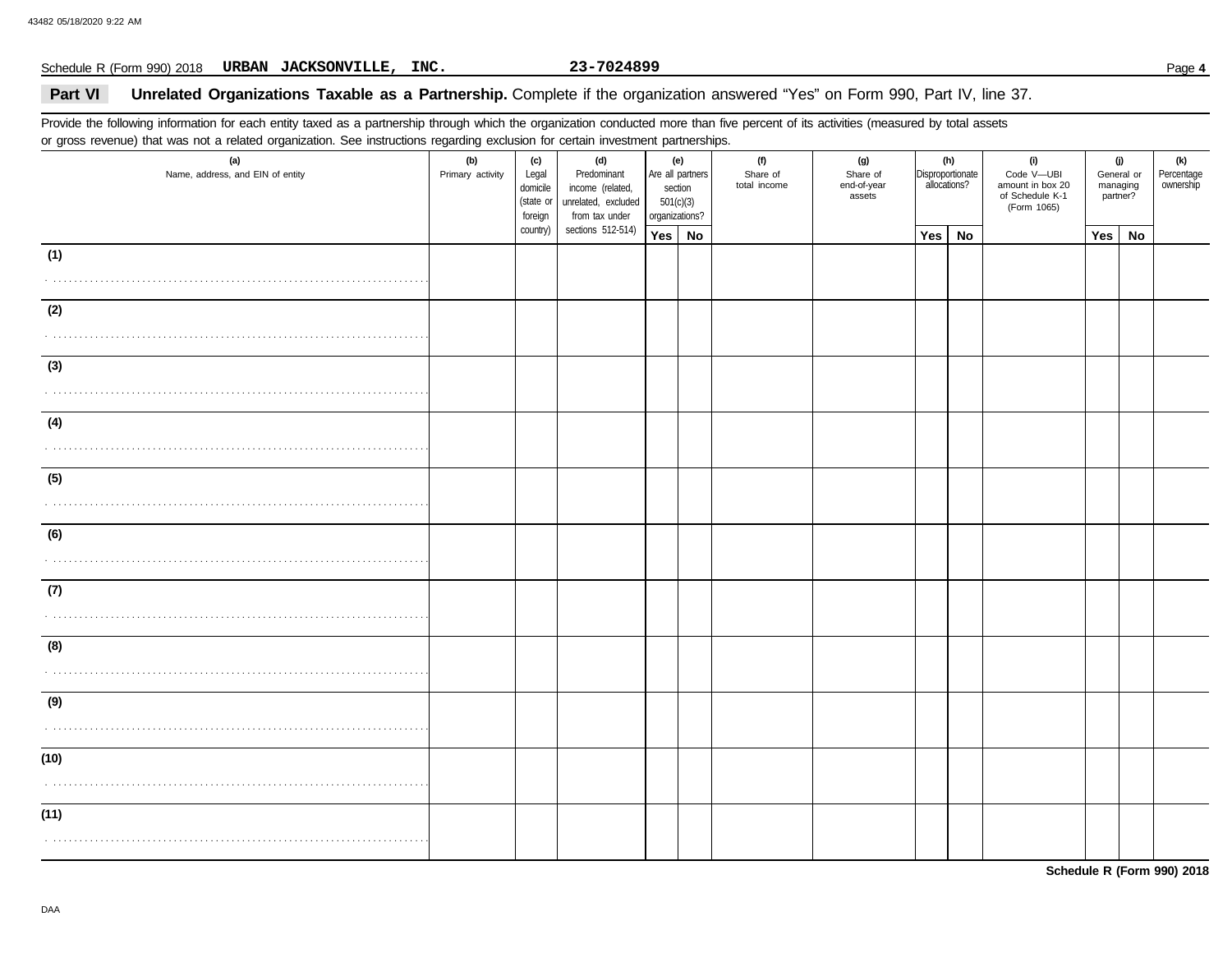## Schedule R (Form 990) 2018 Page **4 URBAN JACKSONVILLE, INC. 23-7024899**

# **Part VI** Unrelated Organizations Taxable as a Partnership. Complete if the organization answered "Yes" on Form 990, Part IV, line 37.

Provide the following information for each entity taxed as a partnership through which the organization conducted more than five percent of its activities (measured by total assets or gross revenue) that was not a related organization. See instructions regarding exclusion for certain investment partnerships.

| (a)<br>Name, address, and EIN of entity | ັ<br>(b)<br>Primary activity | (c)<br>Legal<br>domicile<br>(state or<br>foreign | (d)<br>Predominant<br>income (related,<br>unrelated, excluded<br>from tax under | (e)<br>Are all partners<br>section<br>501(c)(3)<br>organizations? |               | (f)<br>Share of<br>total income | (g)<br>Share of<br>end-of-year<br>assets | Disproportionate | (h)<br>allocations? | (i)<br>Code V-UBI<br>amount in box 20<br>of Schedule K-1<br>(Form 1065) | (j)<br>General or<br>managing<br>partner? |    | (k)<br>Percentage<br>ownership |
|-----------------------------------------|------------------------------|--------------------------------------------------|---------------------------------------------------------------------------------|-------------------------------------------------------------------|---------------|---------------------------------|------------------------------------------|------------------|---------------------|-------------------------------------------------------------------------|-------------------------------------------|----|--------------------------------|
|                                         |                              |                                                  | country)<br>sections 512-514)                                                   |                                                                   | $Yes \mid No$ |                                 |                                          | Yes              | No                  |                                                                         | Yes                                       | No |                                |
| (1)                                     |                              |                                                  |                                                                                 |                                                                   |               |                                 |                                          |                  |                     |                                                                         |                                           |    |                                |
|                                         |                              |                                                  |                                                                                 |                                                                   |               |                                 |                                          |                  |                     |                                                                         |                                           |    |                                |
| (2)                                     |                              |                                                  |                                                                                 |                                                                   |               |                                 |                                          |                  |                     |                                                                         |                                           |    |                                |
|                                         |                              |                                                  |                                                                                 |                                                                   |               |                                 |                                          |                  |                     |                                                                         |                                           |    |                                |
| (3)                                     |                              |                                                  |                                                                                 |                                                                   |               |                                 |                                          |                  |                     |                                                                         |                                           |    |                                |
|                                         |                              |                                                  |                                                                                 |                                                                   |               |                                 |                                          |                  |                     |                                                                         |                                           |    |                                |
| (4)                                     |                              |                                                  |                                                                                 |                                                                   |               |                                 |                                          |                  |                     |                                                                         |                                           |    |                                |
|                                         |                              |                                                  |                                                                                 |                                                                   |               |                                 |                                          |                  |                     |                                                                         |                                           |    |                                |
| (5)                                     |                              |                                                  |                                                                                 |                                                                   |               |                                 |                                          |                  |                     |                                                                         |                                           |    |                                |
|                                         |                              |                                                  |                                                                                 |                                                                   |               |                                 |                                          |                  |                     |                                                                         |                                           |    |                                |
| (6)                                     |                              |                                                  |                                                                                 |                                                                   |               |                                 |                                          |                  |                     |                                                                         |                                           |    |                                |
|                                         |                              |                                                  |                                                                                 |                                                                   |               |                                 |                                          |                  |                     |                                                                         |                                           |    |                                |
| (7)                                     |                              |                                                  |                                                                                 |                                                                   |               |                                 |                                          |                  |                     |                                                                         |                                           |    |                                |
|                                         |                              |                                                  |                                                                                 |                                                                   |               |                                 |                                          |                  |                     |                                                                         |                                           |    |                                |
| (8)                                     |                              |                                                  |                                                                                 |                                                                   |               |                                 |                                          |                  |                     |                                                                         |                                           |    |                                |
|                                         |                              |                                                  |                                                                                 |                                                                   |               |                                 |                                          |                  |                     |                                                                         |                                           |    |                                |
| (9)                                     |                              |                                                  |                                                                                 |                                                                   |               |                                 |                                          |                  |                     |                                                                         |                                           |    |                                |
|                                         |                              |                                                  |                                                                                 |                                                                   |               |                                 |                                          |                  |                     |                                                                         |                                           |    |                                |
| (10)                                    |                              |                                                  |                                                                                 |                                                                   |               |                                 |                                          |                  |                     |                                                                         |                                           |    |                                |
|                                         |                              |                                                  |                                                                                 |                                                                   |               |                                 |                                          |                  |                     |                                                                         |                                           |    |                                |
| (11)                                    |                              |                                                  |                                                                                 |                                                                   |               |                                 |                                          |                  |                     |                                                                         |                                           |    |                                |
|                                         |                              |                                                  |                                                                                 |                                                                   |               |                                 |                                          |                  |                     |                                                                         |                                           |    |                                |